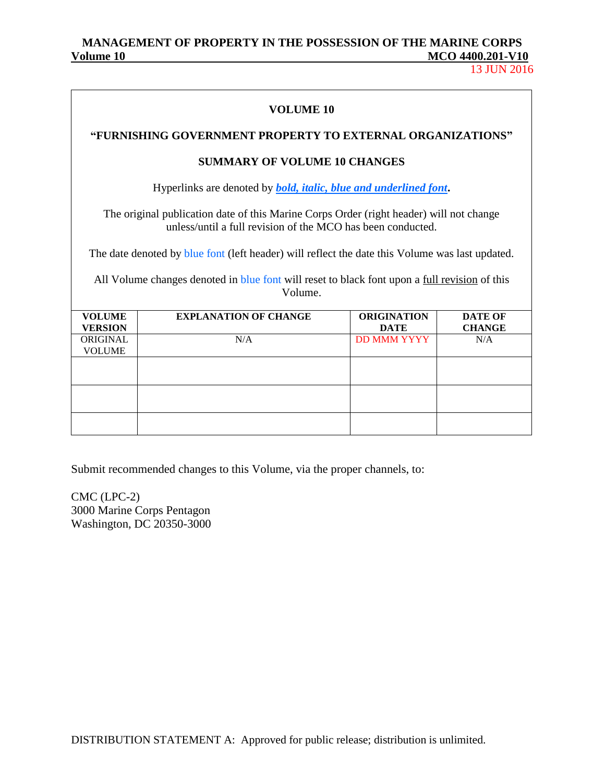## **MANAGEMENT OF PROPERTY IN THE POSSESSION OF THE MARINE CORPS MCO 4400.201-V10**

13 JUN 2016

| VOLUME 10                                                                                                                                              |  |
|--------------------------------------------------------------------------------------------------------------------------------------------------------|--|
| "FURNISHING GOVERNMENT PROPERTY TO EXTERNAL ORGANIZATIONS"                                                                                             |  |
| <b>SUMMARY OF VOLUME 10 CHANGES</b>                                                                                                                    |  |
| Hyperlinks are denoted by <b>bold</b> , <i>italic</i> , <i>blue and underlined font</i> .                                                              |  |
| The original publication date of this Marine Corps Order (right header) will not change<br>unless/until a full revision of the MCO has been conducted. |  |
| The date denoted by blue font (left header) will reflect the date this Volume was last updated.                                                        |  |
| All Volume changes denoted in blue font will reset to black font upon a full revision of this<br>Volume.                                               |  |

| <b>VOLUME</b><br><b>VERSION</b> | <b>EXPLANATION OF CHANGE</b> | <b>ORIGINATION</b><br><b>DATE</b> | <b>DATE OF</b><br><b>CHANGE</b> |
|---------------------------------|------------------------------|-----------------------------------|---------------------------------|
| ORIGINAL<br><b>VOLUME</b>       | N/A                          | <b>DD MMM YYYY</b>                | N/A                             |
|                                 |                              |                                   |                                 |
|                                 |                              |                                   |                                 |
|                                 |                              |                                   |                                 |

Submit recommended changes to this Volume, via the proper channels, to:

CMC (LPC-2) 3000 Marine Corps Pentagon Washington, DC 20350-3000

DISTRIBUTION STATEMENT A: Approved for public release; distribution is unlimited.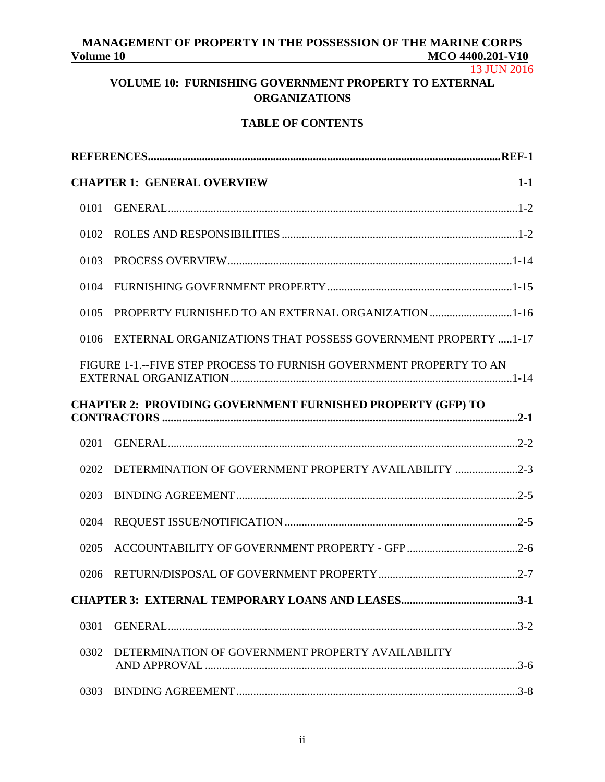# MANAGEMENT OF PROPERTY IN THE POSSESSION OF THE MARINE CORPS<br>Volume 10 MCO 4400.201-V10 **Volume 10 MCO 4400.201-V10**

13 JUN 2016

# **VOLUME 10: FURNISHING GOVERNMENT PROPERTY TO EXTERNAL ORGANIZATIONS**

## **TABLE OF CONTENTS**

|      | <b>CHAPTER 1: GENERAL OVERVIEW</b><br>$1-1$                         |
|------|---------------------------------------------------------------------|
| 0101 |                                                                     |
| 0102 |                                                                     |
| 0103 |                                                                     |
| 0104 |                                                                     |
| 0105 | PROPERTY FURNISHED TO AN EXTERNAL ORGANIZATION 1-16                 |
| 0106 | EXTERNAL ORGANIZATIONS THAT POSSESS GOVERNMENT PROPERTY  1-17       |
|      | FIGURE 1-1.--FIVE STEP PROCESS TO FURNISH GOVERNMENT PROPERTY TO AN |
|      | <b>CHAPTER 2: PROVIDING GOVERNMENT FURNISHED PROPERTY (GFP) TO</b>  |
| 0201 |                                                                     |
| 0202 | DETERMINATION OF GOVERNMENT PROPERTY AVAILABILITY 2-3               |
| 0203 |                                                                     |
| 0204 |                                                                     |
| 0205 |                                                                     |
| 0206 |                                                                     |
|      |                                                                     |
| 0301 |                                                                     |
| 0302 | DETERMINATION OF GOVERNMENT PROPERTY AVAILABILITY                   |
| 0303 |                                                                     |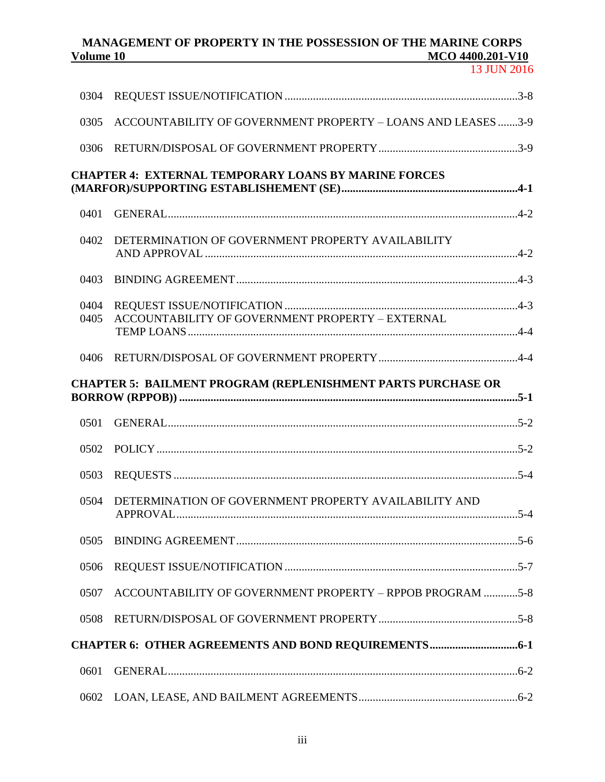| 0304         |                                                                     |  |
|--------------|---------------------------------------------------------------------|--|
| 0305         | ACCOUNTABILITY OF GOVERNMENT PROPERTY - LOANS AND LEASES 3-9        |  |
| 0306         |                                                                     |  |
|              | <b>CHAPTER 4: EXTERNAL TEMPORARY LOANS BY MARINE FORCES</b>         |  |
| 0401         |                                                                     |  |
| 0402         | DETERMINATION OF GOVERNMENT PROPERTY AVAILABILITY                   |  |
| 0403         |                                                                     |  |
| 0404<br>0405 | ACCOUNTABILITY OF GOVERNMENT PROPERTY - EXTERNAL                    |  |
| 0406         |                                                                     |  |
|              | <b>CHAPTER 5: BAILMENT PROGRAM (REPLENISHMENT PARTS PURCHASE OR</b> |  |
|              |                                                                     |  |
| 0501         |                                                                     |  |
| 0502         |                                                                     |  |
| 0503         |                                                                     |  |
| 0504         | DETERMINATION OF GOVERNMENT PROPERTY AVAILABILITY AND               |  |
| 0505         |                                                                     |  |
| 0506         |                                                                     |  |
| 0507         | ACCOUNTABILITY OF GOVERNMENT PROPERTY - RPPOB PROGRAM 5-8           |  |
| 0508         |                                                                     |  |
|              |                                                                     |  |
| 0601         |                                                                     |  |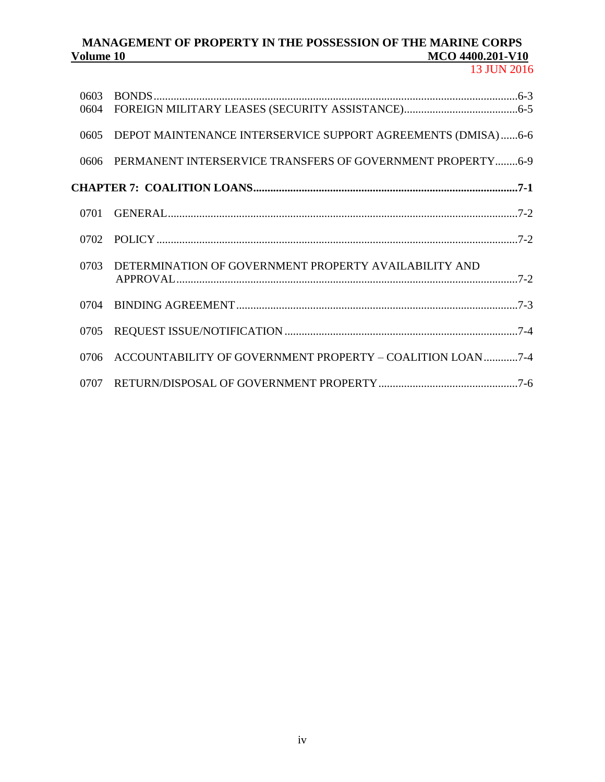13 JUN 2016

| 0603 |                                                              |  |
|------|--------------------------------------------------------------|--|
| 0604 |                                                              |  |
| 0605 | DEPOT MAINTENANCE INTERSERVICE SUPPORT AGREEMENTS (DMISA)6-6 |  |
| 0606 | PERMANENT INTERSERVICE TRANSFERS OF GOVERNMENT PROPERTY6-9   |  |
|      |                                                              |  |
| 0701 |                                                              |  |
| 0702 |                                                              |  |
| 0703 | DETERMINATION OF GOVERNMENT PROPERTY AVAILABILITY AND        |  |
| 0704 |                                                              |  |
| 0705 |                                                              |  |
| 0706 | ACCOUNTABILITY OF GOVERNMENT PROPERTY - COALITION LOAN7-4    |  |
| 0707 |                                                              |  |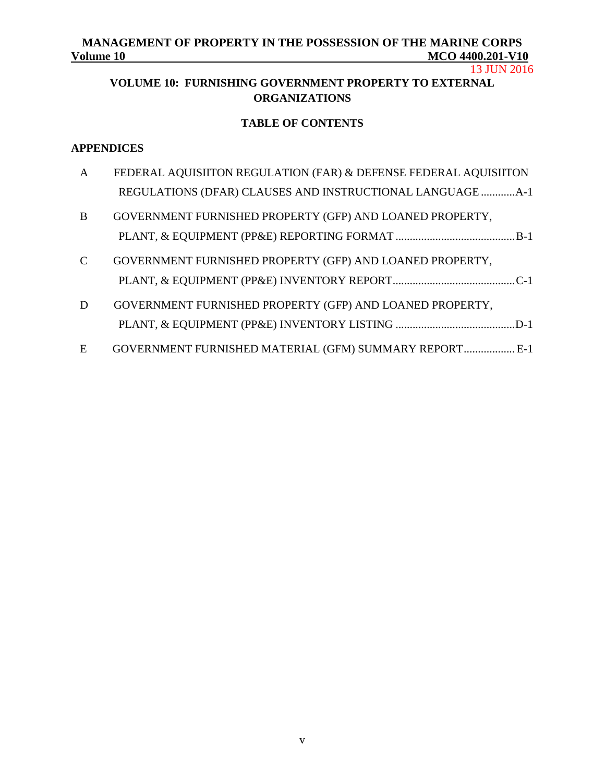13 JUN 2016

# **VOLUME 10: FURNISHING GOVERNMENT PROPERTY TO EXTERNAL ORGANIZATIONS**

# **TABLE OF CONTENTS**

## **APPENDICES**

| $\mathbf{A}$  | FEDERAL AQUISIITON REGULATION (FAR) & DEFENSE FEDERAL AQUISIITON |  |
|---------------|------------------------------------------------------------------|--|
|               | REGULATIONS (DFAR) CLAUSES AND INSTRUCTIONAL LANGUAGE  A-1       |  |
| B             | GOVERNMENT FURNISHED PROPERTY (GFP) AND LOANED PROPERTY,         |  |
|               |                                                                  |  |
| $\mathcal{C}$ | GOVERNMENT FURNISHED PROPERTY (GFP) AND LOANED PROPERTY,         |  |
|               |                                                                  |  |
| D             | GOVERNMENT FURNISHED PROPERTY (GFP) AND LOANED PROPERTY,         |  |
|               |                                                                  |  |
| E             | GOVERNMENT FURNISHED MATERIAL (GFM) SUMMARY REPORT E-1           |  |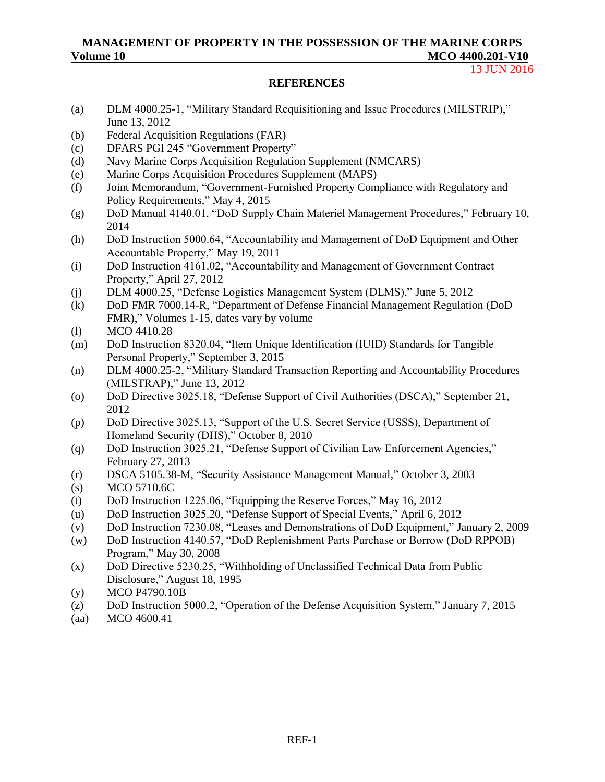#### 13 JUN 2016

#### **REFERENCES**

- (a) [DLM 4000.25-1, "Military Standard Requisitioning and Issue Procedures \(MILSTRIP\),"](http://www2.dla.mil/j-6/dlmso/elibrary/manuals/dlm/dlm_pubs.asp)  [June 13, 2012](http://www2.dla.mil/j-6/dlmso/elibrary/manuals/dlm/dlm_pubs.asp)
- (b) [Federal Acquisition Regulations \(FAR\)](http://www.acquisition.gov/far/)
- (c) DFARS [PGI 245 "Government Property"](http://www.acq.osd.mil/dpap/dars/dfarspgi/current/)
- (d) [Navy Marine Corps Acquisition Regulation Supplement \(NMCARS\)](http://farsite.hill.af.mil/vfnapsa.htm)
- (e) [Marine Corps Acquisition Procedures Supplement \(MAPS\)](http://farsite.hill.af.mil/vfmapsa.htm)
- (f) Joint Memorandum, ["Government-Furnished Property Compliance with Regulatory and](http://www.secnav.navy.mil/rda/Policy/2015%20Policy%20Memoranda/Government-Furnished%20Property%20Compliance%20with%20Regulatory%20and%20Policy%20Requirements.aspx) [Policy Requirements,"](http://www.secnav.navy.mil/rda/Policy/2015%20Policy%20Memoranda/Government-Furnished%20Property%20Compliance%20with%20Regulatory%20and%20Policy%20Requirements.aspx) May 4, 2015
- (g) [DoD Manual 4140.01, "DoD Supply Chain Materiel Management Procedures,"](https://dap.dau.mil/career/log/blogs/archive/2014/02/12/new-multi-volume-dod-manual-414001-dod-supply-chain-materiel-management-procedures.aspx) February 10, 2014
- (h) [DoD Instruction 5000.64, "Accountability and Management of DoD Equipment and Other](https://dap.dau.mil/policy/Lists/Policy%20Documents/DispForm.aspx?ID=1643) [Accountable Property,"](https://dap.dau.mil/policy/Lists/Policy%20Documents/DispForm.aspx?ID=1643) May 19, 2011
- (i) [DoD Instruction 4161.02, "Accountability and Management of Government Contract](http://dcmo.defense.gov/products-and-services/business-enterprise-architecture/8.0/lrp/products/HTML_source/DoDI_4161.02.htm)  [Property,"](http://dcmo.defense.gov/products-and-services/business-enterprise-architecture/8.0/lrp/products/HTML_source/DoDI_4161.02.htm) April 27, 2012
- (j) [DLM 4000.25, "Defense Logistics Management System \(DLMS\),"](http://www2.dla.mil/j-6/dlmso/elibrary/manuals/dlm/dlm_pubs.asp) June 5, 2012
- (k) [DoD FMR 7000.14-R, "Department of Defense Financial Management Regulation](http://comptroller.defense.gov/fmr.aspx) (DoD [FMR\),"](http://comptroller.defense.gov/fmr.aspx) Volumes 1-15, dates vary by volume
- (l) [MCO 4410.28](http://www.marines.mil/News/Publications/ELECTRONICLIBRARY/ElectronicLibraryDisplay/tabid/13082/Article/126801/mco-441028.aspx)
- (m) DoD [Instruction 8320.04, "Item Unique Identification \(IUID\) Standards for Tangible](http://www.acq.osd.mil/dpap/pdi/uid/)  [Personal Property,"](http://www.acq.osd.mil/dpap/pdi/uid/) September 3, 2015
- (n) [DLM 4000.25-2, "Military Standard Transaction Reporting and Accountability Procedures](http://www2.dla.mil/j-6/dlmso/elibrary/manuals/dlm/dlm_pubs.asp) [\(MILSTRAP\),"](http://www2.dla.mil/j-6/dlmso/elibrary/manuals/dlm/dlm_pubs.asp) June 13, 2012
- (o) [DoD Directive 3025.18, "Defense Support of Civil Authorities \(DSCA\),"](http://www.dtic.mil/whs/directives/corres/pdf/302518p.pdf) September 21, 2012
- (p) [DoD Directive 3025.13, "Support of the U.S. Secret Service \(USSS\), Department of](http://www.dtic.mil/whs/directives/corres/pdf/302513p.pdf)  [Homeland Security \(DHS\),"](http://www.dtic.mil/whs/directives/corres/pdf/302513p.pdf) October 8, 2010
- (q) [DoD Instruction 3025.21, "Defense Support of Civilian Law Enforcement Agencies,"](http://www.dtic.mil/whs/directives/corres/pdf/302521p.pdf) February 27, 2013
- (r) [DSCA 5105.38-M, "Security Assistance Management Manual,"](http://www.samm.dsca.mil/sites/default/files/2003%20SAMM/2006-01-06%20-%202003%20SAMM.pdf) October 3, 2003
- (s) [MCO 5710.6C](http://www.marines.mil/News/Publications/ELECTRONICLIBRARY/ElectronicLibraryDisplay/tabid/13082/Article/167233/mco-57106c.aspx)
- (t) [DoD Instruction 1225.06, "Equipping the Reserve Forces,"](http://www.dtic.mil/whs/directives/corres/pdf/122506p.pdf) May 16, 2012
- (u) [DoD Instruction 3025.20, "Defense Support of Special Events,"](http://www.dtic.mil/whs/directives/corres/pdf/302520p.pdf) April 6, 2012
- (v) [DoD Instruction 7230.08, "Leases and Demonstrations of DoD Equipment,"](http://www.dtic.mil/whs/directives/corres/pdf/723008p.pdf) January 2, 2009
- (w) [DoD Instruction 4140.57, "DoD Replenishment Parts Purchase or Borrow \(DoD RPPOB\)](http://www.dtic.mil/whs/directives/corres/pdf/414057p.pdf) [Program,"](http://www.dtic.mil/whs/directives/corres/pdf/414057p.pdf) May 30, 2008
- (x) [DoD Directive 5230.25, "Withholding of Unclassified Technical Data from Public](https://acc.dau.mil/CommunityBrowser.aspx?id=33661&lang=en-US)  [Disclosure,"](https://acc.dau.mil/CommunityBrowser.aspx?id=33661&lang=en-US) August 18, 1995
- (y) MCO P4790.10B
- (z) [DoD Instruction 5000.2, "Operation of the Defense Acquisition System,"](http://www.whs.mil/library/mildoc/DODD.html) January 7, 2015
- (aa) [MCO 4600.41](http://www.marines.mil/News/Publications/ELECTRONICLIBRARY/ElectronicLibraryDisplay/tabid/13082/Article/174223/mco-460041.aspx)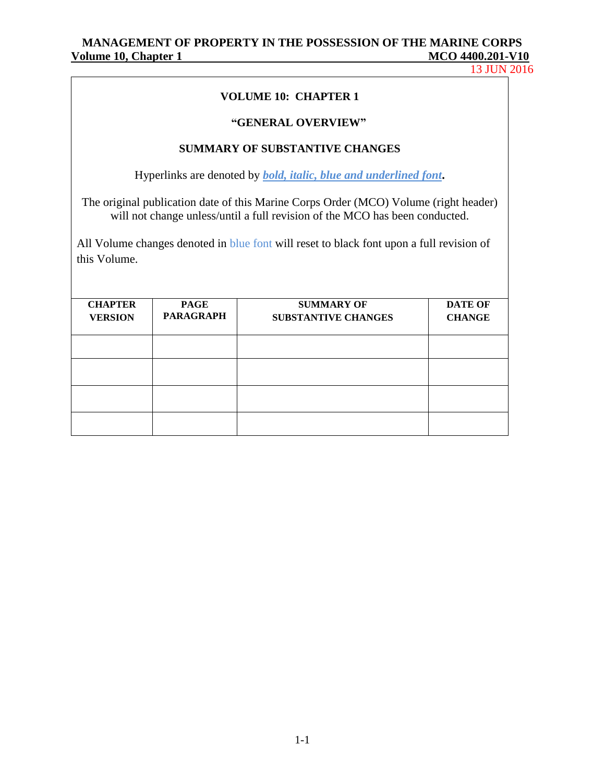13 JUN 2016

#### **VOLUME 10: CHAPTER 1**

#### **"GENERAL OVERVIEW"**

## **SUMMARY OF SUBSTANTIVE CHANGES**

Hyperlinks are denoted by *bold, italic, blue and underlined font***.**

The original publication date of this Marine Corps Order (MCO) Volume (right header) will not change unless/until a full revision of the MCO has been conducted.

All Volume changes denoted in blue font will reset to black font upon a full revision of this Volume.

| <b>CHAPTER</b><br><b>VERSION</b> | <b>PAGE</b><br><b>PARAGRAPH</b> | <b>SUMMARY OF</b><br><b>SUBSTANTIVE CHANGES</b> | <b>DATE OF</b><br><b>CHANGE</b> |
|----------------------------------|---------------------------------|-------------------------------------------------|---------------------------------|
|                                  |                                 |                                                 |                                 |
|                                  |                                 |                                                 |                                 |
|                                  |                                 |                                                 |                                 |
|                                  |                                 |                                                 |                                 |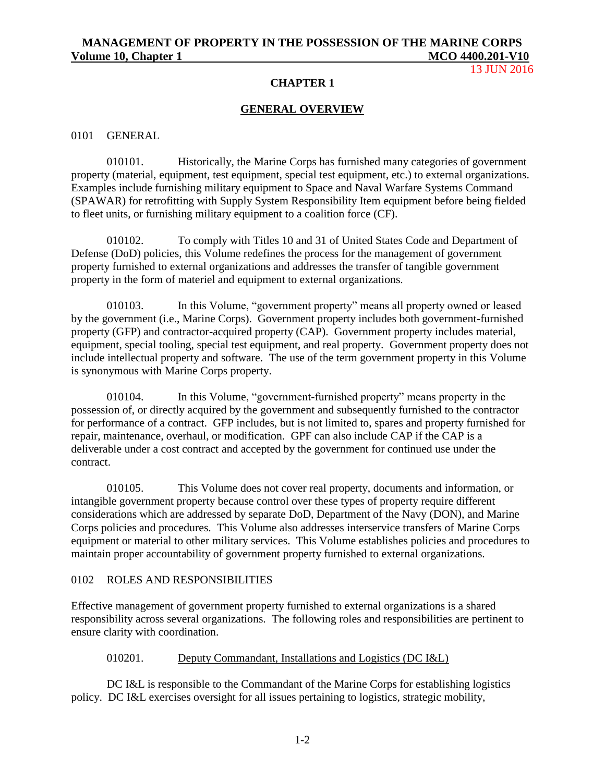13 **IUN 2016** 

#### **CHAPTER 1**

#### **GENERAL OVERVIEW**

#### 0101 GENERAL

010101. Historically, the Marine Corps has furnished many categories of government property (material, equipment, test equipment, special test equipment, etc.) to external organizations. Examples include furnishing military equipment to Space and Naval Warfare Systems Command (SPAWAR) for retrofitting with Supply System Responsibility Item equipment before being fielded to fleet units, or furnishing military equipment to a coalition force (CF).

010102. To comply with Titles 10 and 31 of United States Code and Department of Defense (DoD) policies, this Volume redefines the process for the management of government property furnished to external organizations and addresses the transfer of tangible government property in the form of materiel and equipment to external organizations.

010103. In this Volume, "government property" means all property owned or leased by the government (i.e., Marine Corps). Government property includes both government-furnished property (GFP) and contractor-acquired property (CAP). Government property includes material, equipment, special tooling, special test equipment, and real property. Government property does not include intellectual property and software. The use of the term government property in this Volume is synonymous with Marine Corps property.

010104. In this Volume, "government-furnished property" means property in the possession of, or directly acquired by the government and subsequently furnished to the contractor for performance of a contract. GFP includes, but is not limited to, spares and property furnished for repair, maintenance, overhaul, or modification. GPF can also include CAP if the CAP is a deliverable under a cost contract and accepted by the government for continued use under the contract.

010105. This Volume does not cover real property, documents and information, or intangible government property because control over these types of property require different considerations which are addressed by separate DoD, Department of the Navy (DON), and Marine Corps policies and procedures. This Volume also addresses interservice transfers of Marine Corps equipment or material to other military services. This Volume establishes policies and procedures to maintain proper accountability of government property furnished to external organizations.

#### 0102 ROLES AND RESPONSIBILITIES

Effective management of government property furnished to external organizations is a shared responsibility across several organizations. The following roles and responsibilities are pertinent to ensure clarity with coordination.

#### 010201. Deputy Commandant, Installations and Logistics (DC I&L)

DC I&L is responsible to the Commandant of the Marine Corps for establishing logistics policy. DC I&L exercises oversight for all issues pertaining to logistics, strategic mobility,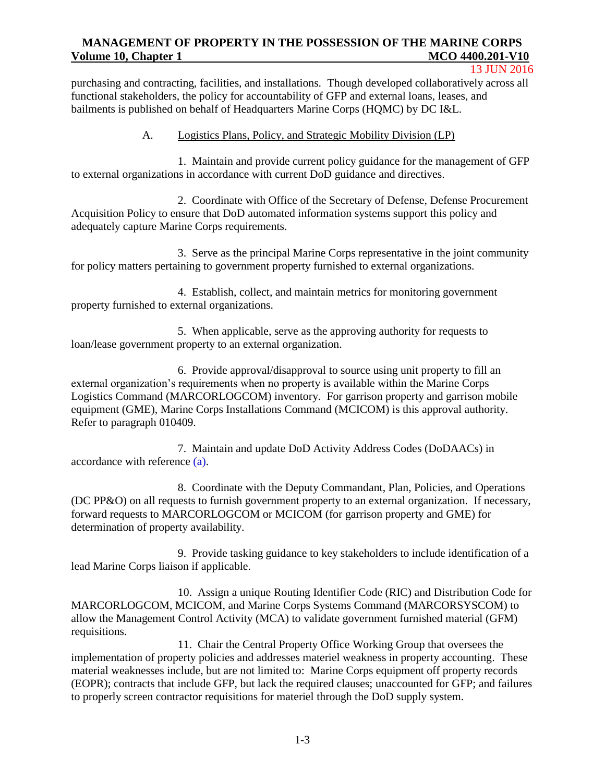#### 13 JUN 2016

purchasing and contracting, facilities, and installations. Though developed collaboratively across all functional stakeholders, the policy for accountability of GFP and external loans, leases, and bailments is published on behalf of Headquarters Marine Corps (HQMC) by DC I&L.

#### A. Logistics Plans, Policy, and Strategic Mobility Division (LP)

1. Maintain and provide current policy guidance for the management of GFP to external organizations in accordance with current DoD guidance and directives.

2. Coordinate with Office of the Secretary of Defense, Defense Procurement Acquisition Policy to ensure that DoD automated information systems support this policy and adequately capture Marine Corps requirements.

3. Serve as the principal Marine Corps representative in the joint community for policy matters pertaining to government property furnished to external organizations.

4. Establish, collect, and maintain metrics for monitoring government property furnished to external organizations.

5. When applicable, serve as the approving authority for requests to loan/lease government property to an external organization.

6. Provide approval/disapproval to source using unit property to fill an external organization's requirements when no property is available within the Marine Corps Logistics Command (MARCORLOGCOM) inventory. For garrison property and garrison mobile equipment (GME), Marine Corps Installations Command (MCICOM) is this approval authority. Refer to paragraph 010409.

7. Maintain and update DoD Activity Address Codes (DoDAACs) in accordance with reference (a).

8. Coordinate with the Deputy Commandant, Plan, Policies, and Operations (DC PP&O) on all requests to furnish government property to an external organization. If necessary, forward requests to MARCORLOGCOM or MCICOM (for garrison property and GME) for determination of property availability.

9. Provide tasking guidance to key stakeholders to include identification of a lead Marine Corps liaison if applicable.

10. Assign a unique Routing Identifier Code (RIC) and Distribution Code for MARCORLOGCOM, MCICOM, and Marine Corps Systems Command (MARCORSYSCOM) to allow the Management Control Activity (MCA) to validate government furnished material (GFM) requisitions.

11. Chair the Central Property Office Working Group that oversees the implementation of property policies and addresses materiel weakness in property accounting. These material weaknesses include, but are not limited to: Marine Corps equipment off property records (EOPR); contracts that include GFP, but lack the required clauses; unaccounted for GFP; and failures to properly screen contractor requisitions for materiel through the DoD supply system.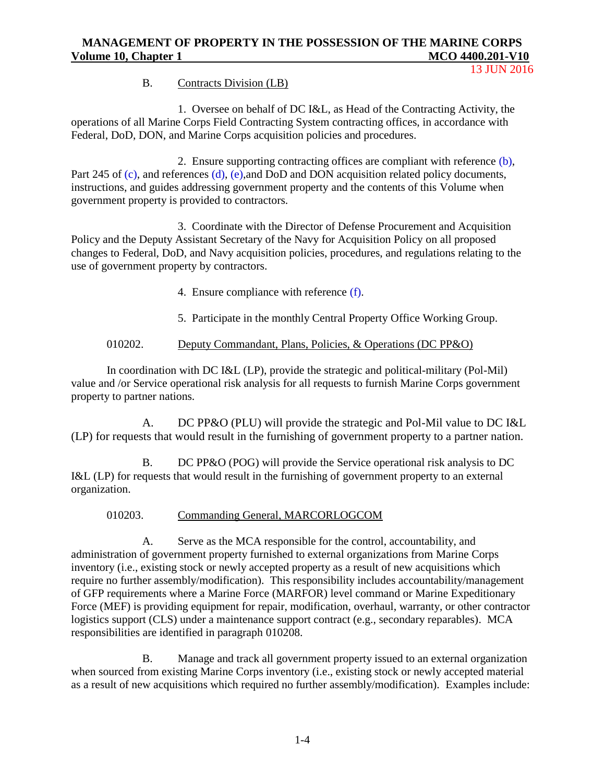13 JUN 2016

## B. Contracts Division (LB)

1. Oversee on behalf of DC I&L, as Head of the Contracting Activity, the operations of all Marine Corps Field Contracting System contracting offices, in accordance with Federal, DoD, DON, and Marine Corps acquisition policies and procedures.

2. Ensure supporting contracting offices are compliant with reference (b), Part 245 of (c), and references (d), (e), and DoD and DON acquisition related policy documents, instructions, and guides addressing government property and the contents of this Volume when government property is provided to contractors.

3. Coordinate with the Director of Defense Procurement and Acquisition Policy and the Deputy Assistant Secretary of the Navy for Acquisition Policy on all proposed changes to Federal, DoD, and Navy acquisition policies, procedures, and regulations relating to the use of government property by contractors.

4. Ensure compliance with reference (f).

5. Participate in the monthly Central Property Office Working Group.

## 010202. Deputy Commandant, Plans, Policies, & Operations (DC PP&O)

In coordination with DC I&L (LP), provide the strategic and political-military (Pol-Mil) value and /or Service operational risk analysis for all requests to furnish Marine Corps government property to partner nations.

A. DC PP&O (PLU) will provide the strategic and Pol-Mil value to DC I&L (LP) for requests that would result in the furnishing of government property to a partner nation.

B. DC PP&O (POG) will provide the Service operational risk analysis to DC I&L (LP) for requests that would result in the furnishing of government property to an external organization.

#### 010203. Commanding General, MARCORLOGCOM

A. Serve as the MCA responsible for the control, accountability, and administration of government property furnished to external organizations from Marine Corps inventory (i.e., existing stock or newly accepted property as a result of new acquisitions which require no further assembly/modification). This responsibility includes accountability/management of GFP requirements where a Marine Force (MARFOR) level command or Marine Expeditionary Force (MEF) is providing equipment for repair, modification, overhaul, warranty, or other contractor logistics support (CLS) under a maintenance support contract (e.g., secondary reparables). MCA responsibilities are identified in paragraph 010208.

B. Manage and track all government property issued to an external organization when sourced from existing Marine Corps inventory (i.e., existing stock or newly accepted material as a result of new acquisitions which required no further assembly/modification). Examples include: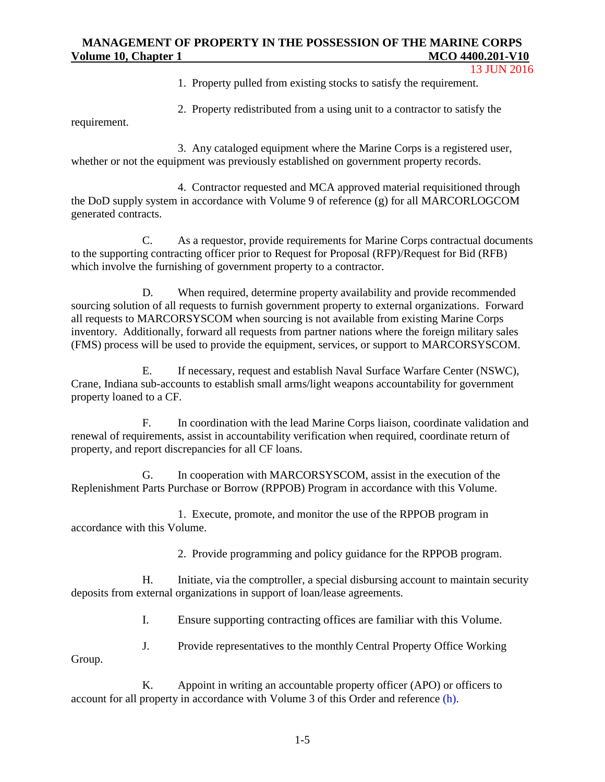13 JUN 2016

1. Property pulled from existing stocks to satisfy the requirement.

2. Property redistributed from a using unit to a contractor to satisfy the

requirement.

3. Any cataloged equipment where the Marine Corps is a registered user, whether or not the equipment was previously established on government property records.

4. Contractor requested and MCA approved material requisitioned through the DoD supply system in accordance with Volume 9 of reference (g) for all MARCORLOGCOM generated contracts.

C. As a requestor, provide requirements for Marine Corps contractual documents to the supporting contracting officer prior to Request for Proposal (RFP)/Request for Bid (RFB) which involve the furnishing of government property to a contractor.

D. When required, determine property availability and provide recommended sourcing solution of all requests to furnish government property to external organizations. Forward all requests to MARCORSYSCOM when sourcing is not available from existing Marine Corps inventory. Additionally, forward all requests from partner nations where the foreign military sales (FMS) process will be used to provide the equipment, services, or support to MARCORSYSCOM.

E. If necessary, request and establish Naval Surface Warfare Center (NSWC), Crane, Indiana sub-accounts to establish small arms/light weapons accountability for government property loaned to a CF.

F. In coordination with the lead Marine Corps liaison, coordinate validation and renewal of requirements, assist in accountability verification when required, coordinate return of property, and report discrepancies for all CF loans.

G. In cooperation with MARCORSYSCOM, assist in the execution of the Replenishment Parts Purchase or Borrow (RPPOB) Program in accordance with this Volume.

1. Execute, promote, and monitor the use of the RPPOB program in accordance with this Volume.

2. Provide programming and policy guidance for the RPPOB program.

H. Initiate, via the comptroller, a special disbursing account to maintain security deposits from external organizations in support of loan/lease agreements.

I. Ensure supporting contracting offices are familiar with this Volume.

J. Provide representatives to the monthly Central Property Office Working

Group.

K. Appoint in writing an accountable property officer (APO) or officers to account for all property in accordance with Volume 3 of this Order and reference (h).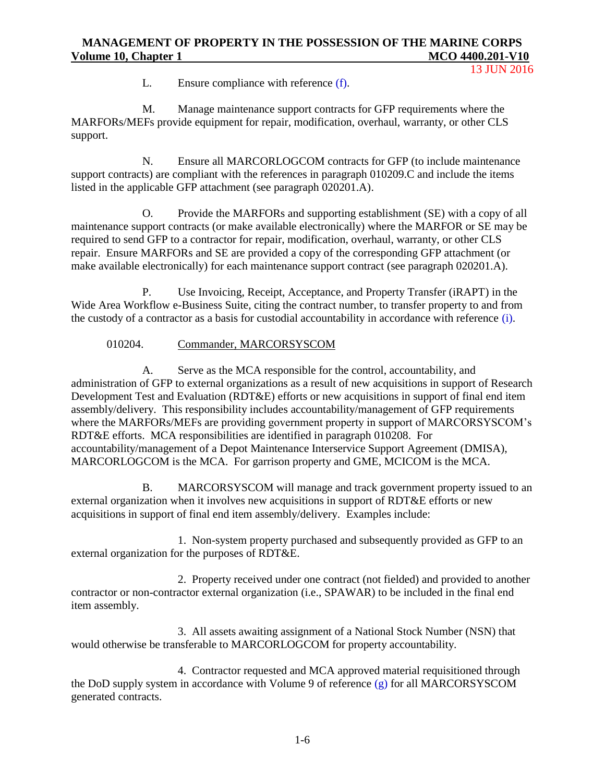13 JUN 2016

L. Ensure compliance with reference (f).

M. Manage maintenance support contracts for GFP requirements where the MARFORs/MEFs provide equipment for repair, modification, overhaul, warranty, or other CLS support.

N. Ensure all MARCORLOGCOM contracts for GFP (to include maintenance support contracts) are compliant with the references in paragraph 010209.C and include the items listed in the applicable GFP attachment (see paragraph 020201.A).

O. Provide the MARFORs and supporting establishment (SE) with a copy of all maintenance support contracts (or make available electronically) where the MARFOR or SE may be required to send GFP to a contractor for repair, modification, overhaul, warranty, or other CLS repair. Ensure MARFORs and SE are provided a copy of the corresponding GFP attachment (or make available electronically) for each maintenance support contract (see paragraph 020201.A).

P. Use Invoicing, Receipt, Acceptance, and Property Transfer (iRAPT) in the Wide Area Workflow e-Business Suite, citing the contract number, to transfer property to and from the custody of a contractor as a basis for custodial accountability in accordance with reference (i).

## 010204. Commander, MARCORSYSCOM

A. Serve as the MCA responsible for the control, accountability, and administration of GFP to external organizations as a result of new acquisitions in support of Research Development Test and Evaluation (RDT&E) efforts or new acquisitions in support of final end item assembly/delivery. This responsibility includes accountability/management of GFP requirements where the MARFORs/MEFs are providing government property in support of MARCORSYSCOM's RDT&E efforts. MCA responsibilities are identified in paragraph 010208. For accountability/management of a Depot Maintenance Interservice Support Agreement (DMISA), MARCORLOGCOM is the MCA. For garrison property and GME, MCICOM is the MCA.

B. MARCORSYSCOM will manage and track government property issued to an external organization when it involves new acquisitions in support of RDT&E efforts or new acquisitions in support of final end item assembly/delivery. Examples include:

1. Non-system property purchased and subsequently provided as GFP to an external organization for the purposes of RDT&E.

2. Property received under one contract (not fielded) and provided to another contractor or non-contractor external organization (i.e., SPAWAR) to be included in the final end item assembly.

3. All assets awaiting assignment of a National Stock Number (NSN) that would otherwise be transferable to MARCORLOGCOM for property accountability.

4. Contractor requested and MCA approved material requisitioned through the DoD supply system in accordance with Volume 9 of reference (g) for all MARCORSYSCOM generated contracts.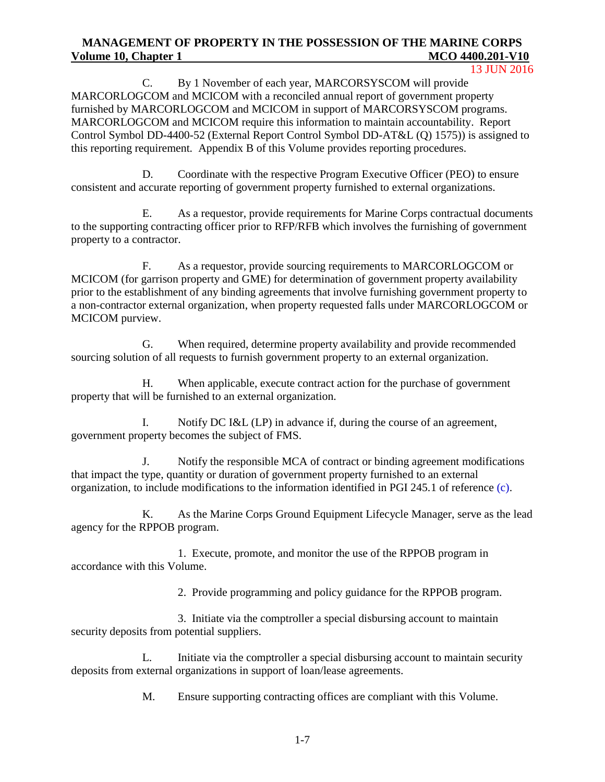13 JUN 2016

C. By 1 November of each year, MARCORSYSCOM will provide MARCORLOGCOM and MCICOM with a reconciled annual report of government property furnished by MARCORLOGCOM and MCICOM in support of MARCORSYSCOM programs. MARCORLOGCOM and MCICOM require this information to maintain accountability. Report Control Symbol DD-4400-52 (External Report Control Symbol DD-AT&L (Q) 1575)) is assigned to this reporting requirement. Appendix B of this Volume provides reporting procedures.

D. Coordinate with the respective Program Executive Officer (PEO) to ensure consistent and accurate reporting of government property furnished to external organizations.

E. As a requestor, provide requirements for Marine Corps contractual documents to the supporting contracting officer prior to RFP/RFB which involves the furnishing of government property to a contractor.

F. As a requestor, provide sourcing requirements to MARCORLOGCOM or MCICOM (for garrison property and GME) for determination of government property availability prior to the establishment of any binding agreements that involve furnishing government property to a non-contractor external organization, when property requested falls under MARCORLOGCOM or MCICOM purview.

G. When required, determine property availability and provide recommended sourcing solution of all requests to furnish government property to an external organization.

H. When applicable, execute contract action for the purchase of government property that will be furnished to an external organization.

I. Notify DC I&L (LP) in advance if, during the course of an agreement, government property becomes the subject of FMS.

J. Notify the responsible MCA of contract or binding agreement modifications that impact the type, quantity or duration of government property furnished to an external organization, to include modifications to the information identified in PGI 245.1 of reference (c).

K. As the Marine Corps Ground Equipment Lifecycle Manager, serve as the lead agency for the RPPOB program.

1. Execute, promote, and monitor the use of the RPPOB program in accordance with this Volume.

2. Provide programming and policy guidance for the RPPOB program.

3. Initiate via the comptroller a special disbursing account to maintain security deposits from potential suppliers.

L. Initiate via the comptroller a special disbursing account to maintain security deposits from external organizations in support of loan/lease agreements.

M. Ensure supporting contracting offices are compliant with this Volume.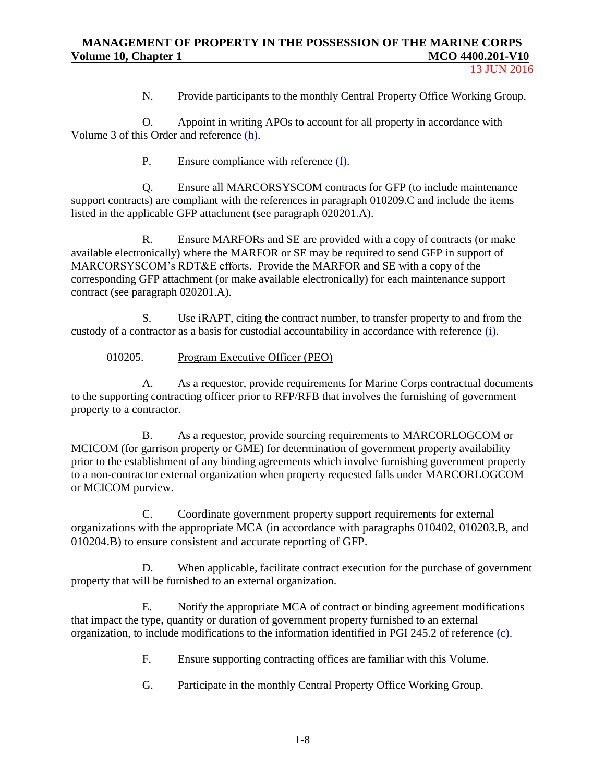N. Provide participants to the monthly Central Property Office Working Group.

O. Appoint in writing APOs to account for all property in accordance with Volume 3 of this Order and reference (h).

P. Ensure compliance with reference (f).

Q. Ensure all MARCORSYSCOM contracts for GFP (to include maintenance support contracts) are compliant with the references in paragraph 010209.C and include the items listed in the applicable GFP attachment (see paragraph 020201.A).

R. Ensure MARFORs and SE are provided with a copy of contracts (or make available electronically) where the MARFOR or SE may be required to send GFP in support of MARCORSYSCOM's RDT&E efforts. Provide the MARFOR and SE with a copy of the corresponding GFP attachment (or make available electronically) for each maintenance support contract (see paragraph 020201.A).

S. Use iRAPT, citing the contract number, to transfer property to and from the custody of a contractor as a basis for custodial accountability in accordance with reference (i).

010205. Program Executive Officer (PEO)

A. As a requestor, provide requirements for Marine Corps contractual documents to the supporting contracting officer prior to RFP/RFB that involves the furnishing of government property to a contractor.

B. As a requestor, provide sourcing requirements to MARCORLOGCOM or MCICOM (for garrison property or GME) for determination of government property availability prior to the establishment of any binding agreements which involve furnishing government property to a non-contractor external organization when property requested falls under MARCORLOGCOM or MCICOM purview.

C. Coordinate government property support requirements for external organizations with the appropriate MCA (in accordance with paragraphs 010402, 010203.B, and 010204.B) to ensure consistent and accurate reporting of GFP.

D. When applicable, facilitate contract execution for the purchase of government property that will be furnished to an external organization.

E. Notify the appropriate MCA of contract or binding agreement modifications that impact the type, quantity or duration of government property furnished to an external organization, to include modifications to the information identified in PGI 245.2 of reference (c).

F. Ensure supporting contracting offices are familiar with this Volume.

G. Participate in the monthly Central Property Office Working Group.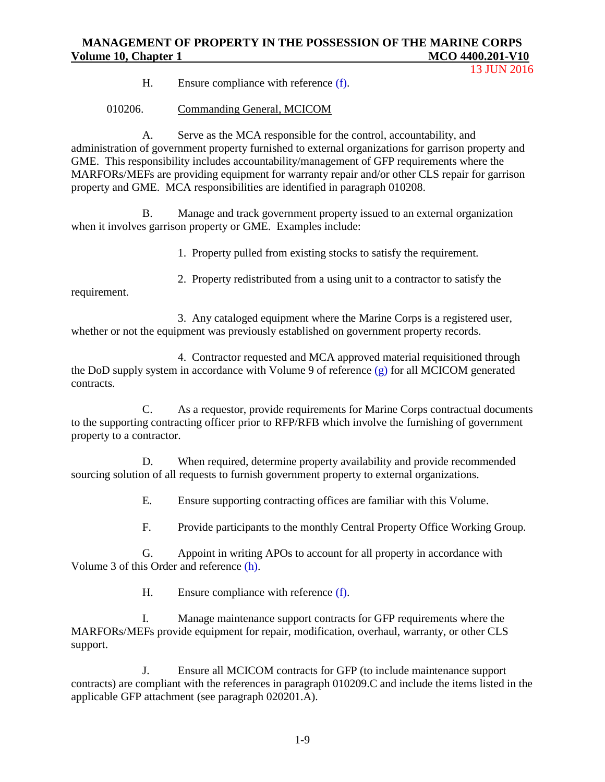13 JUN 2016

H. Ensure compliance with reference (f).

010206. Commanding General, MCICOM

A. Serve as the MCA responsible for the control, accountability, and administration of government property furnished to external organizations for garrison property and GME. This responsibility includes accountability/management of GFP requirements where the MARFORs/MEFs are providing equipment for warranty repair and/or other CLS repair for garrison property and GME. MCA responsibilities are identified in paragraph 010208.

B. Manage and track government property issued to an external organization when it involves garrison property or GME. Examples include:

1. Property pulled from existing stocks to satisfy the requirement.

2. Property redistributed from a using unit to a contractor to satisfy the

requirement.

3. Any cataloged equipment where the Marine Corps is a registered user, whether or not the equipment was previously established on government property records.

4. Contractor requested and MCA approved material requisitioned through the DoD supply system in accordance with Volume 9 of reference (g) for all MCICOM generated contracts.

C. As a requestor, provide requirements for Marine Corps contractual documents to the supporting contracting officer prior to RFP/RFB which involve the furnishing of government property to a contractor.

D. When required, determine property availability and provide recommended sourcing solution of all requests to furnish government property to external organizations.

E. Ensure supporting contracting offices are familiar with this Volume.

F. Provide participants to the monthly Central Property Office Working Group.

G. Appoint in writing APOs to account for all property in accordance with Volume 3 of this Order and reference (h).

H. Ensure compliance with reference (f).

I. Manage maintenance support contracts for GFP requirements where the MARFORs/MEFs provide equipment for repair, modification, overhaul, warranty, or other CLS support.

J. Ensure all MCICOM contracts for GFP (to include maintenance support contracts) are compliant with the references in paragraph 010209.C and include the items listed in the applicable GFP attachment (see paragraph 020201.A).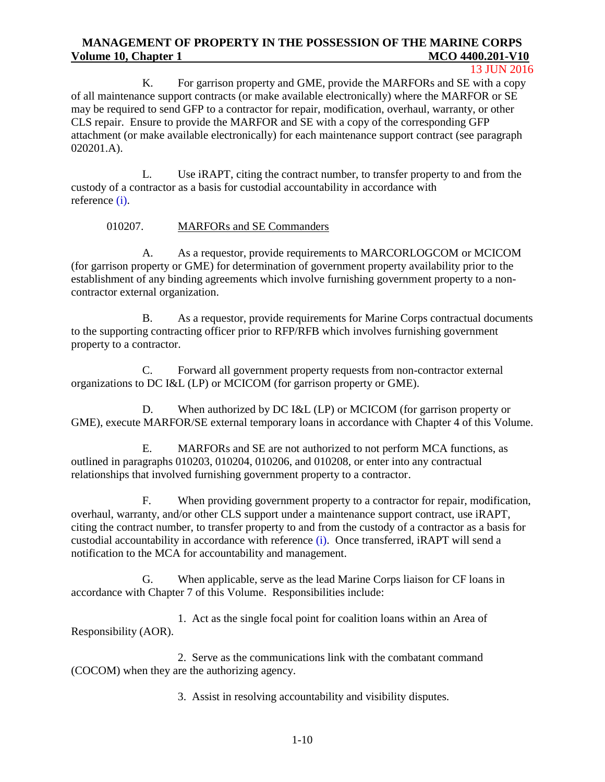#### 13 JUN 2016

K. For garrison property and GME, provide the MARFORs and SE with a copy of all maintenance support contracts (or make available electronically) where the MARFOR or SE may be required to send GFP to a contractor for repair, modification, overhaul, warranty, or other CLS repair. Ensure to provide the MARFOR and SE with a copy of the corresponding GFP attachment (or make available electronically) for each maintenance support contract (see paragraph 020201.A).

L. Use iRAPT, citing the contract number, to transfer property to and from the custody of a contractor as a basis for custodial accountability in accordance with reference (i).

#### 010207. MARFORs and SE Commanders

A. As a requestor, provide requirements to MARCORLOGCOM or MCICOM (for garrison property or GME) for determination of government property availability prior to the establishment of any binding agreements which involve furnishing government property to a noncontractor external organization.

B. As a requestor, provide requirements for Marine Corps contractual documents to the supporting contracting officer prior to RFP/RFB which involves furnishing government property to a contractor.

C. Forward all government property requests from non-contractor external organizations to DC I&L (LP) or MCICOM (for garrison property or GME).

D. When authorized by DC I&L (LP) or MCICOM (for garrison property or GME), execute MARFOR/SE external temporary loans in accordance with Chapter 4 of this Volume.

E. MARFORs and SE are not authorized to not perform MCA functions, as outlined in paragraphs 010203, 010204, 010206, and 010208, or enter into any contractual relationships that involved furnishing government property to a contractor.

F. When providing government property to a contractor for repair, modification, overhaul, warranty, and/or other CLS support under a maintenance support contract, use iRAPT, citing the contract number, to transfer property to and from the custody of a contractor as a basis for custodial accountability in accordance with reference (i). Once transferred, iRAPT will send a notification to the MCA for accountability and management.

G. When applicable, serve as the lead Marine Corps liaison for CF loans in accordance with Chapter 7 of this Volume. Responsibilities include:

1. Act as the single focal point for coalition loans within an Area of Responsibility (AOR).

2. Serve as the communications link with the combatant command (COCOM) when they are the authorizing agency.

3. Assist in resolving accountability and visibility disputes.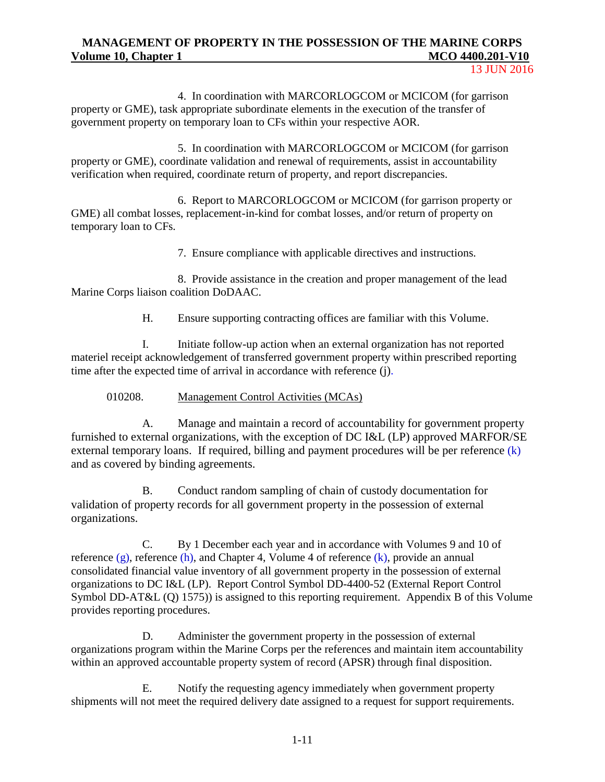4. In coordination with MARCORLOGCOM or MCICOM (for garrison property or GME), task appropriate subordinate elements in the execution of the transfer of government property on temporary loan to CFs within your respective AOR.

5. In coordination with MARCORLOGCOM or MCICOM (for garrison property or GME), coordinate validation and renewal of requirements, assist in accountability verification when required, coordinate return of property, and report discrepancies.

6. Report to MARCORLOGCOM or MCICOM (for garrison property or GME) all combat losses, replacement-in-kind for combat losses, and/or return of property on temporary loan to CFs.

7. Ensure compliance with applicable directives and instructions.

8. Provide assistance in the creation and proper management of the lead Marine Corps liaison coalition DoDAAC.

H. Ensure supporting contracting offices are familiar with this Volume.

I. Initiate follow-up action when an external organization has not reported materiel receipt acknowledgement of transferred government property within prescribed reporting time after the expected time of arrival in accordance with reference (j).

010208. Management Control Activities (MCAs)

A. Manage and maintain a record of accountability for government property furnished to external organizations, with the exception of DC I&L (LP) approved MARFOR/SE external temporary loans. If required, billing and payment procedures will be per reference (k) and as covered by binding agreements.

B. Conduct random sampling of chain of custody documentation for validation of property records for all government property in the possession of external organizations.

C. By 1 December each year and in accordance with Volumes 9 and 10 of reference  $(g)$ , reference  $(h)$ , and Chapter 4, Volume 4 of reference  $(k)$ , provide an annual consolidated financial value inventory of all government property in the possession of external organizations to DC I&L (LP). Report Control Symbol DD-4400-52 (External Report Control Symbol DD-AT&L (Q) 1575)) is assigned to this reporting requirement. Appendix B of this Volume provides reporting procedures.

D. Administer the government property in the possession of external organizations program within the Marine Corps per the references and maintain item accountability within an approved accountable property system of record (APSR) through final disposition.

E. Notify the requesting agency immediately when government property shipments will not meet the required delivery date assigned to a request for support requirements.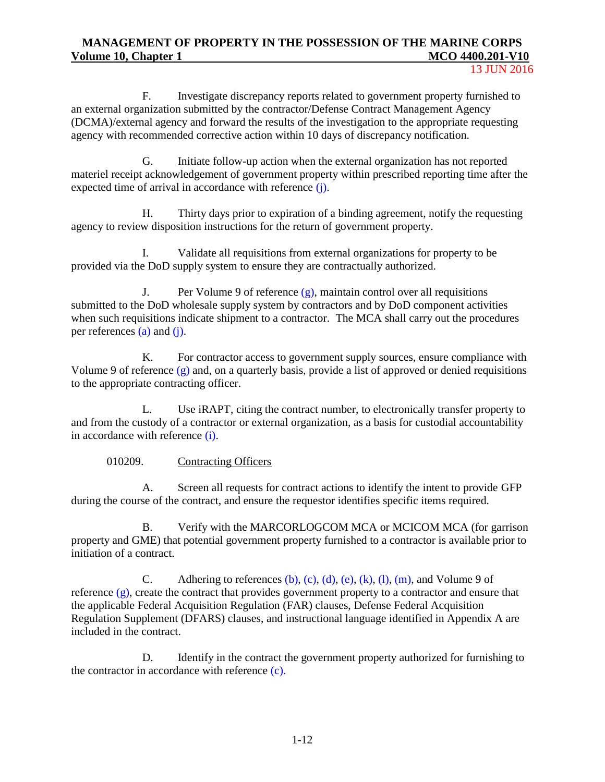13 JUN 2016

F. Investigate discrepancy reports related to government property furnished to an external organization submitted by the contractor/Defense Contract Management Agency (DCMA)/external agency and forward the results of the investigation to the appropriate requesting agency with recommended corrective action within 10 days of discrepancy notification.

G. Initiate follow-up action when the external organization has not reported materiel receipt acknowledgement of government property within prescribed reporting time after the expected time of arrival in accordance with [reference](http://www2.dla.mil/j-6/dlmso/elibrary/manuals/dlm/dlm_pubs.asp) [\(j\).](http://www2.dla.mil/j-6/dlmso/elibrary/manuals/dlm/dlm_pubs.asp)

H. Thirty days prior to expiration of a binding agreement, notify the requesting agency to review disposition instructions for the return of government property.

I. Validate all requisitions from external organizations for property to be provided via the DoD supply system to ensure they are contractually authorized.

J. Per Volume 9 of reference  $(g)$ , maintain control over all requisitions submitted to the DoD wholesale supply system by contractors and by DoD component activities when such requisitions indicate shipment to a contractor. The MCA shall carry out the procedures per references (a) and (j).

K. For contractor access to government supply sources, ensure compliance with Volume 9 of reference (g) and, on a quarterly basis, provide a list of approved or denied requisitions to the appropriate contracting officer.

L. Use iRAPT, citing the contract number, to electronically transfer property to and from the custody of a contractor or external organization, as a basis for custodial accountability in accordance with reference (i).

### 010209. Contracting Officers

A. Screen all requests for contract actions to identify the intent to provide GFP during the course of the contract, and ensure the requestor identifies specific items required.

B. Verify with the MARCORLOGCOM MCA or MCICOM MCA (for garrison property and GME) that potential government property furnished to a contractor is available prior to initiation of a contract.

C. Adhering to references (b), (c), (d), (e), (k), (l), (m), and Volume 9 of reference (g), create the contract that provides government property to a contractor and ensure that the applicable Federal Acquisition Regulation (FAR) clauses, Defense Federal Acquisition Regulation Supplement (DFARS) clauses, and instructional language identified in Appendix A are included in the contract.

D. Identify in the contract the government property authorized for furnishing to the contractor in accordance with reference (c).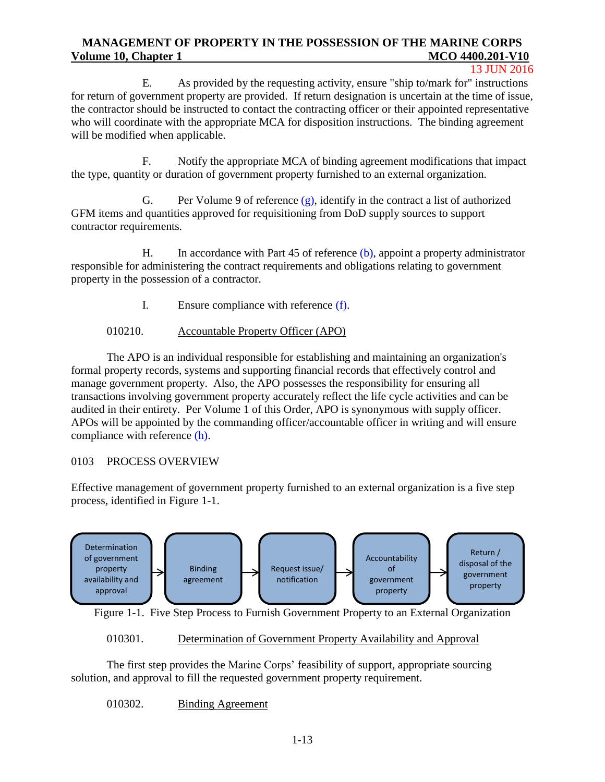#### 13 JUN 2016

E. As provided by the requesting activity, ensure "ship to/mark for" instructions for return of government property are provided. If return designation is uncertain at the time of issue, the contractor should be instructed to contact the contracting officer or their appointed representative who will coordinate with the appropriate MCA for disposition instructions. The binding agreement will be modified when applicable.

F. Notify the appropriate MCA of binding agreement modifications that impact the type, quantity or duration of government property furnished to an external organization.

G. Per Volume 9 of reference  $(g)$ , identify in the contract a list of authorized GFM items and quantities approved for requisitioning from DoD supply sources to support contractor requirements.

H. In accordance with Part 45 of [reference \(b\),](http://www.acquisition.gov/far/) appoint a property administrator responsible for administering the contract requirements and obligations relating to government property in the possession of a contractor.

I. Ensure compliance with reference (f).

## 010210. Accountable Property Officer (APO)

The APO is an individual responsible for establishing and maintaining an organization's formal property records, systems and supporting financial records that effectively control and manage government property. Also, the APO possesses the responsibility for ensuring all transactions involving government property accurately reflect the life cycle activities and can be audited in their entirety. Per Volume 1 of this Order, APO is synonymous with supply officer. APOs will be appointed by the commanding officer/accountable officer in writing and will ensure compliance with reference (h).

#### 0103 PROCESS OVERVIEW

Effective management of government property furnished to an external organization is a five step process, identified in Figure 1-1.



Figure 1-1. Five Step Process to Furnish Government Property to an External Organization

#### 010301. Determination of Government Property Availability and Approval

The first step provides the Marine Corps' feasibility of support, appropriate sourcing solution, and approval to fill the requested government property requirement.

010302. Binding Agreement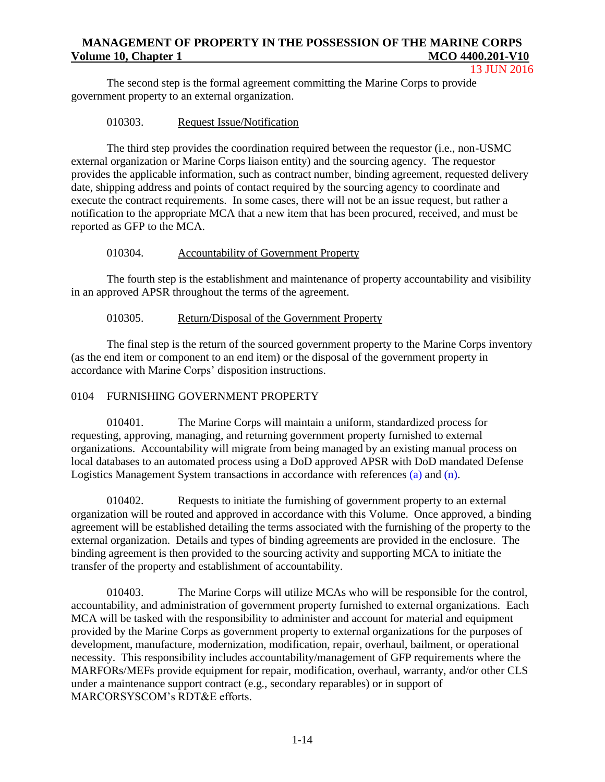13 JUN 2016

The second step is the formal agreement committing the Marine Corps to provide government property to an external organization.

## 010303. Request Issue/Notification

The third step provides the coordination required between the requestor (i.e., non-USMC external organization or Marine Corps liaison entity) and the sourcing agency. The requestor provides the applicable information, such as contract number, binding agreement, requested delivery date, shipping address and points of contact required by the sourcing agency to coordinate and execute the contract requirements. In some cases, there will not be an issue request, but rather a notification to the appropriate MCA that a new item that has been procured, received, and must be reported as GFP to the MCA.

# 010304. Accountability of Government Property

The fourth step is the establishment and maintenance of property accountability and visibility in an approved APSR throughout the terms of the agreement.

# 010305. Return/Disposal of the Government Property

The final step is the return of the sourced government property to the Marine Corps inventory (as the end item or component to an end item) or the disposal of the government property in accordance with Marine Corps' disposition instructions.

# 0104 FURNISHING GOVERNMENT PROPERTY

010401. The Marine Corps will maintain a uniform, standardized process for requesting, approving, managing, and returning government property furnished to external organizations. Accountability will migrate from being managed by an existing manual process on local databases to an automated process using a DoD approved APSR with DoD mandated Defense Logistics Management System transactions in accordance with references (a) and (n).

010402. Requests to initiate the furnishing of government property to an external organization will be routed and approved in accordance with this Volume. Once approved, a binding agreement will be established detailing the terms associated with the furnishing of the property to the external organization. Details and types of binding agreements are provided in the enclosure. The binding agreement is then provided to the sourcing activity and supporting MCA to initiate the transfer of the property and establishment of accountability.

010403. The Marine Corps will utilize MCAs who will be responsible for the control, accountability, and administration of government property furnished to external organizations. Each MCA will be tasked with the responsibility to administer and account for material and equipment provided by the Marine Corps as government property to external organizations for the purposes of development, manufacture, modernization, modification, repair, overhaul, bailment, or operational necessity. This responsibility includes accountability/management of GFP requirements where the MARFORs/MEFs provide equipment for repair, modification, overhaul, warranty, and/or other CLS under a maintenance support contract (e.g., secondary reparables) or in support of MARCORSYSCOM's RDT&E efforts.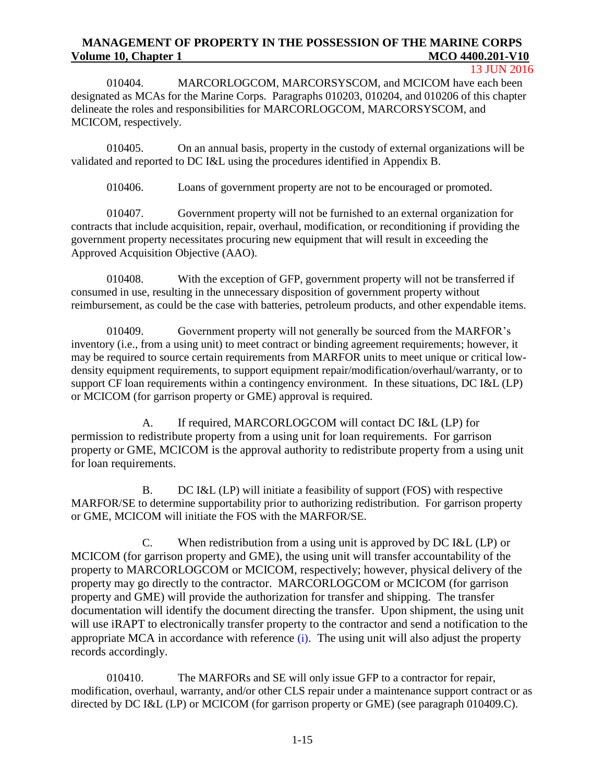13 JUN 2016

010404. MARCORLOGCOM, MARCORSYSCOM, and MCICOM have each been designated as MCAs for the Marine Corps. Paragraphs 010203, 010204, and 010206 of this chapter delineate the roles and responsibilities for MARCORLOGCOM, MARCORSYSCOM, and MCICOM, respectively.

010405. On an annual basis, property in the custody of external organizations will be validated and reported to DC I&L using the procedures identified in Appendix B.

010406. Loans of government property are not to be encouraged or promoted.

010407. Government property will not be furnished to an external organization for contracts that include acquisition, repair, overhaul, modification, or reconditioning if providing the government property necessitates procuring new equipment that will result in exceeding the Approved Acquisition Objective (AAO).

010408. With the exception of GFP, government property will not be transferred if consumed in use, resulting in the unnecessary disposition of government property without reimbursement, as could be the case with batteries, petroleum products, and other expendable items.

010409. Government property will not generally be sourced from the MARFOR's inventory (i.e., from a using unit) to meet contract or binding agreement requirements; however, it may be required to source certain requirements from MARFOR units to meet unique or critical lowdensity equipment requirements, to support equipment repair/modification/overhaul/warranty, or to support CF loan requirements within a contingency environment. In these situations, DC I&L (LP) or MCICOM (for garrison property or GME) approval is required.

A. If required, MARCORLOGCOM will contact DC I&L (LP) for permission to redistribute property from a using unit for loan requirements. For garrison property or GME, MCICOM is the approval authority to redistribute property from a using unit for loan requirements.

B. DC I&L (LP) will initiate a feasibility of support (FOS) with respective MARFOR/SE to determine supportability prior to authorizing redistribution. For garrison property or GME, MCICOM will initiate the FOS with the MARFOR/SE.

C. When redistribution from a using unit is approved by DC I&L (LP) or MCICOM (for garrison property and GME), the using unit will transfer accountability of the property to MARCORLOGCOM or MCICOM, respectively; however, physical delivery of the property may go directly to the contractor. MARCORLOGCOM or MCICOM (for garrison property and GME) will provide the authorization for transfer and shipping. The transfer documentation will identify the document directing the transfer. Upon shipment, the using unit will use iRAPT to electronically transfer property to the contractor and send a notification to the appropriate MCA in accordance with reference (i). The using unit will also adjust the property records accordingly.

010410. The MARFORs and SE will only issue GFP to a contractor for repair, modification, overhaul, warranty, and/or other CLS repair under a maintenance support contract or as directed by DC I&L (LP) or MCICOM (for garrison property or GME) (see paragraph 010409.C).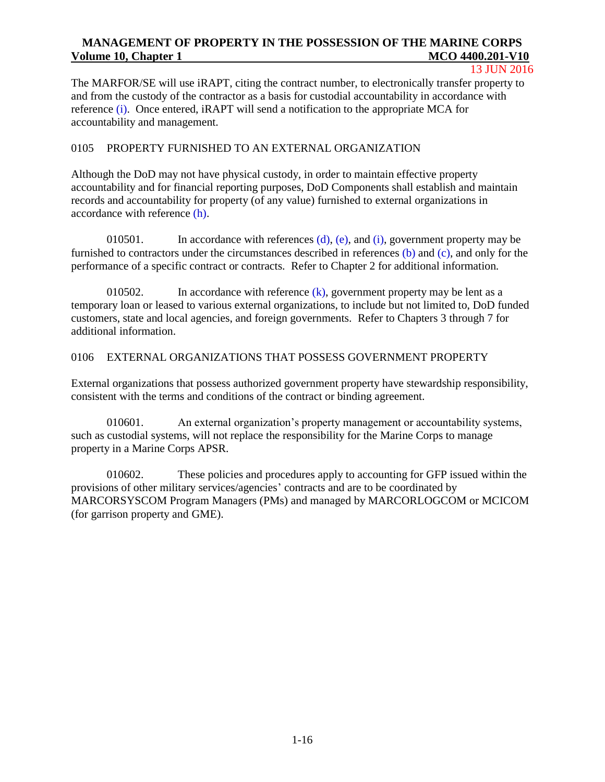#### 13 JUN 2016

The MARFOR/SE will use iRAPT, citing the contract number, to electronically transfer property to and from the custody of the contractor as a basis for custodial accountability in accordance with reference (i). Once entered, iRAPT will send a notification to the appropriate MCA for accountability and management.

#### 0105 PROPERTY FURNISHED TO AN EXTERNAL ORGANIZATION

Although the DoD may not have physical custody, in order to maintain effective property accountability and for financial reporting purposes, DoD Components shall establish and maintain records and accountability for property (of any value) furnished to external organizations in accordance with reference (h).

010501. In accordance with references  $(d)$ ,  $(e)$ , and  $(i)$ , government property may be furnished to contractors under the circumstances described in references (b) and (c), and only for the performance of a specific contract or contracts. Refer to Chapter 2 for additional information.

010502. In accordance with reference (k), government property may be lent as a temporary loan or leased to various external organizations, to include but not limited to, DoD funded customers, state and local agencies, and foreign governments. Refer to Chapters 3 through 7 for additional information.

#### 0106 EXTERNAL ORGANIZATIONS THAT POSSESS GOVERNMENT PROPERTY

External organizations that possess authorized government property have stewardship responsibility, consistent with the terms and conditions of the contract or binding agreement.

010601. An external organization's property management or accountability systems, such as custodial systems, will not replace the responsibility for the Marine Corps to manage property in a Marine Corps APSR.

010602. These policies and procedures apply to accounting for GFP issued within the provisions of other military services/agencies' contracts and are to be coordinated by MARCORSYSCOM Program Managers (PMs) and managed by MARCORLOGCOM or MCICOM (for garrison property and GME).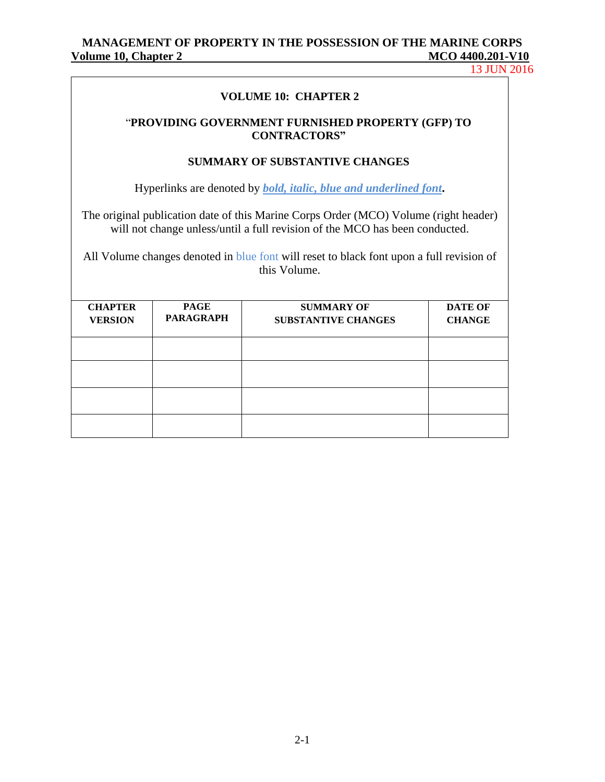13 JUN 2016

#### **VOLUME 10: CHAPTER 2**

#### "**PROVIDING GOVERNMENT FURNISHED PROPERTY (GFP) TO CONTRACTORS"**

#### **SUMMARY OF SUBSTANTIVE CHANGES**

Hyperlinks are denoted by *bold, italic, blue and underlined font***.**

The original publication date of this Marine Corps Order (MCO) Volume (right header) will not change unless/until a full revision of the MCO has been conducted.

All Volume changes denoted in blue font will reset to black font upon a full revision of this Volume.

| <b>CHAPTER</b><br><b>VERSION</b> | <b>PAGE</b><br><b>PARAGRAPH</b> | <b>SUMMARY OF</b><br><b>SUBSTANTIVE CHANGES</b> | <b>DATE OF</b><br><b>CHANGE</b> |
|----------------------------------|---------------------------------|-------------------------------------------------|---------------------------------|
|                                  |                                 |                                                 |                                 |
|                                  |                                 |                                                 |                                 |
|                                  |                                 |                                                 |                                 |
|                                  |                                 |                                                 |                                 |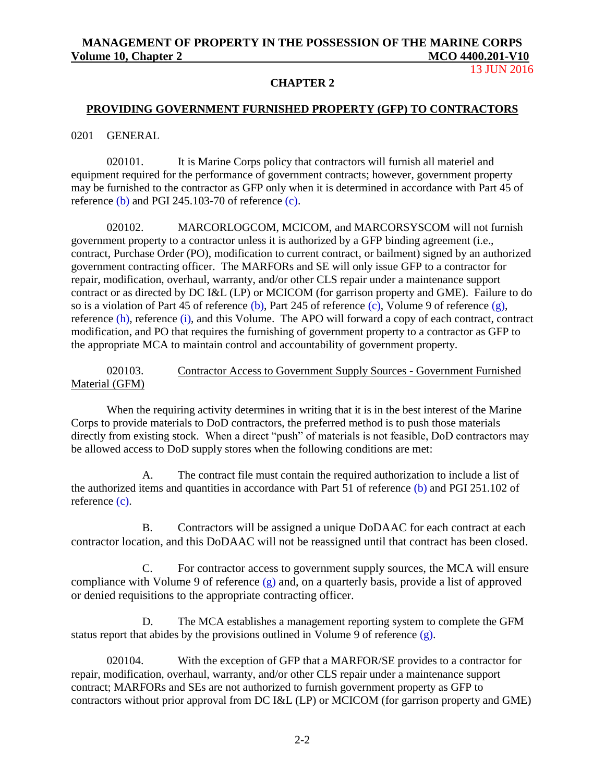13 JUN 2016

#### **CHAPTER 2**

#### **PROVIDING GOVERNMENT FURNISHED PROPERTY (GFP) TO CONTRACTORS**

0201 GENERAL

020101. It is Marine Corps policy that contractors will furnish all materiel and equipment required for the performance of government contracts; however, government property may be furnished to the contractor as GFP only when it is determined in accordance with Part 45 of [reference \(b\)](http://www.acquisition.gov/far/) and PGI 245.103-70 of reference (c).

020102. MARCORLOGCOM, MCICOM, and MARCORSYSCOM will not furnish government property to a contractor unless it is authorized by a GFP binding agreement (i.e., contract, Purchase Order (PO), modification to current contract, or bailment) signed by an authorized government contracting officer. The MARFORs and SE will only issue GFP to a contractor for repair, modification, overhaul, warranty, and/or other CLS repair under a maintenance support contract or as directed by DC I&L (LP) or MCICOM (for garrison property and GME). Failure to do so is a violation of Part 45 of [reference \(b\),](http://www.acquisition.gov/far/) Part 245 of reference (c), Volume 9 of reference (g), reference (h), reference (i), and this Volume. The APO will forward a copy of each contract, contract modification, and PO that requires the furnishing of government property to a contractor as GFP to the appropriate MCA to maintain control and accountability of government property.

#### 020103. Contractor Access to Government Supply Sources - Government Furnished Material (GFM)

When the requiring activity determines in writing that it is in the best interest of the Marine Corps to provide materials to DoD contractors, the preferred method is to push those materials directly from existing stock. When a direct "push" of materials is not feasible, DoD contractors may be allowed access to DoD supply stores when the following conditions are met:

A. The contract file must contain the required authorization to include a list of the authorized items and quantities in accordance with Part 51 of [reference \(b\)](http://www.acquisition.gov/far/) and PGI 251.102 of reference (c).

B. Contractors will be assigned a unique DoDAAC for each contract at each contractor location, and this DoDAAC will not be reassigned until that contract has been closed.

C. For contractor access to government supply sources, the MCA will ensure compliance with Volume 9 of reference  $(g)$  and, on a quarterly basis, provide a list of approved or denied requisitions to the appropriate contracting officer.

D. The MCA establishes a management reporting system to complete the GFM status report that abides by the provisions outlined in Volume 9 of reference (g).

020104. With the exception of GFP that a MARFOR/SE provides to a contractor for repair, modification, overhaul, warranty, and/or other CLS repair under a maintenance support contract; MARFORs and SEs are not authorized to furnish government property as GFP to contractors without prior approval from DC I&L (LP) or MCICOM (for garrison property and GME)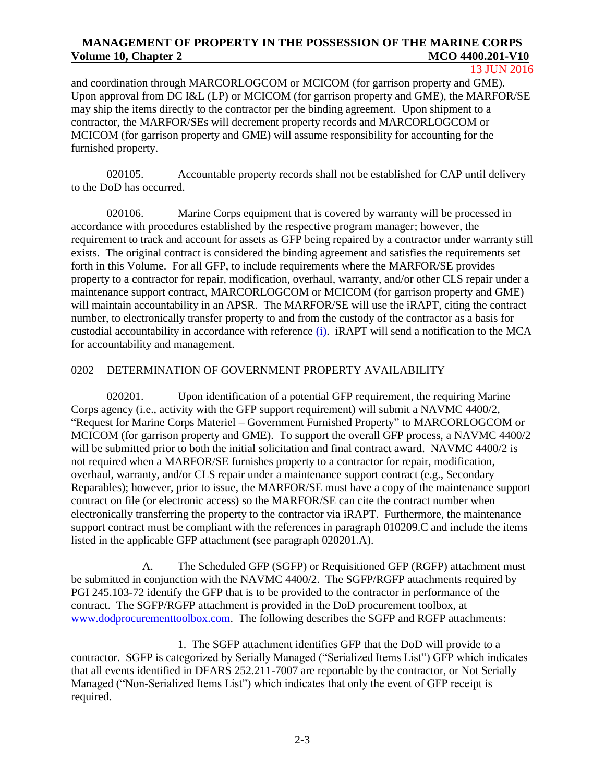13 JUN 2016

and coordination through MARCORLOGCOM or MCICOM (for garrison property and GME). Upon approval from DC I&L (LP) or MCICOM (for garrison property and GME), the MARFOR/SE may ship the items directly to the contractor per the binding agreement. Upon shipment to a contractor, the MARFOR/SEs will decrement property records and MARCORLOGCOM or MCICOM (for garrison property and GME) will assume responsibility for accounting for the furnished property.

020105. Accountable property records shall not be established for CAP until delivery to the DoD has occurred.

020106. Marine Corps equipment that is covered by warranty will be processed in accordance with procedures established by the respective program manager; however, the requirement to track and account for assets as GFP being repaired by a contractor under warranty still exists. The original contract is considered the binding agreement and satisfies the requirements set forth in this Volume. For all GFP, to include requirements where the MARFOR/SE provides property to a contractor for repair, modification, overhaul, warranty, and/or other CLS repair under a maintenance support contract, MARCORLOGCOM or MCICOM (for garrison property and GME) will maintain accountability in an APSR. The MARFOR/SE will use the *iRAPT*, citing the contract number, to electronically transfer property to and from the custody of the contractor as a basis for custodial accountability in accordance with reference (i). iRAPT will send a notification to the MCA for accountability and management.

#### 0202 DETERMINATION OF GOVERNMENT PROPERTY AVAILABILITY

020201. Upon identification of a potential GFP requirement, the requiring Marine Corps agency (i.e., activity with the GFP support requirement) will submit a NAVMC 4400/2, "Request for Marine Corps Materiel – Government Furnished Property" to MARCORLOGCOM or MCICOM (for garrison property and GME). To support the overall GFP process, a NAVMC 4400/2 will be submitted prior to both the initial solicitation and final contract award. NAVMC 4400/2 is not required when a MARFOR/SE furnishes property to a contractor for repair, modification, overhaul, warranty, and/or CLS repair under a maintenance support contract (e.g., Secondary Reparables); however, prior to issue, the MARFOR/SE must have a copy of the maintenance support contract on file (or electronic access) so the MARFOR/SE can cite the contract number when electronically transferring the property to the contractor via iRAPT. Furthermore, the maintenance support contract must be compliant with the references in paragraph 010209.C and include the items listed in the applicable GFP attachment (see paragraph 020201.A).

A. The Scheduled GFP (SGFP) or Requisitioned GFP (RGFP) attachment must be submitted in conjunction with the NAVMC 4400/2. The SGFP/RGFP attachments required by PGI 245.103-72 identify the GFP that is to be provided to the contractor in performance of the contract. The SGFP/RGFP attachment is provided in the DoD procurement toolbox, at [www.dodprocurementtoolbox.com.](http://www.dodprocurementtoolbox.com/) The following describes the SGFP and RGFP attachments:

1. The SGFP attachment identifies GFP that the DoD will provide to a contractor. SGFP is categorized by Serially Managed ("Serialized Items List") GFP which indicates that all events identified in DFARS 252.211-7007 are reportable by the contractor, or Not Serially Managed ("Non-Serialized Items List") which indicates that only the event of GFP receipt is required.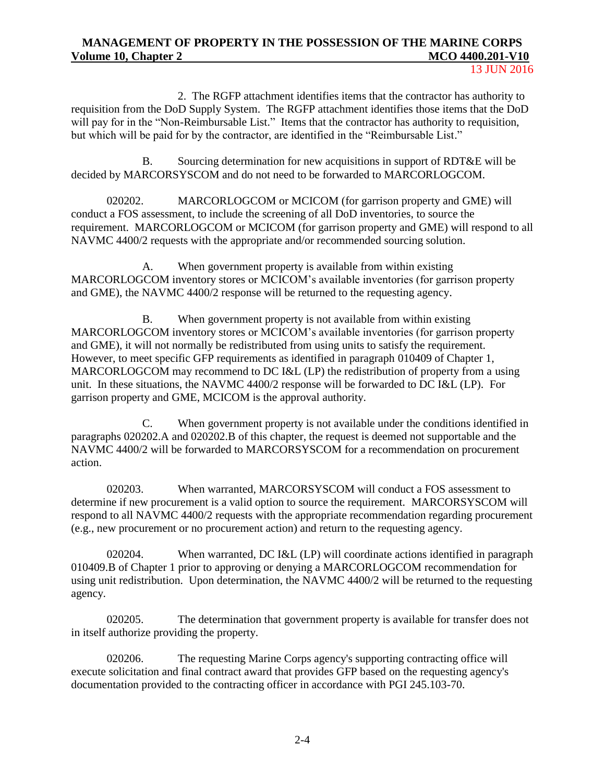13 JUN 2016

2. The RGFP attachment identifies items that the contractor has authority to requisition from the DoD Supply System. The RGFP attachment identifies those items that the DoD will pay for in the "Non-Reimbursable List." Items that the contractor has authority to requisition, but which will be paid for by the contractor, are identified in the "Reimbursable List."

B. Sourcing determination for new acquisitions in support of RDT&E will be decided by MARCORSYSCOM and do not need to be forwarded to MARCORLOGCOM.

020202. MARCORLOGCOM or MCICOM (for garrison property and GME) will conduct a FOS assessment, to include the screening of all DoD inventories, to source the requirement. MARCORLOGCOM or MCICOM (for garrison property and GME) will respond to all NAVMC 4400/2 requests with the appropriate and/or recommended sourcing solution.

A. When government property is available from within existing MARCORLOGCOM inventory stores or MCICOM's available inventories (for garrison property and GME), the NAVMC 4400/2 response will be returned to the requesting agency.

B. When government property is not available from within existing MARCORLOGCOM inventory stores or MCICOM's available inventories (for garrison property and GME), it will not normally be redistributed from using units to satisfy the requirement. However, to meet specific GFP requirements as identified in paragraph 010409 of Chapter 1, MARCORLOGCOM may recommend to DC I&L (LP) the redistribution of property from a using unit. In these situations, the NAVMC 4400/2 response will be forwarded to DC I&L (LP). For garrison property and GME, MCICOM is the approval authority.

C. When government property is not available under the conditions identified in paragraphs 020202.A and 020202.B of this chapter, the request is deemed not supportable and the NAVMC 4400/2 will be forwarded to MARCORSYSCOM for a recommendation on procurement action.

020203. When warranted, MARCORSYSCOM will conduct a FOS assessment to determine if new procurement is a valid option to source the requirement. MARCORSYSCOM will respond to all NAVMC 4400/2 requests with the appropriate recommendation regarding procurement (e.g., new procurement or no procurement action) and return to the requesting agency.

020204. When warranted, DC I&L (LP) will coordinate actions identified in paragraph 010409.B of Chapter 1 prior to approving or denying a MARCORLOGCOM recommendation for using unit redistribution. Upon determination, the NAVMC 4400/2 will be returned to the requesting agency.

020205. The determination that government property is available for transfer does not in itself authorize providing the property.

020206. The requesting Marine Corps agency's supporting contracting office will execute solicitation and final contract award that provides GFP based on the requesting agency's documentation provided to the contracting officer in accordance with PGI 245.103-70.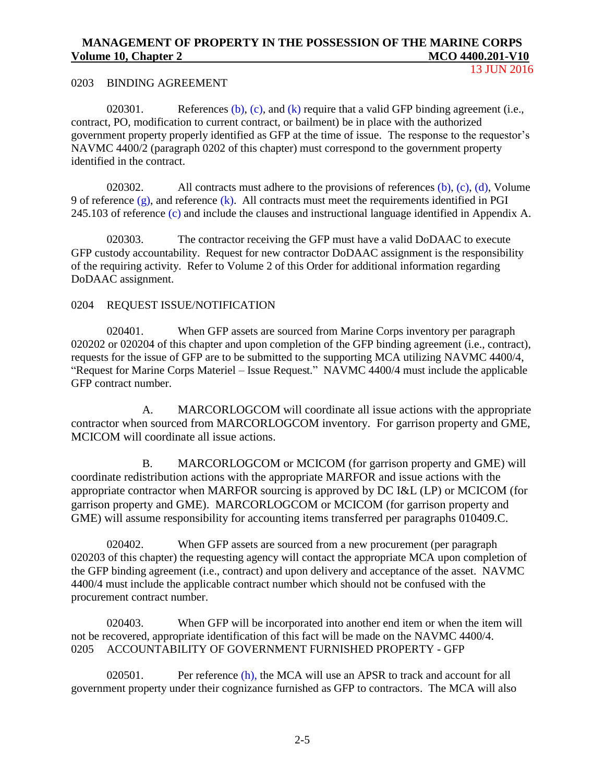13 JUN 2016

#### 0203 BINDING AGREEMENT

020301. [References](http://www.acquisition.gov/far/) [\(b\),](http://www.acquisition.gov/far/) (c), and (k) require that a valid GFP binding agreement (i.e., contract, PO, modification to current contract, or bailment) be in place with the authorized government property properly identified as GFP at the time of issue. The response to the requestor's NAVMC 4400/2 (paragraph 0202 of this chapter) must correspond to the government property identified in the contract.

020302. All contracts must adhere to the provisions of [references](http://www.acquisition.gov/far/)  $(b)$ ,  $(c)$ ,  $(d)$ , Volume 9 of reference  $(g)$ , and reference  $(k)$ . All contracts must meet the requirements identified in PGI 245.103 of reference (c) and include the clauses and instructional language identified in Appendix A.

020303. The contractor receiving the GFP must have a valid DoDAAC to execute GFP custody accountability. Request for new contractor DoDAAC assignment is the responsibility of the requiring activity. Refer to Volume 2 of this Order for additional information regarding DoDAAC assignment.

#### 0204 REQUEST ISSUE/NOTIFICATION

020401. When GFP assets are sourced from Marine Corps inventory per paragraph 020202 or 020204 of this chapter and upon completion of the GFP binding agreement (i.e., contract), requests for the issue of GFP are to be submitted to the supporting MCA utilizing NAVMC 4400/4, "Request for Marine Corps Materiel – Issue Request." NAVMC 4400/4 must include the applicable GFP contract number.

A. MARCORLOGCOM will coordinate all issue actions with the appropriate contractor when sourced from MARCORLOGCOM inventory. For garrison property and GME, MCICOM will coordinate all issue actions.

B. MARCORLOGCOM or MCICOM (for garrison property and GME) will coordinate redistribution actions with the appropriate MARFOR and issue actions with the appropriate contractor when MARFOR sourcing is approved by DC I&L (LP) or MCICOM (for garrison property and GME). MARCORLOGCOM or MCICOM (for garrison property and GME) will assume responsibility for accounting items transferred per paragraphs 010409.C.

020402. When GFP assets are sourced from a new procurement (per paragraph 020203 of this chapter) the requesting agency will contact the appropriate MCA upon completion of the GFP binding agreement (i.e., contract) and upon delivery and acceptance of the asset. NAVMC 4400/4 must include the applicable contract number which should not be confused with the procurement contract number.

020403. When GFP will be incorporated into another end item or when the item will not be recovered, appropriate identification of this fact will be made on the NAVMC 4400/4. 0205 ACCOUNTABILITY OF GOVERNMENT FURNISHED PROPERTY - GFP

020501. Per reference (h), the MCA will use an APSR to track and account for all government property under their cognizance furnished as GFP to contractors. The MCA will also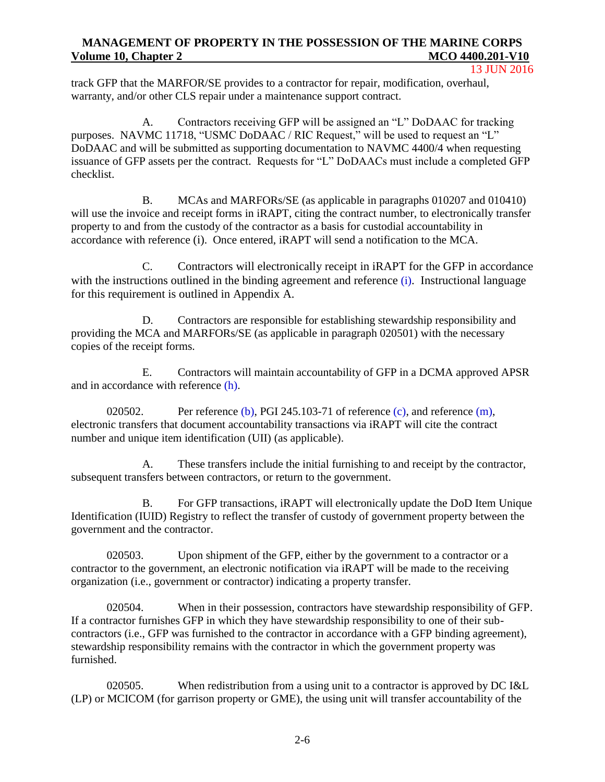track GFP that the MARFOR/SE provides to a contractor for repair, modification, overhaul, warranty, and/or other CLS repair under a maintenance support contract.

A. Contractors receiving GFP will be assigned an "L" DoDAAC for tracking purposes. NAVMC 11718, "USMC DoDAAC / RIC Request," will be used to request an "L" DoDAAC and will be submitted as supporting documentation to NAVMC 4400/4 when requesting issuance of GFP assets per the contract. Requests for "L" DoDAACs must include a completed GFP checklist.

B. MCAs and MARFORs/SE (as applicable in paragraphs 010207 and 010410) will use the invoice and receipt forms in *iRAPT*, citing the contract number, to electronically transfer property to and from the custody of the contractor as a basis for custodial accountability in accordance with reference (i). Once entered, iRAPT will send a notification to the MCA.

C. Contractors will electronically receipt in iRAPT for the GFP in accordance with the instructions outlined in the binding agreement and reference (i). Instructional language for this requirement is outlined in Appendix A.

D. Contractors are responsible for establishing stewardship responsibility and providing the MCA and MARFORs/SE (as applicable in paragraph 020501) with the necessary copies of the receipt forms.

E. Contractors will maintain accountability of GFP in a DCMA approved APSR and in accordance with reference (h).

020502. Per [reference \(b\),](http://www.acquisition.gov/far/) PGI 245.103-71 of reference (c), and reference  $(m)$ , electronic transfers that document accountability transactions via iRAPT will cite the contract number and unique item identification (UII) (as applicable).

A. These transfers include the initial furnishing to and receipt by the contractor, subsequent transfers between contractors, or return to the government.

B. For GFP transactions, iRAPT will electronically update the DoD Item Unique Identification (IUID) Registry to reflect the transfer of custody of government property between the government and the contractor.

020503. Upon shipment of the GFP, either by the government to a contractor or a contractor to the government, an electronic notification via iRAPT will be made to the receiving organization (i.e., government or contractor) indicating a property transfer.

020504. When in their possession, contractors have stewardship responsibility of GFP. If a contractor furnishes GFP in which they have stewardship responsibility to one of their subcontractors (i.e., GFP was furnished to the contractor in accordance with a GFP binding agreement), stewardship responsibility remains with the contractor in which the government property was furnished.

020505. When redistribution from a using unit to a contractor is approved by DC I&L (LP) or MCICOM (for garrison property or GME), the using unit will transfer accountability of the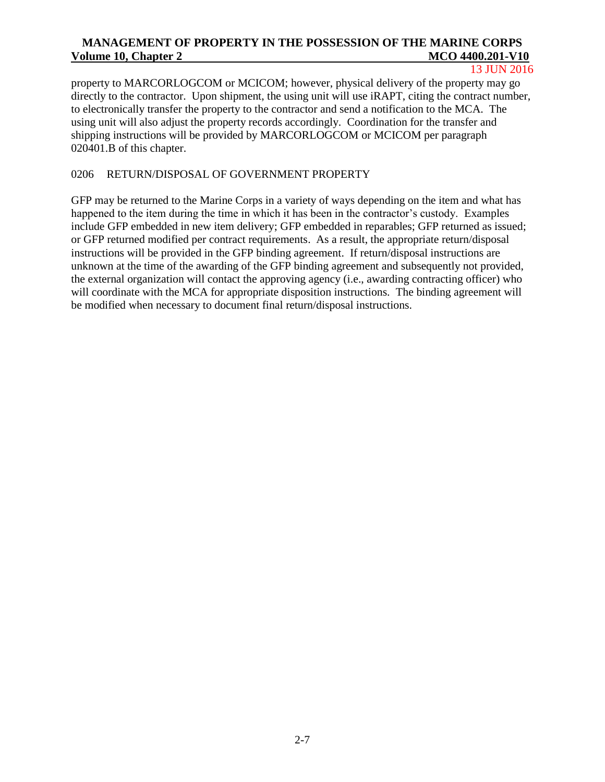13 JUN 2016

property to MARCORLOGCOM or MCICOM; however, physical delivery of the property may go directly to the contractor. Upon shipment, the using unit will use iRAPT, citing the contract number, to electronically transfer the property to the contractor and send a notification to the MCA. The using unit will also adjust the property records accordingly. Coordination for the transfer and shipping instructions will be provided by MARCORLOGCOM or MCICOM per paragraph 020401.B of this chapter.

## 0206 RETURN/DISPOSAL OF GOVERNMENT PROPERTY

GFP may be returned to the Marine Corps in a variety of ways depending on the item and what has happened to the item during the time in which it has been in the contractor's custody. Examples include GFP embedded in new item delivery; GFP embedded in reparables; GFP returned as issued; or GFP returned modified per contract requirements. As a result, the appropriate return/disposal instructions will be provided in the GFP binding agreement. If return/disposal instructions are unknown at the time of the awarding of the GFP binding agreement and subsequently not provided, the external organization will contact the approving agency (i.e., awarding contracting officer) who will coordinate with the MCA for appropriate disposition instructions. The binding agreement will be modified when necessary to document final return/disposal instructions.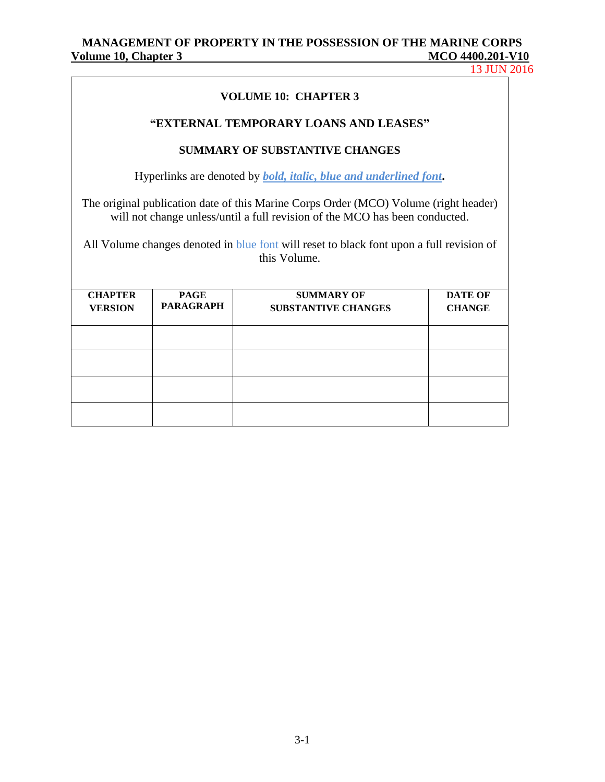13 JUN 2016

#### **VOLUME 10: CHAPTER 3**

#### **"EXTERNAL TEMPORARY LOANS AND LEASES"**

#### **SUMMARY OF SUBSTANTIVE CHANGES**

Hyperlinks are denoted by *bold, italic, blue and underlined font***.**

The original publication date of this Marine Corps Order (MCO) Volume (right header) will not change unless/until a full revision of the MCO has been conducted.

All Volume changes denoted in blue font will reset to black font upon a full revision of this Volume.

| <b>CHAPTER</b><br><b>VERSION</b> | <b>PAGE</b><br><b>PARAGRAPH</b> | <b>SUMMARY OF</b><br><b>SUBSTANTIVE CHANGES</b> | <b>DATE OF</b><br><b>CHANGE</b> |
|----------------------------------|---------------------------------|-------------------------------------------------|---------------------------------|
|                                  |                                 |                                                 |                                 |
|                                  |                                 |                                                 |                                 |
|                                  |                                 |                                                 |                                 |
|                                  |                                 |                                                 |                                 |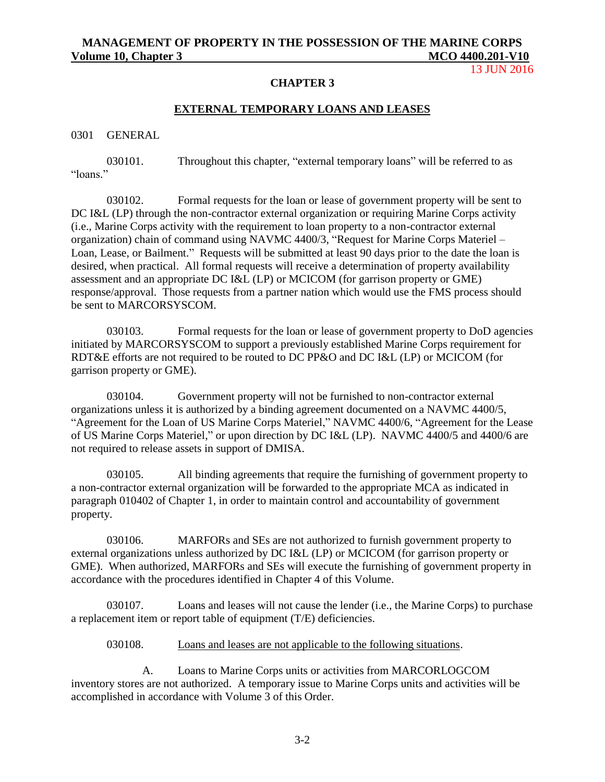13 JUN 2016

#### **CHAPTER 3**

## **EXTERNAL TEMPORARY LOANS AND LEASES**

0301 GENERAL

030101. Throughout this chapter, "external temporary loans" will be referred to as "loans."

030102. Formal requests for the loan or lease of government property will be sent to DC I&L (LP) through the non-contractor external organization or requiring Marine Corps activity (i.e., Marine Corps activity with the requirement to loan property to a non-contractor external organization) chain of command using NAVMC 4400/3, "Request for Marine Corps Materiel – Loan, Lease, or Bailment." Requests will be submitted at least 90 days prior to the date the loan is desired, when practical. All formal requests will receive a determination of property availability assessment and an appropriate DC I&L (LP) or MCICOM (for garrison property or GME) response/approval. Those requests from a partner nation which would use the FMS process should be sent to MARCORSYSCOM.

030103. Formal requests for the loan or lease of government property to DoD agencies initiated by MARCORSYSCOM to support a previously established Marine Corps requirement for RDT&E efforts are not required to be routed to DC PP&O and DC I&L (LP) or MCICOM (for garrison property or GME).

030104. Government property will not be furnished to non-contractor external organizations unless it is authorized by a binding agreement documented on a NAVMC 4400/5, "Agreement for the Loan of US Marine Corps Materiel," NAVMC 4400/6, "Agreement for the Lease of US Marine Corps Materiel," or upon direction by DC I&L (LP). NAVMC 4400/5 and 4400/6 are not required to release assets in support of DMISA.

030105. All binding agreements that require the furnishing of government property to a non-contractor external organization will be forwarded to the appropriate MCA as indicated in paragraph 010402 of Chapter 1, in order to maintain control and accountability of government property.

030106. MARFORs and SEs are not authorized to furnish government property to external organizations unless authorized by DC I&L (LP) or MCICOM (for garrison property or GME). When authorized, MARFORs and SEs will execute the furnishing of government property in accordance with the procedures identified in Chapter 4 of this Volume.

030107. Loans and leases will not cause the lender (i.e., the Marine Corps) to purchase a replacement item or report table of equipment (T/E) deficiencies.

030108. Loans and leases are not applicable to the following situations.

A. Loans to Marine Corps units or activities from MARCORLOGCOM inventory stores are not authorized. A temporary issue to Marine Corps units and activities will be accomplished in accordance with Volume 3 of this Order.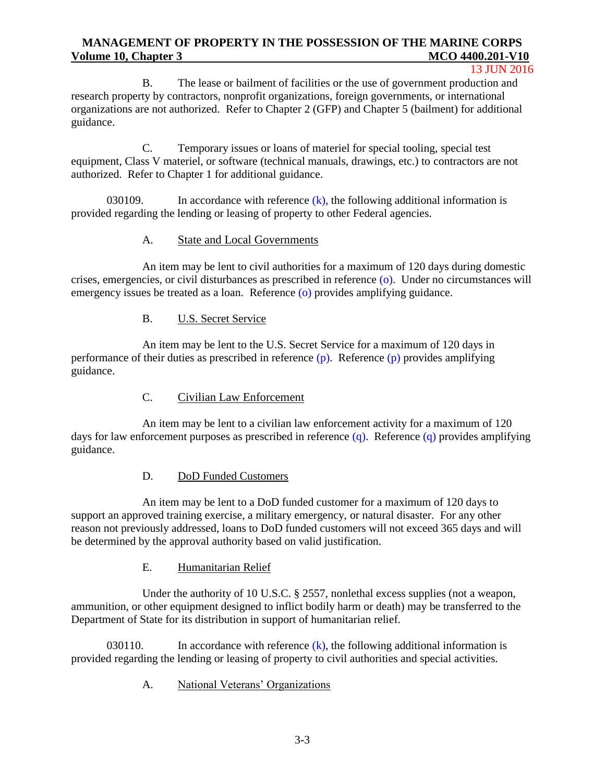#### 13 JUN 2016

B. The lease or bailment of facilities or the use of government production and research property by contractors, nonprofit organizations, foreign governments, or international organizations are not authorized. Refer to Chapter 2 (GFP) and Chapter 5 (bailment) for additional guidance.

C. Temporary issues or loans of materiel for special tooling, special test equipment, Class V materiel, or software (technical manuals, drawings, etc.) to contractors are not authorized. Refer to Chapter 1 for additional guidance.

030109. In accordance with reference  $(k)$ , the following additional information is provided regarding the lending or leasing of property to other Federal agencies.

#### A. State and Local Governments

An item may be lent to civil authorities for a maximum of 120 days during domestic crises, emergencies, or civil disturbances as prescribed in reference (o). Under no circumstances will emergency issues be treated as a loan. Reference (o) provides amplifying guidance.

#### B. U.S. Secret Service

An item may be lent to the U.S. Secret Service for a maximum of 120 days in performance of their duties as prescribed in reference (p). Reference (p) provides amplifying guidance.

#### C. Civilian Law Enforcement

An item may be lent to a civilian law enforcement activity for a maximum of 120 days for law enforcement purposes as prescribed in reference (q). Reference (q) provides amplifying guidance.

#### D. DoD Funded Customers

An item may be lent to a DoD funded customer for a maximum of 120 days to support an approved training exercise, a military emergency, or natural disaster. For any other reason not previously addressed, loans to DoD funded customers will not exceed 365 days and will be determined by the approval authority based on valid justification.

#### E. Humanitarian Relief

Under the authority of 10 U.S.C. § 2557, nonlethal excess supplies (not a weapon, ammunition, or other equipment designed to inflict bodily harm or death) may be transferred to the Department of State for its distribution in support of humanitarian relief.

030110. In accordance with reference  $(k)$ , the following additional information is provided regarding the lending or leasing of property to civil authorities and special activities.

A. National Veterans' Organizations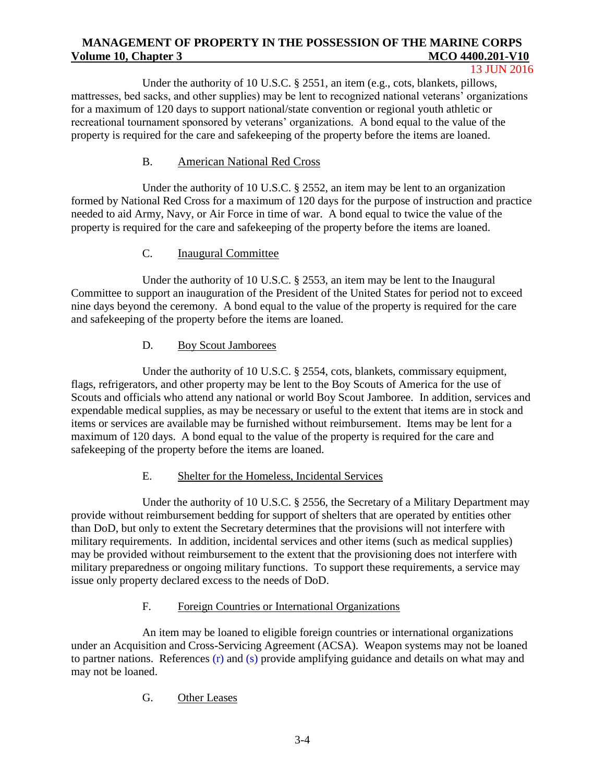#### 13 JUN 2016

Under the authority of 10 U.S.C. § 2551, an item (e.g., cots, blankets, pillows, mattresses, bed sacks, and other supplies) may be lent to recognized national veterans' organizations for a maximum of 120 days to support national/state convention or regional youth athletic or recreational tournament sponsored by veterans' organizations. A bond equal to the value of the property is required for the care and safekeeping of the property before the items are loaned.

## B. American National Red Cross

Under the authority of 10 U.S.C. § 2552, an item may be lent to an organization formed by National Red Cross for a maximum of 120 days for the purpose of instruction and practice needed to aid Army, Navy, or Air Force in time of war. A bond equal to twice the value of the property is required for the care and safekeeping of the property before the items are loaned.

#### C. Inaugural Committee

Under the authority of 10 U.S.C. § 2553, an item may be lent to the Inaugural Committee to support an inauguration of the President of the United States for period not to exceed nine days beyond the ceremony. A bond equal to the value of the property is required for the care and safekeeping of the property before the items are loaned.

#### D. Boy Scout Jamborees

Under the authority of 10 U.S.C. § 2554, cots, blankets, commissary equipment, flags, refrigerators, and other property may be lent to the Boy Scouts of America for the use of Scouts and officials who attend any national or world Boy Scout Jamboree. In addition, services and expendable medical supplies, as may be necessary or useful to the extent that items are in stock and items or services are available may be furnished without reimbursement. Items may be lent for a maximum of 120 days. A bond equal to the value of the property is required for the care and safekeeping of the property before the items are loaned.

#### E. Shelter for the Homeless, Incidental Services

Under the authority of 10 U.S.C. § 2556, the Secretary of a Military Department may provide without reimbursement bedding for support of shelters that are operated by entities other than DoD, but only to extent the Secretary determines that the provisions will not interfere with military requirements. In addition, incidental services and other items (such as medical supplies) may be provided without reimbursement to the extent that the provisioning does not interfere with military preparedness or ongoing military functions. To support these requirements, a service may issue only property declared excess to the needs of DoD.

#### F. Foreign Countries or International Organizations

An item may be loaned to eligible foreign countries or international organizations under an Acquisition and Cross-Servicing Agreement (ACSA). Weapon systems may not be loaned to partner nations. References (r) and (s) provide amplifying guidance and details on what may and may not be loaned.

## G. Other Leases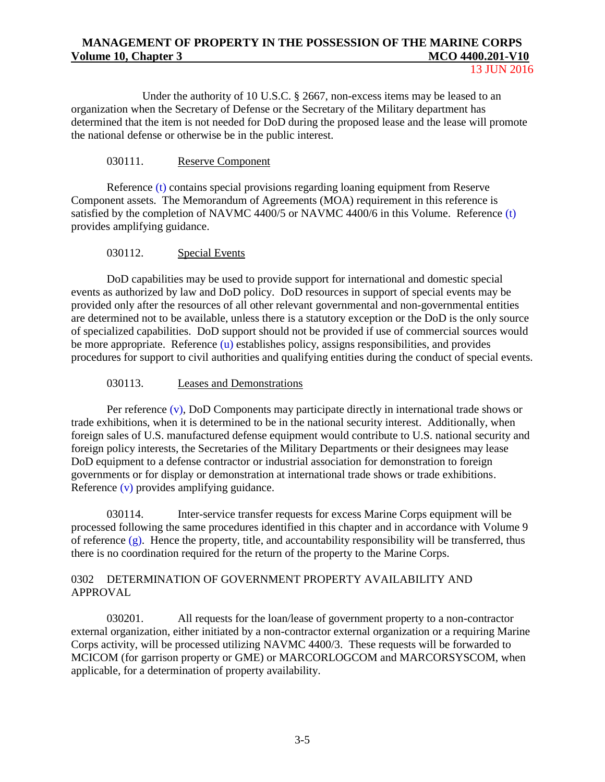Under the authority of 10 U.S.C. § 2667, non-excess items may be leased to an organization when the Secretary of Defense or the Secretary of the Military department has determined that the item is not needed for DoD during the proposed lease and the lease will promote the national defense or otherwise be in the public interest.

#### 030111. Reserve Component

Reference (t) contains special provisions regarding loaning equipment from Reserve Component assets. The Memorandum of Agreements (MOA) requirement in this reference is satisfied by the completion of NAVMC 4400/5 or NAVMC 4400/6 in this Volume. Reference (t) provides amplifying guidance.

#### 030112. Special Events

DoD capabilities may be used to provide support for international and domestic special events as authorized by law and DoD policy. DoD resources in support of special events may be provided only after the resources of all other relevant governmental and non-governmental entities are determined not to be available, unless there is a statutory exception or the DoD is the only source of specialized capabilities. DoD support should not be provided if use of commercial sources would be more appropriate. Reference (u) establishes policy, assigns responsibilities, and provides procedures for support to civil authorities and qualifying entities during the conduct of special events.

#### 030113. Leases and Demonstrations

Per reference (v), DoD Components may participate directly in international trade shows or trade exhibitions, when it is determined to be in the national security interest. Additionally, when foreign sales of U.S. manufactured defense equipment would contribute to U.S. national security and foreign policy interests, the Secretaries of the Military Departments or their designees may lease DoD equipment to a defense contractor or industrial association for demonstration to foreign governments or for display or demonstration at international trade shows or trade exhibitions. Reference (v) provides amplifying guidance.

030114. Inter-service transfer requests for excess Marine Corps equipment will be processed following the same procedures identified in this chapter and in accordance with Volume 9 of reference (g). Hence the property, title, and accountability responsibility will be transferred, thus there is no coordination required for the return of the property to the Marine Corps.

### 0302 DETERMINATION OF GOVERNMENT PROPERTY AVAILABILITY AND APPROVAL

030201. All requests for the loan/lease of government property to a non-contractor external organization, either initiated by a non-contractor external organization or a requiring Marine Corps activity, will be processed utilizing NAVMC 4400/3. These requests will be forwarded to MCICOM (for garrison property or GME) or MARCORLOGCOM and MARCORSYSCOM, when applicable, for a determination of property availability.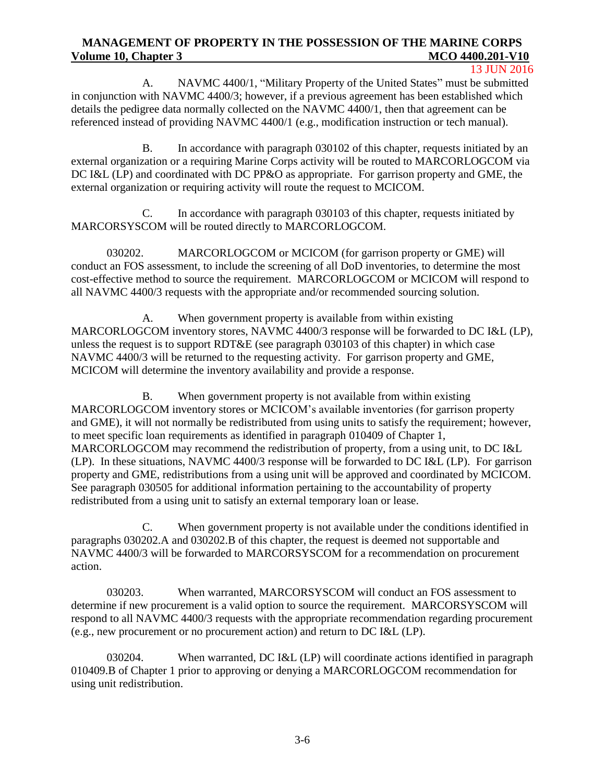#### 13 JUN 2016

A. NAVMC 4400/1, "Military Property of the United States" must be submitted in conjunction with NAVMC 4400/3; however, if a previous agreement has been established which details the pedigree data normally collected on the NAVMC 4400/1, then that agreement can be referenced instead of providing NAVMC 4400/1 (e.g., modification instruction or tech manual).

B. In accordance with paragraph 030102 of this chapter, requests initiated by an external organization or a requiring Marine Corps activity will be routed to MARCORLOGCOM via DC I&L (LP) and coordinated with DC PP&O as appropriate. For garrison property and GME, the external organization or requiring activity will route the request to MCICOM.

C. In accordance with paragraph 030103 of this chapter, requests initiated by MARCORSYSCOM will be routed directly to MARCORLOGCOM.

030202. MARCORLOGCOM or MCICOM (for garrison property or GME) will conduct an FOS assessment, to include the screening of all DoD inventories, to determine the most cost-effective method to source the requirement. MARCORLOGCOM or MCICOM will respond to all NAVMC 4400/3 requests with the appropriate and/or recommended sourcing solution.

A. When government property is available from within existing MARCORLOGCOM inventory stores, NAVMC 4400/3 response will be forwarded to DC I&L (LP), unless the request is to support RDT&E (see paragraph 030103 of this chapter) in which case NAVMC 4400/3 will be returned to the requesting activity. For garrison property and GME, MCICOM will determine the inventory availability and provide a response.

B. When government property is not available from within existing MARCORLOGCOM inventory stores or MCICOM's available inventories (for garrison property and GME), it will not normally be redistributed from using units to satisfy the requirement; however, to meet specific loan requirements as identified in paragraph 010409 of Chapter 1, MARCORLOGCOM may recommend the redistribution of property, from a using unit, to DC I&L (LP). In these situations, NAVMC 4400/3 response will be forwarded to DC I&L (LP). For garrison property and GME, redistributions from a using unit will be approved and coordinated by MCICOM. See paragraph 030505 for additional information pertaining to the accountability of property redistributed from a using unit to satisfy an external temporary loan or lease.

C. When government property is not available under the conditions identified in paragraphs 030202.A and 030202.B of this chapter, the request is deemed not supportable and NAVMC 4400/3 will be forwarded to MARCORSYSCOM for a recommendation on procurement action.

030203. When warranted, MARCORSYSCOM will conduct an FOS assessment to determine if new procurement is a valid option to source the requirement. MARCORSYSCOM will respond to all NAVMC 4400/3 requests with the appropriate recommendation regarding procurement (e.g., new procurement or no procurement action) and return to DC I&L (LP).

030204. When warranted, DC I&L (LP) will coordinate actions identified in paragraph 010409.B of Chapter 1 prior to approving or denying a MARCORLOGCOM recommendation for using unit redistribution.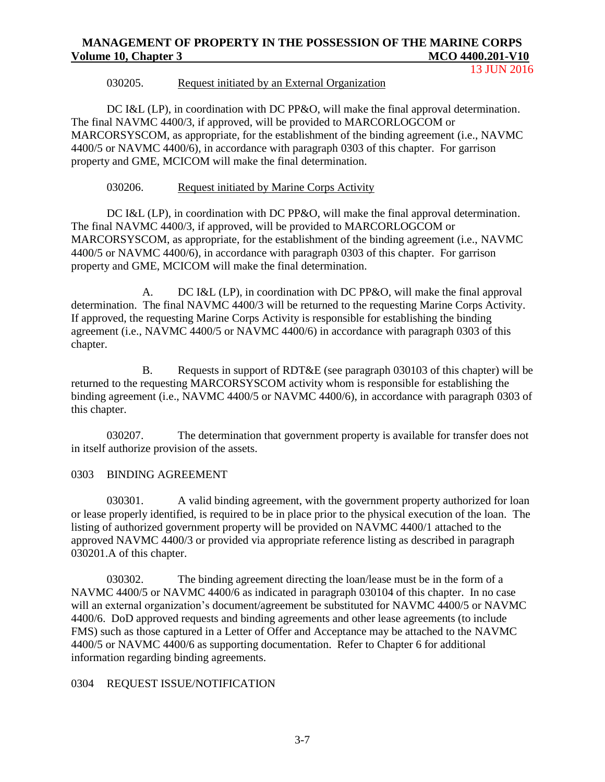13 JUN 2016

#### 030205. Request initiated by an External Organization

DC I&L (LP), in coordination with DC PP&O, will make the final approval determination. The final NAVMC 4400/3, if approved, will be provided to MARCORLOGCOM or MARCORSYSCOM, as appropriate, for the establishment of the binding agreement (i.e., NAVMC 4400/5 or NAVMC 4400/6), in accordance with paragraph 0303 of this chapter. For garrison property and GME, MCICOM will make the final determination.

#### 030206. Request initiated by Marine Corps Activity

DC I&L (LP), in coordination with DC PP&O, will make the final approval determination. The final NAVMC 4400/3, if approved, will be provided to MARCORLOGCOM or MARCORSYSCOM, as appropriate, for the establishment of the binding agreement (i.e., NAVMC 4400/5 or NAVMC 4400/6), in accordance with paragraph 0303 of this chapter. For garrison property and GME, MCICOM will make the final determination.

A. DC I&L (LP), in coordination with DC PP&O, will make the final approval determination. The final NAVMC 4400/3 will be returned to the requesting Marine Corps Activity. If approved, the requesting Marine Corps Activity is responsible for establishing the binding agreement (i.e., NAVMC 4400/5 or NAVMC 4400/6) in accordance with paragraph 0303 of this chapter.

B. Requests in support of RDT&E (see paragraph 030103 of this chapter) will be returned to the requesting MARCORSYSCOM activity whom is responsible for establishing the binding agreement (i.e., NAVMC 4400/5 or NAVMC 4400/6), in accordance with paragraph 0303 of this chapter.

030207. The determination that government property is available for transfer does not in itself authorize provision of the assets.

#### 0303 BINDING AGREEMENT

030301. A valid binding agreement, with the government property authorized for loan or lease properly identified, is required to be in place prior to the physical execution of the loan. The listing of authorized government property will be provided on NAVMC 4400/1 attached to the approved NAVMC 4400/3 or provided via appropriate reference listing as described in paragraph 030201.A of this chapter.

030302. The binding agreement directing the loan/lease must be in the form of a NAVMC 4400/5 or NAVMC 4400/6 as indicated in paragraph 030104 of this chapter. In no case will an external organization's document/agreement be substituted for NAVMC 4400/5 or NAVMC 4400/6. DoD approved requests and binding agreements and other lease agreements (to include FMS) such as those captured in a Letter of Offer and Acceptance may be attached to the NAVMC 4400/5 or NAVMC 4400/6 as supporting documentation. Refer to Chapter 6 for additional information regarding binding agreements.

#### 0304 REQUEST ISSUE/NOTIFICATION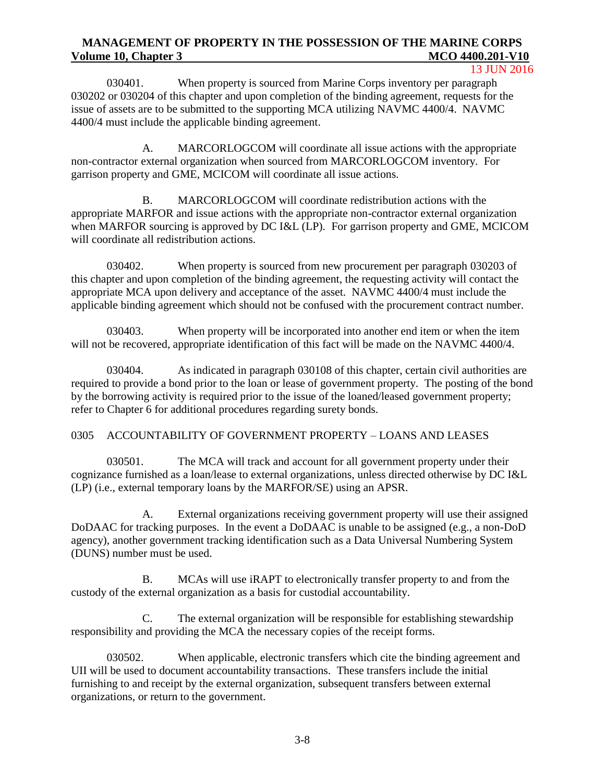13 JUN 2016

030401. When property is sourced from Marine Corps inventory per paragraph 030202 or 030204 of this chapter and upon completion of the binding agreement, requests for the issue of assets are to be submitted to the supporting MCA utilizing NAVMC 4400/4. NAVMC 4400/4 must include the applicable binding agreement.

A. MARCORLOGCOM will coordinate all issue actions with the appropriate non-contractor external organization when sourced from MARCORLOGCOM inventory. For garrison property and GME, MCICOM will coordinate all issue actions.

B. MARCORLOGCOM will coordinate redistribution actions with the appropriate MARFOR and issue actions with the appropriate non-contractor external organization when MARFOR sourcing is approved by DC I&L (LP). For garrison property and GME, MCICOM will coordinate all redistribution actions.

030402. When property is sourced from new procurement per paragraph 030203 of this chapter and upon completion of the binding agreement, the requesting activity will contact the appropriate MCA upon delivery and acceptance of the asset. NAVMC 4400/4 must include the applicable binding agreement which should not be confused with the procurement contract number.

030403. When property will be incorporated into another end item or when the item will not be recovered, appropriate identification of this fact will be made on the NAVMC 4400/4.

030404. As indicated in paragraph 030108 of this chapter, certain civil authorities are required to provide a bond prior to the loan or lease of government property. The posting of the bond by the borrowing activity is required prior to the issue of the loaned/leased government property; refer to Chapter 6 for additional procedures regarding surety bonds.

### 0305 ACCOUNTABILITY OF GOVERNMENT PROPERTY – LOANS AND LEASES

030501. The MCA will track and account for all government property under their cognizance furnished as a loan/lease to external organizations, unless directed otherwise by DC I&L (LP) (i.e., external temporary loans by the MARFOR/SE) using an APSR.

A. External organizations receiving government property will use their assigned DoDAAC for tracking purposes. In the event a DoDAAC is unable to be assigned (e.g., a non-DoD agency), another government tracking identification such as a Data Universal Numbering System (DUNS) number must be used.

B. MCAs will use iRAPT to electronically transfer property to and from the custody of the external organization as a basis for custodial accountability.

C. The external organization will be responsible for establishing stewardship responsibility and providing the MCA the necessary copies of the receipt forms.

030502. When applicable, electronic transfers which cite the binding agreement and UII will be used to document accountability transactions. These transfers include the initial furnishing to and receipt by the external organization, subsequent transfers between external organizations, or return to the government.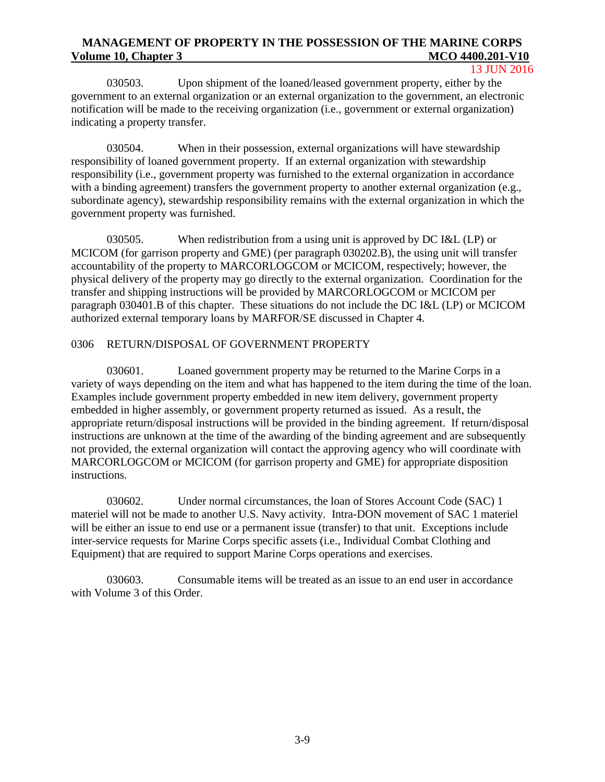13 JUN 2016

030503. Upon shipment of the loaned/leased government property, either by the government to an external organization or an external organization to the government, an electronic notification will be made to the receiving organization (i.e., government or external organization) indicating a property transfer.

030504. When in their possession, external organizations will have stewardship responsibility of loaned government property. If an external organization with stewardship responsibility (i.e., government property was furnished to the external organization in accordance with a binding agreement) transfers the government property to another external organization (e.g., subordinate agency), stewardship responsibility remains with the external organization in which the government property was furnished.

030505. When redistribution from a using unit is approved by DC I&L (LP) or MCICOM (for garrison property and GME) (per paragraph 030202.B), the using unit will transfer accountability of the property to MARCORLOGCOM or MCICOM, respectively; however, the physical delivery of the property may go directly to the external organization. Coordination for the transfer and shipping instructions will be provided by MARCORLOGCOM or MCICOM per paragraph 030401.B of this chapter. These situations do not include the DC I&L (LP) or MCICOM authorized external temporary loans by MARFOR/SE discussed in Chapter 4.

### 0306 RETURN/DISPOSAL OF GOVERNMENT PROPERTY

030601. Loaned government property may be returned to the Marine Corps in a variety of ways depending on the item and what has happened to the item during the time of the loan. Examples include government property embedded in new item delivery, government property embedded in higher assembly, or government property returned as issued. As a result, the appropriate return/disposal instructions will be provided in the binding agreement. If return/disposal instructions are unknown at the time of the awarding of the binding agreement and are subsequently not provided, the external organization will contact the approving agency who will coordinate with MARCORLOGCOM or MCICOM (for garrison property and GME) for appropriate disposition instructions.

030602. Under normal circumstances, the loan of Stores Account Code (SAC) 1 materiel will not be made to another U.S. Navy activity. Intra-DON movement of SAC 1 materiel will be either an issue to end use or a permanent issue (transfer) to that unit. Exceptions include inter-service requests for Marine Corps specific assets (i.e., Individual Combat Clothing and Equipment) that are required to support Marine Corps operations and exercises.

030603. Consumable items will be treated as an issue to an end user in accordance with Volume 3 of this Order.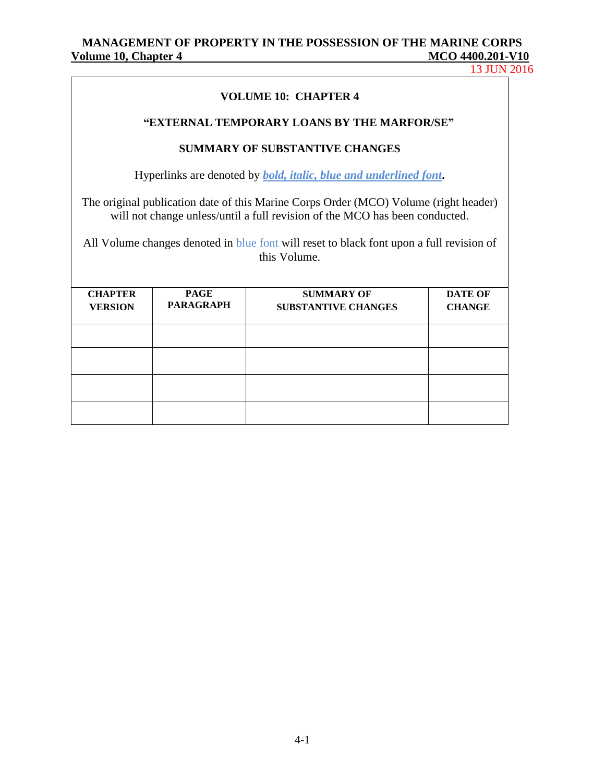13 JUN 2016

## **VOLUME 10: CHAPTER 4**

#### **"EXTERNAL TEMPORARY LOANS BY THE MARFOR/SE"**

## **SUMMARY OF SUBSTANTIVE CHANGES**

Hyperlinks are denoted by *bold, italic, blue and underlined font***.**

The original publication date of this Marine Corps Order (MCO) Volume (right header) will not change unless/until a full revision of the MCO has been conducted.

All Volume changes denoted in blue font will reset to black font upon a full revision of this Volume.

| <b>CHAPTER</b><br><b>VERSION</b> | <b>PAGE</b><br><b>PARAGRAPH</b> | <b>SUMMARY OF</b><br><b>SUBSTANTIVE CHANGES</b> | <b>DATE OF</b><br><b>CHANGE</b> |
|----------------------------------|---------------------------------|-------------------------------------------------|---------------------------------|
|                                  |                                 |                                                 |                                 |
|                                  |                                 |                                                 |                                 |
|                                  |                                 |                                                 |                                 |
|                                  |                                 |                                                 |                                 |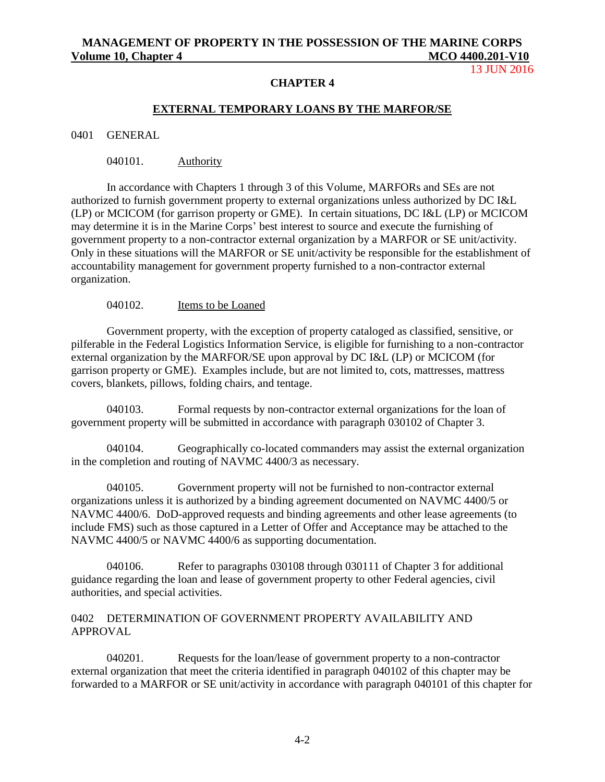### 13 JUN 2016

#### **CHAPTER 4**

#### **EXTERNAL TEMPORARY LOANS BY THE MARFOR/SE**

0401 GENERAL

040101. Authority

In accordance with Chapters 1 through 3 of this Volume, MARFORs and SEs are not authorized to furnish government property to external organizations unless authorized by DC I&L (LP) or MCICOM (for garrison property or GME). In certain situations, DC I&L (LP) or MCICOM may determine it is in the Marine Corps' best interest to source and execute the furnishing of government property to a non-contractor external organization by a MARFOR or SE unit/activity. Only in these situations will the MARFOR or SE unit/activity be responsible for the establishment of accountability management for government property furnished to a non-contractor external organization.

040102. Items to be Loaned

Government property, with the exception of property cataloged as classified, sensitive, or pilferable in the Federal Logistics Information Service, is eligible for furnishing to a non-contractor external organization by the MARFOR/SE upon approval by DC I&L (LP) or MCICOM (for garrison property or GME). Examples include, but are not limited to, cots, mattresses, mattress covers, blankets, pillows, folding chairs, and tentage.

040103. Formal requests by non-contractor external organizations for the loan of government property will be submitted in accordance with paragraph 030102 of Chapter 3.

040104. Geographically co-located commanders may assist the external organization in the completion and routing of NAVMC 4400/3 as necessary.

040105. Government property will not be furnished to non-contractor external organizations unless it is authorized by a binding agreement documented on NAVMC 4400/5 or NAVMC 4400/6. DoD-approved requests and binding agreements and other lease agreements (to include FMS) such as those captured in a Letter of Offer and Acceptance may be attached to the NAVMC 4400/5 or NAVMC 4400/6 as supporting documentation.

040106. Refer to paragraphs 030108 through 030111 of Chapter 3 for additional guidance regarding the loan and lease of government property to other Federal agencies, civil authorities, and special activities.

#### 0402 DETERMINATION OF GOVERNMENT PROPERTY AVAILABILITY AND APPROVAL

040201. Requests for the loan/lease of government property to a non-contractor external organization that meet the criteria identified in paragraph 040102 of this chapter may be forwarded to a MARFOR or SE unit/activity in accordance with paragraph 040101 of this chapter for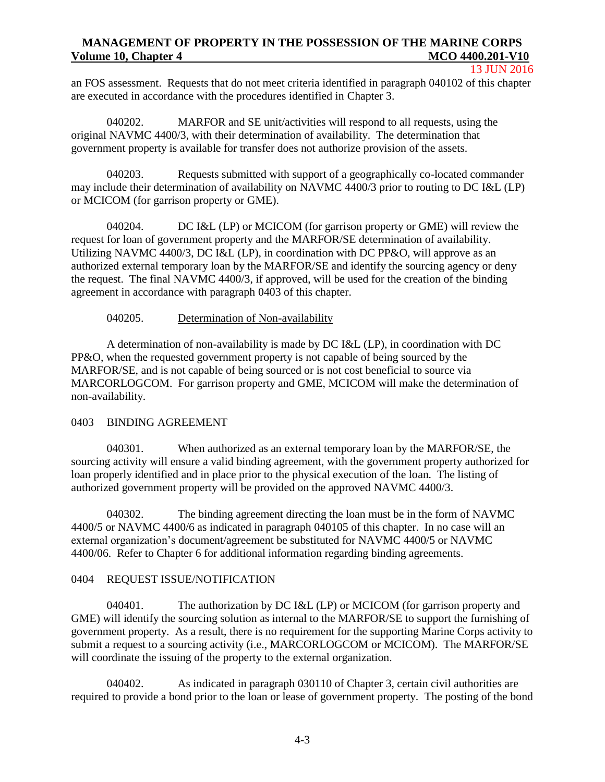#### 13 JUN 2016

an FOS assessment. Requests that do not meet criteria identified in paragraph 040102 of this chapter are executed in accordance with the procedures identified in Chapter 3.

040202. MARFOR and SE unit/activities will respond to all requests, using the original NAVMC 4400/3, with their determination of availability. The determination that government property is available for transfer does not authorize provision of the assets.

040203. Requests submitted with support of a geographically co-located commander may include their determination of availability on NAVMC 4400/3 prior to routing to DC I&L (LP) or MCICOM (for garrison property or GME).

040204. DC I&L (LP) or MCICOM (for garrison property or GME) will review the request for loan of government property and the MARFOR/SE determination of availability. Utilizing NAVMC 4400/3, DC I&L (LP), in coordination with DC PP&O, will approve as an authorized external temporary loan by the MARFOR/SE and identify the sourcing agency or deny the request. The final NAVMC 4400/3, if approved, will be used for the creation of the binding agreement in accordance with paragraph 0403 of this chapter.

## 040205. Determination of Non-availability

A determination of non-availability is made by DC I&L (LP), in coordination with DC PP&O, when the requested government property is not capable of being sourced by the MARFOR/SE, and is not capable of being sourced or is not cost beneficial to source via MARCORLOGCOM. For garrison property and GME, MCICOM will make the determination of non-availability.

# 0403 BINDING AGREEMENT

040301. When authorized as an external temporary loan by the MARFOR/SE, the sourcing activity will ensure a valid binding agreement, with the government property authorized for loan properly identified and in place prior to the physical execution of the loan. The listing of authorized government property will be provided on the approved NAVMC 4400/3.

040302. The binding agreement directing the loan must be in the form of NAVMC 4400/5 or NAVMC 4400/6 as indicated in paragraph 040105 of this chapter. In no case will an external organization's document/agreement be substituted for NAVMC 4400/5 or NAVMC 4400/06. Refer to Chapter 6 for additional information regarding binding agreements.

# 0404 REQUEST ISSUE/NOTIFICATION

040401. The authorization by DC I&L (LP) or MCICOM (for garrison property and GME) will identify the sourcing solution as internal to the MARFOR/SE to support the furnishing of government property. As a result, there is no requirement for the supporting Marine Corps activity to submit a request to a sourcing activity (i.e., MARCORLOGCOM or MCICOM). The MARFOR/SE will coordinate the issuing of the property to the external organization.

040402. As indicated in paragraph 030110 of Chapter 3, certain civil authorities are required to provide a bond prior to the loan or lease of government property. The posting of the bond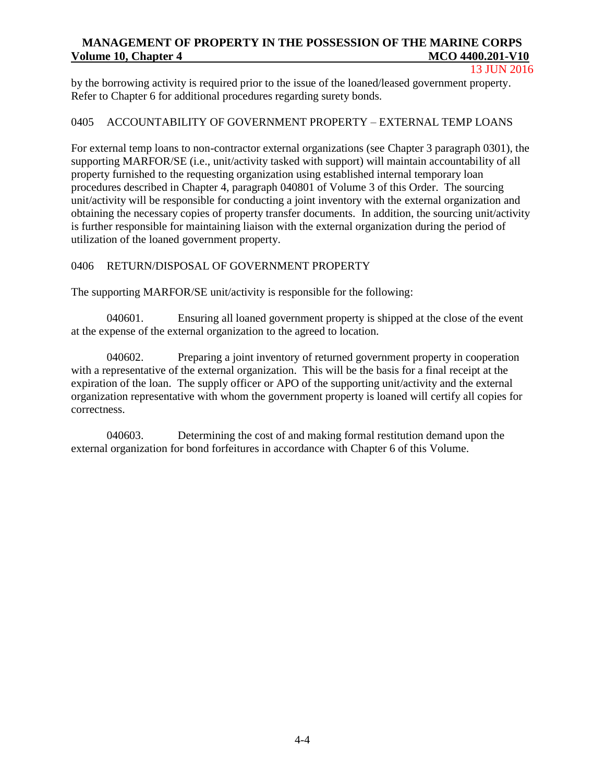13 JUN 2016

by the borrowing activity is required prior to the issue of the loaned/leased government property. Refer to Chapter 6 for additional procedures regarding surety bonds.

## 0405 ACCOUNTABILITY OF GOVERNMENT PROPERTY – EXTERNAL TEMP LOANS

For external temp loans to non-contractor external organizations (see Chapter 3 paragraph 0301), the supporting MARFOR/SE (i.e., unit/activity tasked with support) will maintain accountability of all property furnished to the requesting organization using established internal temporary loan procedures described in Chapter 4, paragraph 040801 of Volume 3 of this Order. The sourcing unit/activity will be responsible for conducting a joint inventory with the external organization and obtaining the necessary copies of property transfer documents. In addition, the sourcing unit/activity is further responsible for maintaining liaison with the external organization during the period of utilization of the loaned government property.

### 0406 RETURN/DISPOSAL OF GOVERNMENT PROPERTY

The supporting MARFOR/SE unit/activity is responsible for the following:

040601. Ensuring all loaned government property is shipped at the close of the event at the expense of the external organization to the agreed to location.

040602. Preparing a joint inventory of returned government property in cooperation with a representative of the external organization. This will be the basis for a final receipt at the expiration of the loan. The supply officer or APO of the supporting unit/activity and the external organization representative with whom the government property is loaned will certify all copies for correctness.

040603. Determining the cost of and making formal restitution demand upon the external organization for bond forfeitures in accordance with Chapter 6 of this Volume.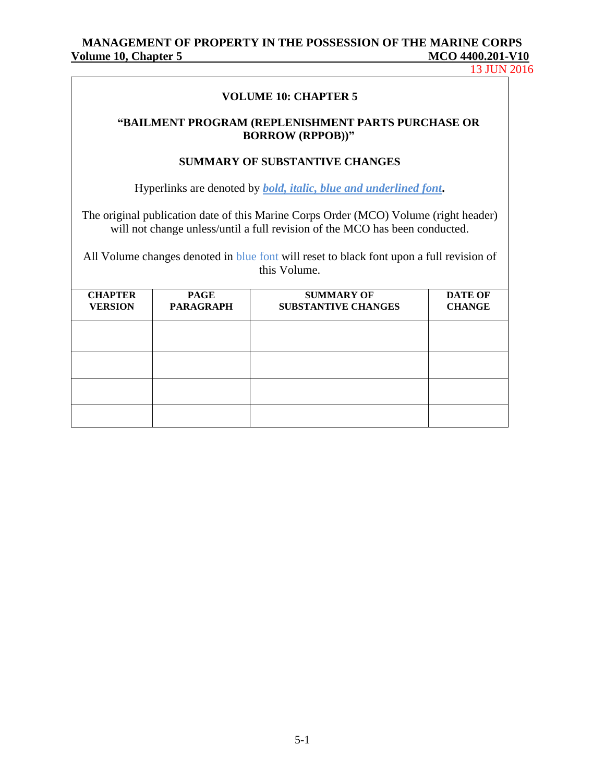13 JUN 2016

#### **VOLUME 10: CHAPTER 5**

#### **"BAILMENT PROGRAM (REPLENISHMENT PARTS PURCHASE OR BORROW (RPPOB))"**

#### **SUMMARY OF SUBSTANTIVE CHANGES**

Hyperlinks are denoted by *bold, italic, blue and underlined font***.**

The original publication date of this Marine Corps Order (MCO) Volume (right header) will not change unless/until a full revision of the MCO has been conducted.

All Volume changes denoted in blue font will reset to black font upon a full revision of this Volume.

| <b>CHAPTER</b><br><b>VERSION</b> | <b>PAGE</b><br><b>PARAGRAPH</b> | <b>SUMMARY OF</b><br><b>SUBSTANTIVE CHANGES</b> | <b>DATE OF</b><br><b>CHANGE</b> |
|----------------------------------|---------------------------------|-------------------------------------------------|---------------------------------|
|                                  |                                 |                                                 |                                 |
|                                  |                                 |                                                 |                                 |
|                                  |                                 |                                                 |                                 |
|                                  |                                 |                                                 |                                 |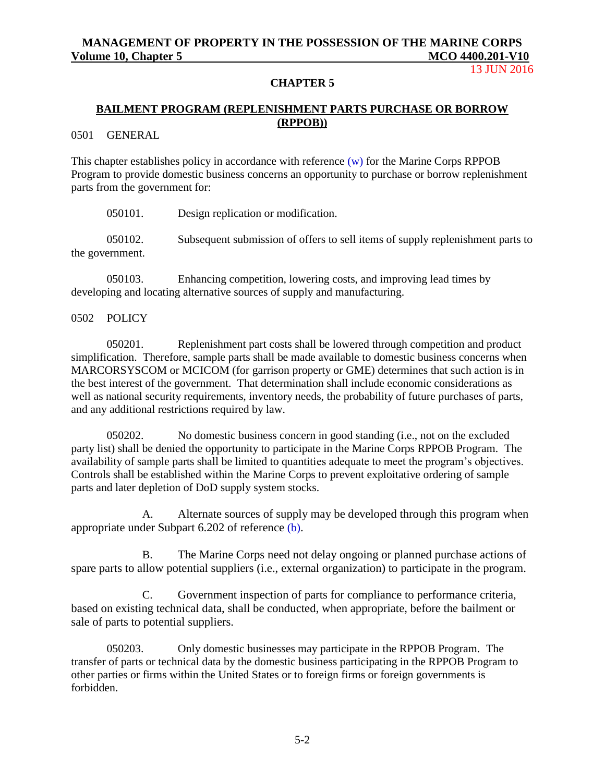13 JUN 2016

#### **CHAPTER 5**

## **BAILMENT PROGRAM (REPLENISHMENT PARTS PURCHASE OR BORROW (RPPOB))**

0501 GENERAL

This chapter establishes policy in accordance with reference (w) for the Marine Corps RPPOB Program to provide domestic business concerns an opportunity to purchase or borrow replenishment parts from the government for:

050101. Design replication or modification.

050102. Subsequent submission of offers to sell items of supply replenishment parts to the government.

050103. Enhancing competition, lowering costs, and improving lead times by developing and locating alternative sources of supply and manufacturing.

0502 POLICY

050201. Replenishment part costs shall be lowered through competition and product simplification. Therefore, sample parts shall be made available to domestic business concerns when MARCORSYSCOM or MCICOM (for garrison property or GME) determines that such action is in the best interest of the government. That determination shall include economic considerations as well as national security requirements, inventory needs, the probability of future purchases of parts, and any additional restrictions required by law.

050202. No domestic business concern in good standing (i.e., not on the excluded party list) shall be denied the opportunity to participate in the Marine Corps RPPOB Program. The availability of sample parts shall be limited to quantities adequate to meet the program's objectives. Controls shall be established within the Marine Corps to prevent exploitative ordering of sample parts and later depletion of DoD supply system stocks.

A. Alternate sources of supply may be developed through this program when appropriate under Subpart 6.202 of reference (b).

B. The Marine Corps need not delay ongoing or planned purchase actions of spare parts to allow potential suppliers (i.e., external organization) to participate in the program.

C. Government inspection of parts for compliance to performance criteria, based on existing technical data, shall be conducted, when appropriate, before the bailment or sale of parts to potential suppliers.

050203. Only domestic businesses may participate in the RPPOB Program. The transfer of parts or technical data by the domestic business participating in the RPPOB Program to other parties or firms within the United States or to foreign firms or foreign governments is forbidden.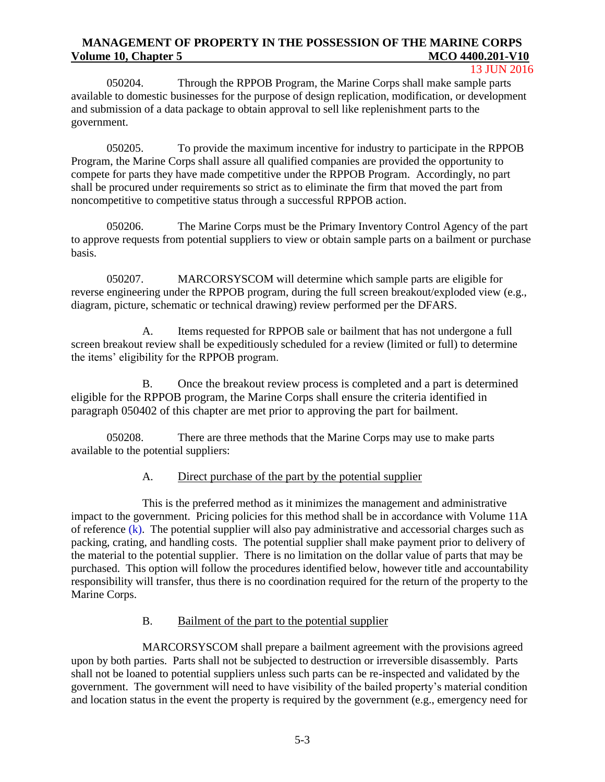13 JUN 2016

050204. Through the RPPOB Program, the Marine Corps shall make sample parts available to domestic businesses for the purpose of design replication, modification, or development and submission of a data package to obtain approval to sell like replenishment parts to the government.

050205. To provide the maximum incentive for industry to participate in the RPPOB Program, the Marine Corps shall assure all qualified companies are provided the opportunity to compete for parts they have made competitive under the RPPOB Program. Accordingly, no part shall be procured under requirements so strict as to eliminate the firm that moved the part from noncompetitive to competitive status through a successful RPPOB action.

050206. The Marine Corps must be the Primary Inventory Control Agency of the part to approve requests from potential suppliers to view or obtain sample parts on a bailment or purchase basis.

050207. MARCORSYSCOM will determine which sample parts are eligible for reverse engineering under the RPPOB program, during the full screen breakout/exploded view (e.g., diagram, picture, schematic or technical drawing) review performed per the DFARS.

A. Items requested for RPPOB sale or bailment that has not undergone a full screen breakout review shall be expeditiously scheduled for a review (limited or full) to determine the items' eligibility for the RPPOB program.

B. Once the breakout review process is completed and a part is determined eligible for the RPPOB program, the Marine Corps shall ensure the criteria identified in paragraph 050402 of this chapter are met prior to approving the part for bailment.

050208. There are three methods that the Marine Corps may use to make parts available to the potential suppliers:

## A. Direct purchase of the part by the potential supplier

This is the preferred method as it minimizes the management and administrative impact to the government. Pricing policies for this method shall be in accordance with Volume 11A of reference  $(k)$ . The potential supplier will also pay administrative and accessorial charges such as packing, crating, and handling costs. The potential supplier shall make payment prior to delivery of the material to the potential supplier. There is no limitation on the dollar value of parts that may be purchased. This option will follow the procedures identified below, however title and accountability responsibility will transfer, thus there is no coordination required for the return of the property to the Marine Corps.

## B. Bailment of the part to the potential supplier

MARCORSYSCOM shall prepare a bailment agreement with the provisions agreed upon by both parties. Parts shall not be subjected to destruction or irreversible disassembly. Parts shall not be loaned to potential suppliers unless such parts can be re-inspected and validated by the government. The government will need to have visibility of the bailed property's material condition and location status in the event the property is required by the government (e.g., emergency need for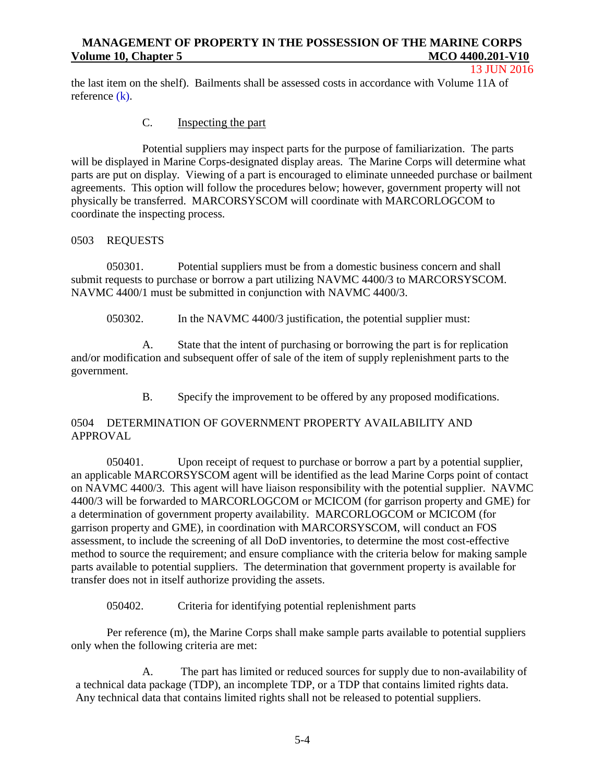#### 13 JUN 2016

the last item on the shelf). Bailments shall be assessed costs in accordance with Volume 11A of reference (k).

## C. Inspecting the part

Potential suppliers may inspect parts for the purpose of familiarization. The parts will be displayed in Marine Corps-designated display areas. The Marine Corps will determine what parts are put on display. Viewing of a part is encouraged to eliminate unneeded purchase or bailment agreements. This option will follow the procedures below; however, government property will not physically be transferred. MARCORSYSCOM will coordinate with MARCORLOGCOM to coordinate the inspecting process.

## 0503 REQUESTS

050301. Potential suppliers must be from a domestic business concern and shall submit requests to purchase or borrow a part utilizing NAVMC 4400/3 to MARCORSYSCOM. NAVMC 4400/1 must be submitted in conjunction with NAVMC 4400/3.

050302. In the NAVMC 4400/3 justification, the potential supplier must:

A. State that the intent of purchasing or borrowing the part is for replication and/or modification and subsequent offer of sale of the item of supply replenishment parts to the government.

B. Specify the improvement to be offered by any proposed modifications.

## 0504 DETERMINATION OF GOVERNMENT PROPERTY AVAILABILITY AND APPROVAL

050401. Upon receipt of request to purchase or borrow a part by a potential supplier, an applicable MARCORSYSCOM agent will be identified as the lead Marine Corps point of contact on NAVMC 4400/3. This agent will have liaison responsibility with the potential supplier. NAVMC 4400/3 will be forwarded to MARCORLOGCOM or MCICOM (for garrison property and GME) for a determination of government property availability. MARCORLOGCOM or MCICOM (for garrison property and GME), in coordination with MARCORSYSCOM, will conduct an FOS assessment, to include the screening of all DoD inventories, to determine the most cost-effective method to source the requirement; and ensure compliance with the criteria below for making sample parts available to potential suppliers. The determination that government property is available for transfer does not in itself authorize providing the assets.

050402. Criteria for identifying potential replenishment parts

Per reference (m), the Marine Corps shall make sample parts available to potential suppliers only when the following criteria are met:

A. The part has limited or reduced sources for supply due to non-availability of a technical data package (TDP), an incomplete TDP, or a TDP that contains limited rights data. Any technical data that contains limited rights shall not be released to potential suppliers.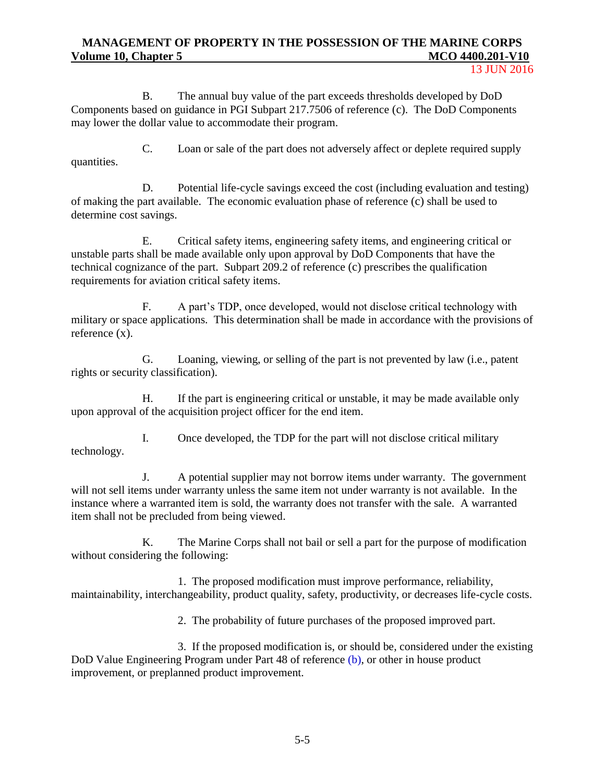13 JUN 2016

B. The annual buy value of the part exceeds thresholds developed by DoD Components based on guidance in PGI Subpart 217.7506 of reference (c). The DoD Components may lower the dollar value to accommodate their program.

C. Loan or sale of the part does not adversely affect or deplete required supply quantities.

D. Potential life-cycle savings exceed the cost (including evaluation and testing) of making the part available. The economic evaluation phase of reference (c) shall be used to determine cost savings.

E. Critical safety items, engineering safety items, and engineering critical or unstable parts shall be made available only upon approval by DoD Components that have the technical cognizance of the part. Subpart 209.2 of reference (c) prescribes the qualification requirements for aviation critical safety items.

F. A part's TDP, once developed, would not disclose critical technology with military or space applications. This determination shall be made in accordance with the provisions of reference (x).

G. Loaning, viewing, or selling of the part is not prevented by law (i.e., patent rights or security classification).

H. If the part is engineering critical or unstable, it may be made available only upon approval of the acquisition project officer for the end item.

I. Once developed, the TDP for the part will not disclose critical military technology.

J. A potential supplier may not borrow items under warranty. The government will not sell items under warranty unless the same item not under warranty is not available. In the instance where a warranted item is sold, the warranty does not transfer with the sale. A warranted item shall not be precluded from being viewed.

K. The Marine Corps shall not bail or sell a part for the purpose of modification without considering the following:

1. The proposed modification must improve performance, reliability, maintainability, interchangeability, product quality, safety, productivity, or decreases life-cycle costs.

2. The probability of future purchases of the proposed improved part.

3. If the proposed modification is, or should be, considered under the existing DoD Value Engineering Program under Part 48 of reference (b), or other in house product improvement, or preplanned product improvement.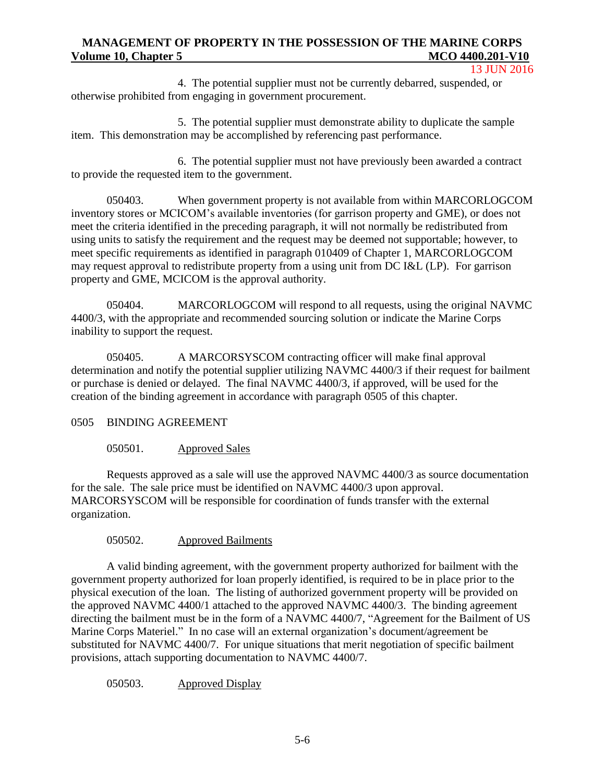13 JUN 2016

4. The potential supplier must not be currently debarred, suspended, or otherwise prohibited from engaging in government procurement.

5. The potential supplier must demonstrate ability to duplicate the sample item. This demonstration may be accomplished by referencing past performance.

6. The potential supplier must not have previously been awarded a contract to provide the requested item to the government.

050403. When government property is not available from within MARCORLOGCOM inventory stores or MCICOM's available inventories (for garrison property and GME), or does not meet the criteria identified in the preceding paragraph, it will not normally be redistributed from using units to satisfy the requirement and the request may be deemed not supportable; however, to meet specific requirements as identified in paragraph 010409 of Chapter 1, MARCORLOGCOM may request approval to redistribute property from a using unit from DC I&L (LP). For garrison property and GME, MCICOM is the approval authority.

050404. MARCORLOGCOM will respond to all requests, using the original NAVMC 4400/3, with the appropriate and recommended sourcing solution or indicate the Marine Corps inability to support the request.

050405. A MARCORSYSCOM contracting officer will make final approval determination and notify the potential supplier utilizing NAVMC 4400/3 if their request for bailment or purchase is denied or delayed. The final NAVMC 4400/3, if approved, will be used for the creation of the binding agreement in accordance with paragraph 0505 of this chapter.

# 0505 BINDING AGREEMENT

# 050501. Approved Sales

Requests approved as a sale will use the approved NAVMC 4400/3 as source documentation for the sale. The sale price must be identified on NAVMC 4400/3 upon approval. MARCORSYSCOM will be responsible for coordination of funds transfer with the external organization.

# 050502. Approved Bailments

A valid binding agreement, with the government property authorized for bailment with the government property authorized for loan properly identified, is required to be in place prior to the physical execution of the loan. The listing of authorized government property will be provided on the approved NAVMC 4400/1 attached to the approved NAVMC 4400/3. The binding agreement directing the bailment must be in the form of a NAVMC 4400/7, "Agreement for the Bailment of US Marine Corps Materiel." In no case will an external organization's document/agreement be substituted for NAVMC 4400/7. For unique situations that merit negotiation of specific bailment provisions, attach supporting documentation to NAVMC 4400/7.

050503. Approved Display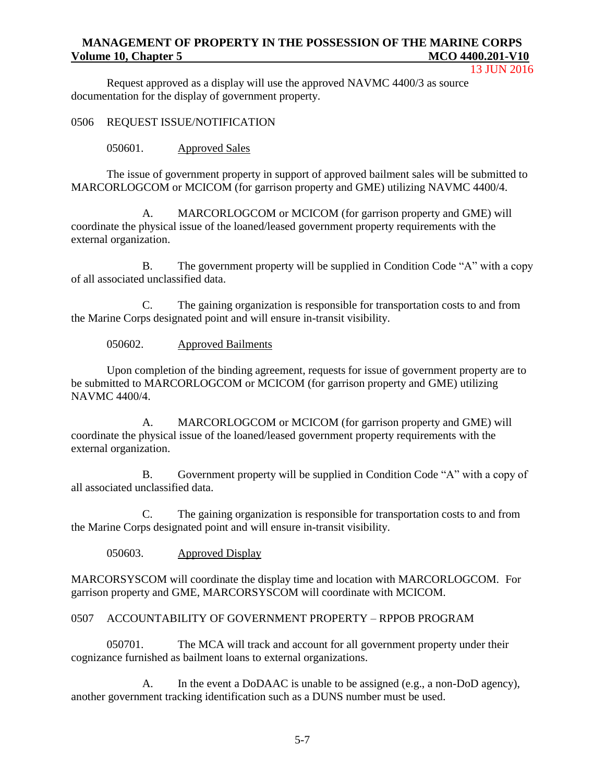13 JUN 2016

Request approved as a display will use the approved NAVMC 4400/3 as source documentation for the display of government property.

0506 REQUEST ISSUE/NOTIFICATION

050601. Approved Sales

The issue of government property in support of approved bailment sales will be submitted to MARCORLOGCOM or MCICOM (for garrison property and GME) utilizing NAVMC 4400/4.

A. MARCORLOGCOM or MCICOM (for garrison property and GME) will coordinate the physical issue of the loaned/leased government property requirements with the external organization.

B. The government property will be supplied in Condition Code "A" with a copy of all associated unclassified data.

C. The gaining organization is responsible for transportation costs to and from the Marine Corps designated point and will ensure in-transit visibility.

050602. Approved Bailments

Upon completion of the binding agreement, requests for issue of government property are to be submitted to MARCORLOGCOM or MCICOM (for garrison property and GME) utilizing NAVMC 4400/4.

A. MARCORLOGCOM or MCICOM (for garrison property and GME) will coordinate the physical issue of the loaned/leased government property requirements with the external organization.

B. Government property will be supplied in Condition Code "A" with a copy of all associated unclassified data.

C. The gaining organization is responsible for transportation costs to and from the Marine Corps designated point and will ensure in-transit visibility.

050603. Approved Display

MARCORSYSCOM will coordinate the display time and location with MARCORLOGCOM. For garrison property and GME, MARCORSYSCOM will coordinate with MCICOM.

#### 0507 ACCOUNTABILITY OF GOVERNMENT PROPERTY – RPPOB PROGRAM

050701. The MCA will track and account for all government property under their cognizance furnished as bailment loans to external organizations.

A. In the event a DoDAAC is unable to be assigned (e.g., a non-DoD agency), another government tracking identification such as a DUNS number must be used.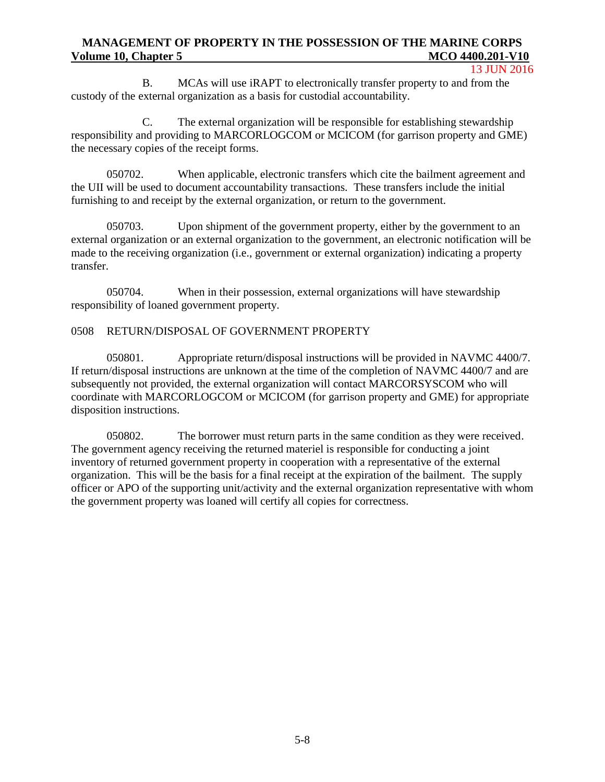#### 13 JUN 2016

B. MCAs will use iRAPT to electronically transfer property to and from the custody of the external organization as a basis for custodial accountability.

C. The external organization will be responsible for establishing stewardship responsibility and providing to MARCORLOGCOM or MCICOM (for garrison property and GME) the necessary copies of the receipt forms.

050702. When applicable, electronic transfers which cite the bailment agreement and the UII will be used to document accountability transactions. These transfers include the initial furnishing to and receipt by the external organization, or return to the government.

050703. Upon shipment of the government property, either by the government to an external organization or an external organization to the government, an electronic notification will be made to the receiving organization (i.e., government or external organization) indicating a property transfer.

050704. When in their possession, external organizations will have stewardship responsibility of loaned government property.

#### 0508 RETURN/DISPOSAL OF GOVERNMENT PROPERTY

050801. Appropriate return/disposal instructions will be provided in NAVMC 4400/7. If return/disposal instructions are unknown at the time of the completion of NAVMC 4400/7 and are subsequently not provided, the external organization will contact MARCORSYSCOM who will coordinate with MARCORLOGCOM or MCICOM (for garrison property and GME) for appropriate disposition instructions.

050802. The borrower must return parts in the same condition as they were received. The government agency receiving the returned materiel is responsible for conducting a joint inventory of returned government property in cooperation with a representative of the external organization. This will be the basis for a final receipt at the expiration of the bailment. The supply officer or APO of the supporting unit/activity and the external organization representative with whom the government property was loaned will certify all copies for correctness.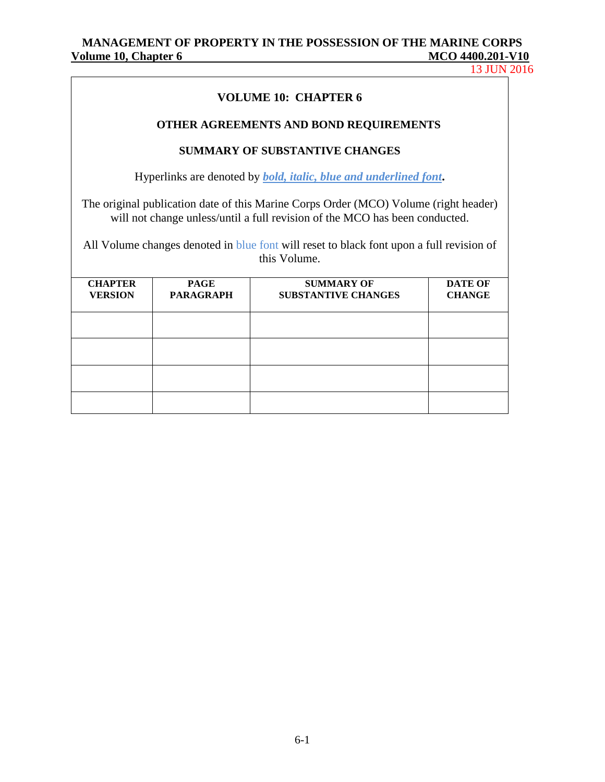13 JUN 2016

## **VOLUME 10: CHAPTER 6**

### **OTHER AGREEMENTS AND BOND REQUIREMENTS**

#### **SUMMARY OF SUBSTANTIVE CHANGES**

Hyperlinks are denoted by *bold, italic, blue and underlined font***.**

The original publication date of this Marine Corps Order (MCO) Volume (right header) will not change unless/until a full revision of the MCO has been conducted.

All Volume changes denoted in blue font will reset to black font upon a full revision of this Volume.

| <b>CHAPTER</b><br><b>VERSION</b> | <b>PAGE</b><br><b>PARAGRAPH</b> | <b>SUMMARY OF</b><br><b>SUBSTANTIVE CHANGES</b> | <b>DATE OF</b><br><b>CHANGE</b> |
|----------------------------------|---------------------------------|-------------------------------------------------|---------------------------------|
|                                  |                                 |                                                 |                                 |
|                                  |                                 |                                                 |                                 |
|                                  |                                 |                                                 |                                 |
|                                  |                                 |                                                 |                                 |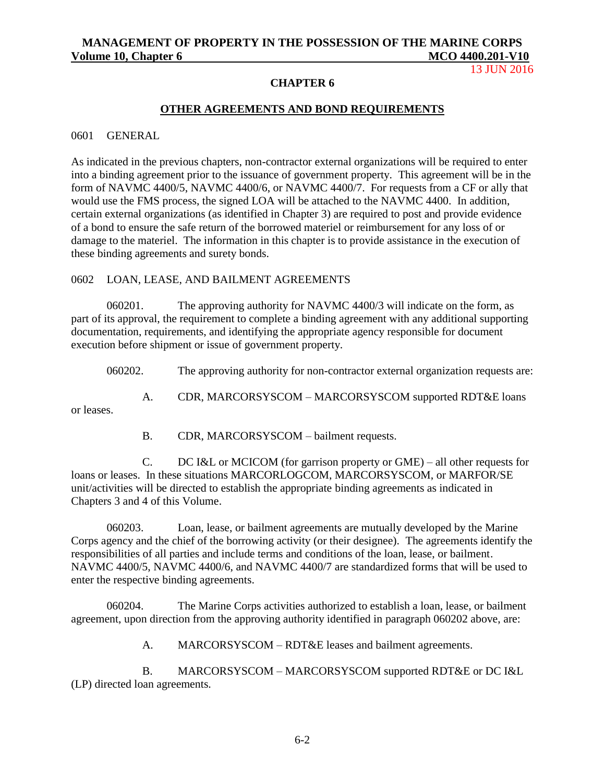13 JUN 2016

### **CHAPTER 6**

## **OTHER AGREEMENTS AND BOND REQUIREMENTS**

#### 0601 GENERAL

or leases.

As indicated in the previous chapters, non-contractor external organizations will be required to enter into a binding agreement prior to the issuance of government property. This agreement will be in the form of NAVMC 4400/5, NAVMC 4400/6, or NAVMC 4400/7. For requests from a CF or ally that would use the FMS process, the signed LOA will be attached to the NAVMC 4400. In addition, certain external organizations (as identified in Chapter 3) are required to post and provide evidence of a bond to ensure the safe return of the borrowed materiel or reimbursement for any loss of or damage to the materiel. The information in this chapter is to provide assistance in the execution of these binding agreements and surety bonds.

#### 0602 LOAN, LEASE, AND BAILMENT AGREEMENTS

060201. The approving authority for NAVMC 4400/3 will indicate on the form, as part of its approval, the requirement to complete a binding agreement with any additional supporting documentation, requirements, and identifying the appropriate agency responsible for document execution before shipment or issue of government property.

060202. The approving authority for non-contractor external organization requests are:

A. CDR, MARCORSYSCOM – MARCORSYSCOM supported RDT&E loans

B. CDR, MARCORSYSCOM – bailment requests.

C. DC I&L or MCICOM (for garrison property or GME) – all other requests for loans or leases. In these situations MARCORLOGCOM, MARCORSYSCOM, or MARFOR/SE unit/activities will be directed to establish the appropriate binding agreements as indicated in Chapters 3 and 4 of this Volume.

060203. Loan, lease, or bailment agreements are mutually developed by the Marine Corps agency and the chief of the borrowing activity (or their designee). The agreements identify the responsibilities of all parties and include terms and conditions of the loan, lease, or bailment. NAVMC 4400/5, NAVMC 4400/6, and NAVMC 4400/7 are standardized forms that will be used to enter the respective binding agreements.

060204. The Marine Corps activities authorized to establish a loan, lease, or bailment agreement, upon direction from the approving authority identified in paragraph 060202 above, are:

A. MARCORSYSCOM – RDT&E leases and bailment agreements.

B. MARCORSYSCOM – MARCORSYSCOM supported RDT&E or DC I&L (LP) directed loan agreements.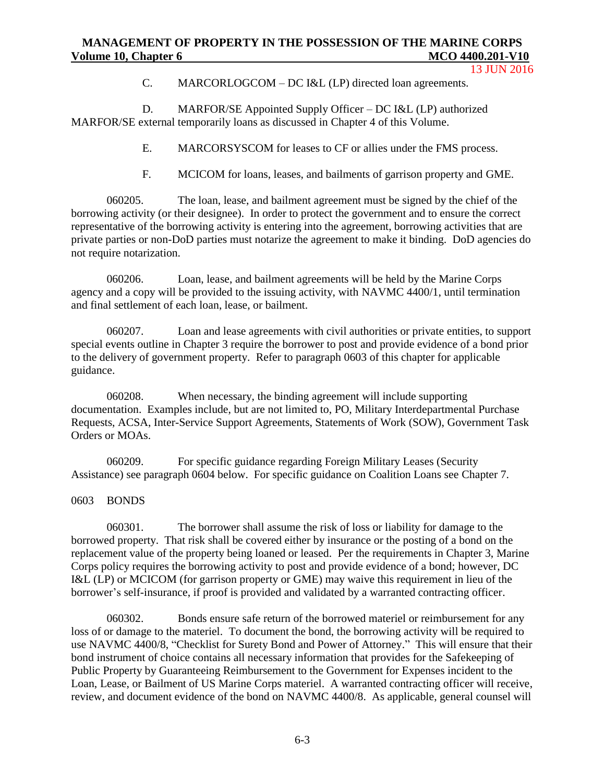C. MARCORLOGCOM – DC I&L (LP) directed loan agreements.

D. MARFOR/SE Appointed Supply Officer – DC I&L (LP) authorized MARFOR/SE external temporarily loans as discussed in Chapter 4 of this Volume.

E. MARCORSYSCOM for leases to CF or allies under the FMS process.

F. MCICOM for loans, leases, and bailments of garrison property and GME.

060205. The loan, lease, and bailment agreement must be signed by the chief of the borrowing activity (or their designee). In order to protect the government and to ensure the correct representative of the borrowing activity is entering into the agreement, borrowing activities that are private parties or non-DoD parties must notarize the agreement to make it binding. DoD agencies do not require notarization.

060206. Loan, lease, and bailment agreements will be held by the Marine Corps agency and a copy will be provided to the issuing activity, with NAVMC 4400/1, until termination and final settlement of each loan, lease, or bailment.

060207. Loan and lease agreements with civil authorities or private entities, to support special events outline in Chapter 3 require the borrower to post and provide evidence of a bond prior to the delivery of government property. Refer to paragraph 0603 of this chapter for applicable guidance.

060208. When necessary, the binding agreement will include supporting documentation. Examples include, but are not limited to, PO, Military Interdepartmental Purchase Requests, ACSA, Inter-Service Support Agreements, Statements of Work (SOW), Government Task Orders or MOAs.

060209. For specific guidance regarding Foreign Military Leases (Security Assistance) see paragraph 0604 below. For specific guidance on Coalition Loans see Chapter 7.

0603 BONDS

060301. The borrower shall assume the risk of loss or liability for damage to the borrowed property. That risk shall be covered either by insurance or the posting of a bond on the replacement value of the property being loaned or leased. Per the requirements in Chapter 3, Marine Corps policy requires the borrowing activity to post and provide evidence of a bond; however, DC I&L (LP) or MCICOM (for garrison property or GME) may waive this requirement in lieu of the borrower's self-insurance, if proof is provided and validated by a warranted contracting officer.

060302. Bonds ensure safe return of the borrowed materiel or reimbursement for any loss of or damage to the materiel. To document the bond, the borrowing activity will be required to use NAVMC 4400/8, "Checklist for Surety Bond and Power of Attorney." This will ensure that their bond instrument of choice contains all necessary information that provides for the Safekeeping of Public Property by Guaranteeing Reimbursement to the Government for Expenses incident to the Loan, Lease, or Bailment of US Marine Corps materiel. A warranted contracting officer will receive, review, and document evidence of the bond on NAVMC 4400/8. As applicable, general counsel will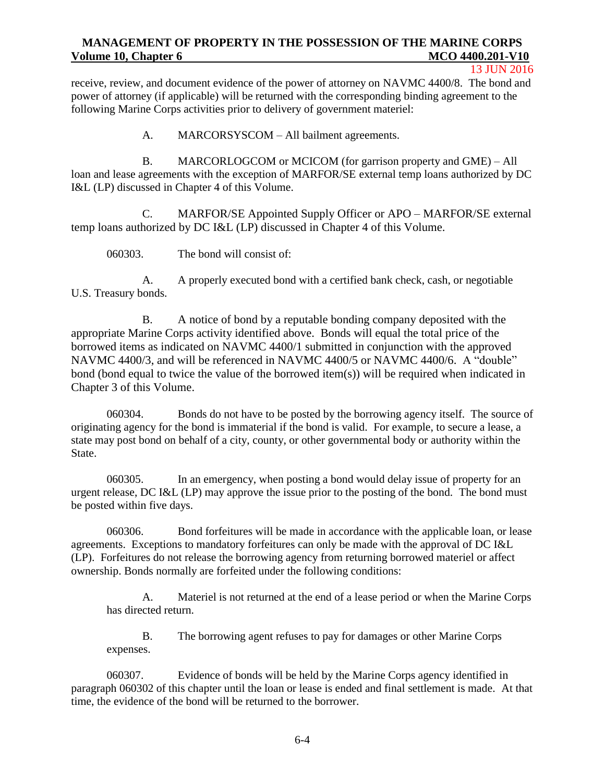#### 13 JUN 2016

receive, review, and document evidence of the power of attorney on NAVMC 4400/8. The bond and power of attorney (if applicable) will be returned with the corresponding binding agreement to the following Marine Corps activities prior to delivery of government materiel:

A. MARCORSYSCOM – All bailment agreements.

B. MARCORLOGCOM or MCICOM (for garrison property and GME) – All loan and lease agreements with the exception of MARFOR/SE external temp loans authorized by DC I&L (LP) discussed in Chapter 4 of this Volume.

C. MARFOR/SE Appointed Supply Officer or APO – MARFOR/SE external temp loans authorized by DC I&L (LP) discussed in Chapter 4 of this Volume.

060303. The bond will consist of:

A. A properly executed bond with a certified bank check, cash, or negotiable U.S. Treasury bonds.

B. A notice of bond by a reputable bonding company deposited with the appropriate Marine Corps activity identified above. Bonds will equal the total price of the borrowed items as indicated on NAVMC 4400/1 submitted in conjunction with the approved NAVMC 4400/3, and will be referenced in NAVMC 4400/5 or NAVMC 4400/6. A "double" bond (bond equal to twice the value of the borrowed item(s)) will be required when indicated in Chapter 3 of this Volume.

060304. Bonds do not have to be posted by the borrowing agency itself. The source of originating agency for the bond is immaterial if the bond is valid. For example, to secure a lease, a state may post bond on behalf of a city, county, or other governmental body or authority within the State.

060305. In an emergency, when posting a bond would delay issue of property for an urgent release, DC I&L (LP) may approve the issue prior to the posting of the bond. The bond must be posted within five days.

060306. Bond forfeitures will be made in accordance with the applicable loan, or lease agreements. Exceptions to mandatory forfeitures can only be made with the approval of DC I&L (LP). Forfeitures do not release the borrowing agency from returning borrowed materiel or affect ownership. Bonds normally are forfeited under the following conditions:

A. Materiel is not returned at the end of a lease period or when the Marine Corps has directed return.

B. The borrowing agent refuses to pay for damages or other Marine Corps expenses.

060307. Evidence of bonds will be held by the Marine Corps agency identified in paragraph 060302 of this chapter until the loan or lease is ended and final settlement is made. At that time, the evidence of the bond will be returned to the borrower.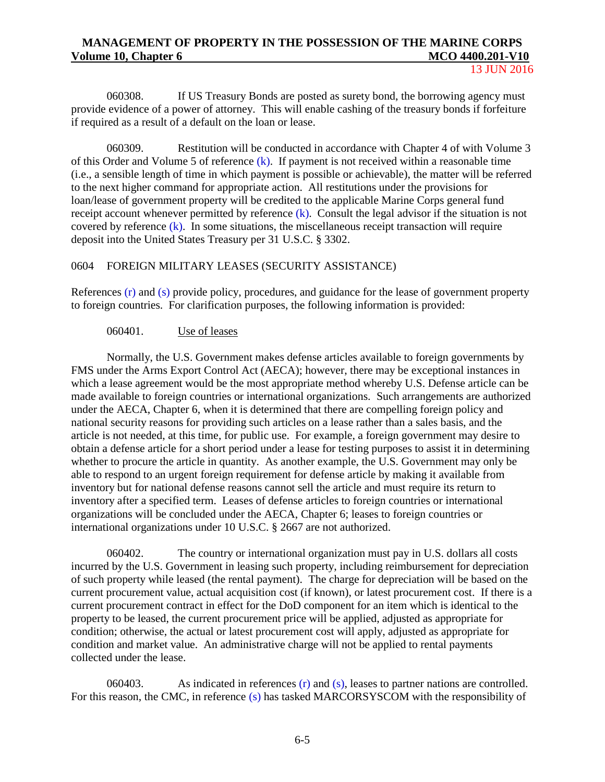13 JUN 2016

060308. If US Treasury Bonds are posted as surety bond, the borrowing agency must provide evidence of a power of attorney. This will enable cashing of the treasury bonds if forfeiture if required as a result of a default on the loan or lease.

060309. Restitution will be conducted in accordance with Chapter 4 of with Volume 3 of this Order and Volume 5 of reference  $(k)$ . If payment is not received within a reasonable time (i.e., a sensible length of time in which payment is possible or achievable), the matter will be referred to the next higher command for appropriate action. All restitutions under the provisions for loan/lease of government property will be credited to the applicable Marine Corps general fund receipt account whenever permitted by reference (k). Consult the legal advisor if the situation is not covered by reference (k). In some situations, the miscellaneous receipt transaction will require deposit into the United States Treasury per 31 U.S.C. § 3302.

### 0604 FOREIGN MILITARY LEASES (SECURITY ASSISTANCE)

References (r) and (s) provide policy, procedures, and guidance for the lease of government property to foreign countries. For clarification purposes, the following information is provided:

#### 060401. Use of leases

Normally, the U.S. Government makes defense articles available to foreign governments by FMS under the Arms Export Control Act (AECA); however, there may be exceptional instances in which a lease agreement would be the most appropriate method whereby U.S. Defense article can be made available to foreign countries or international organizations. Such arrangements are authorized under the AECA, Chapter 6, when it is determined that there are compelling foreign policy and national security reasons for providing such articles on a lease rather than a sales basis, and the article is not needed, at this time, for public use. For example, a foreign government may desire to obtain a defense article for a short period under a lease for testing purposes to assist it in determining whether to procure the article in quantity. As another example, the U.S. Government may only be able to respond to an urgent foreign requirement for defense article by making it available from inventory but for national defense reasons cannot sell the article and must require its return to inventory after a specified term. Leases of defense articles to foreign countries or international organizations will be concluded under the AECA, Chapter 6; leases to foreign countries or international organizations under 10 U.S.C. § 2667 are not authorized.

060402. The country or international organization must pay in U.S. dollars all costs incurred by the U.S. Government in leasing such property, including reimbursement for depreciation of such property while leased (the rental payment). The charge for depreciation will be based on the current procurement value, actual acquisition cost (if known), or latest procurement cost. If there is a current procurement contract in effect for the DoD component for an item which is identical to the property to be leased, the current procurement price will be applied, adjusted as appropriate for condition; otherwise, the actual or latest procurement cost will apply, adjusted as appropriate for condition and market value. An administrative charge will not be applied to rental payments collected under the lease.

060403. As indicated in references  $(r)$  and  $(s)$ , leases to partner nations are controlled. For this reason, the CMC, in reference (s) has tasked MARCORSYSCOM with the responsibility of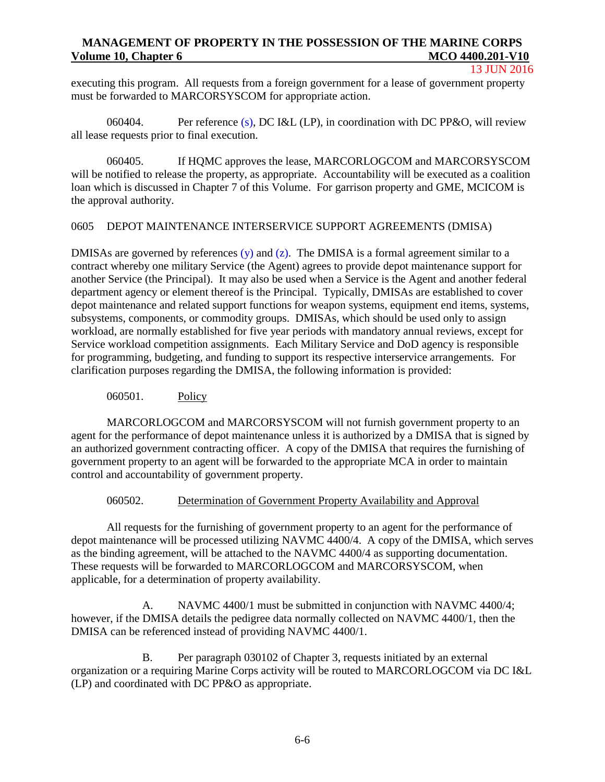#### 13 JUN 2016

executing this program. All requests from a foreign government for a lease of government property must be forwarded to MARCORSYSCOM for appropriate action.

060404. Per reference (s), DC I&L (LP), in coordination with DC PP&O, will review all lease requests prior to final execution.

060405. If HQMC approves the lease, MARCORLOGCOM and MARCORSYSCOM will be notified to release the property, as appropriate. Accountability will be executed as a coalition loan which is discussed in Chapter 7 of this Volume. For garrison property and GME, MCICOM is the approval authority.

## 0605 DEPOT MAINTENANCE INTERSERVICE SUPPORT AGREEMENTS (DMISA)

DMISAs are governed by references  $(y)$  and  $(z)$ . The DMISA is a formal agreement similar to a contract whereby one military Service (the Agent) agrees to provide depot maintenance support for another Service (the Principal). It may also be used when a Service is the Agent and another federal department agency or element thereof is the Principal. Typically, DMISAs are established to cover depot maintenance and related support functions for weapon systems, equipment end items, systems, subsystems, components, or commodity groups. DMISAs, which should be used only to assign workload, are normally established for five year periods with mandatory annual reviews, except for Service workload competition assignments. Each Military Service and DoD agency is responsible for programming, budgeting, and funding to support its respective interservice arrangements. For clarification purposes regarding the DMISA, the following information is provided:

## 060501. Policy

MARCORLOGCOM and MARCORSYSCOM will not furnish government property to an agent for the performance of depot maintenance unless it is authorized by a DMISA that is signed by an authorized government contracting officer. A copy of the DMISA that requires the furnishing of government property to an agent will be forwarded to the appropriate MCA in order to maintain control and accountability of government property.

## 060502. Determination of Government Property Availability and Approval

All requests for the furnishing of government property to an agent for the performance of depot maintenance will be processed utilizing NAVMC 4400/4. A copy of the DMISA, which serves as the binding agreement, will be attached to the NAVMC 4400/4 as supporting documentation. These requests will be forwarded to MARCORLOGCOM and MARCORSYSCOM, when applicable, for a determination of property availability.

A. NAVMC 4400/1 must be submitted in conjunction with NAVMC 4400/4; however, if the DMISA details the pedigree data normally collected on NAVMC 4400/1, then the DMISA can be referenced instead of providing NAVMC 4400/1.

B. Per paragraph 030102 of Chapter 3, requests initiated by an external organization or a requiring Marine Corps activity will be routed to MARCORLOGCOM via DC I&L (LP) and coordinated with DC PP&O as appropriate.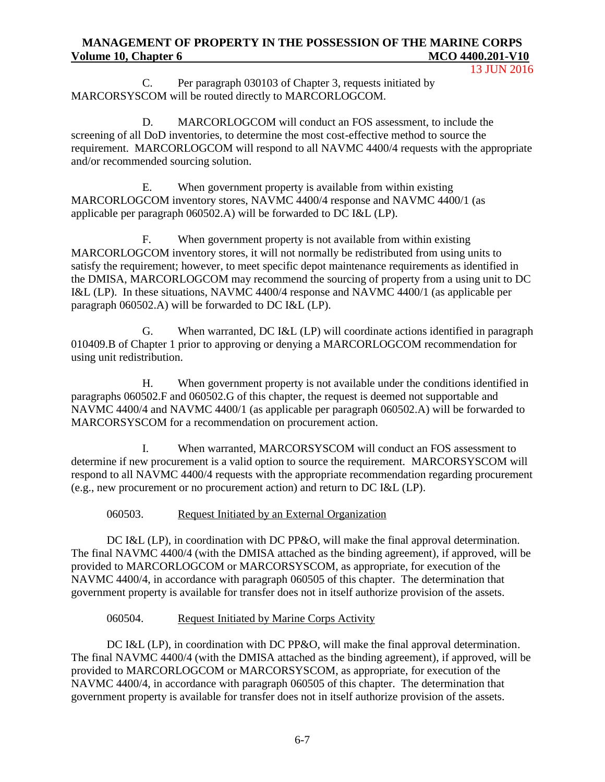13 JUN 2016

C. Per paragraph 030103 of Chapter 3, requests initiated by MARCORSYSCOM will be routed directly to MARCORLOGCOM.

D. MARCORLOGCOM will conduct an FOS assessment, to include the screening of all DoD inventories, to determine the most cost-effective method to source the requirement. MARCORLOGCOM will respond to all NAVMC 4400/4 requests with the appropriate and/or recommended sourcing solution.

E. When government property is available from within existing MARCORLOGCOM inventory stores, NAVMC 4400/4 response and NAVMC 4400/1 (as applicable per paragraph 060502.A) will be forwarded to DC I&L (LP).

F. When government property is not available from within existing MARCORLOGCOM inventory stores, it will not normally be redistributed from using units to satisfy the requirement; however, to meet specific depot maintenance requirements as identified in the DMISA, MARCORLOGCOM may recommend the sourcing of property from a using unit to DC I&L (LP). In these situations, NAVMC 4400/4 response and NAVMC 4400/1 (as applicable per paragraph 060502.A) will be forwarded to DC I&L (LP).

G. When warranted, DC I&L (LP) will coordinate actions identified in paragraph 010409.B of Chapter 1 prior to approving or denying a MARCORLOGCOM recommendation for using unit redistribution.

H. When government property is not available under the conditions identified in paragraphs 060502.F and 060502.G of this chapter, the request is deemed not supportable and NAVMC 4400/4 and NAVMC 4400/1 (as applicable per paragraph 060502.A) will be forwarded to MARCORSYSCOM for a recommendation on procurement action.

I. When warranted, MARCORSYSCOM will conduct an FOS assessment to determine if new procurement is a valid option to source the requirement. MARCORSYSCOM will respond to all NAVMC 4400/4 requests with the appropriate recommendation regarding procurement (e.g., new procurement or no procurement action) and return to DC I&L (LP).

# 060503. Request Initiated by an External Organization

DC I&L (LP), in coordination with DC PP&O, will make the final approval determination. The final NAVMC 4400/4 (with the DMISA attached as the binding agreement), if approved, will be provided to MARCORLOGCOM or MARCORSYSCOM, as appropriate, for execution of the NAVMC 4400/4, in accordance with paragraph 060505 of this chapter. The determination that government property is available for transfer does not in itself authorize provision of the assets.

# 060504. Request Initiated by Marine Corps Activity

DC I&L (LP), in coordination with DC PP&O, will make the final approval determination. The final NAVMC 4400/4 (with the DMISA attached as the binding agreement), if approved, will be provided to MARCORLOGCOM or MARCORSYSCOM, as appropriate, for execution of the NAVMC 4400/4, in accordance with paragraph 060505 of this chapter. The determination that government property is available for transfer does not in itself authorize provision of the assets.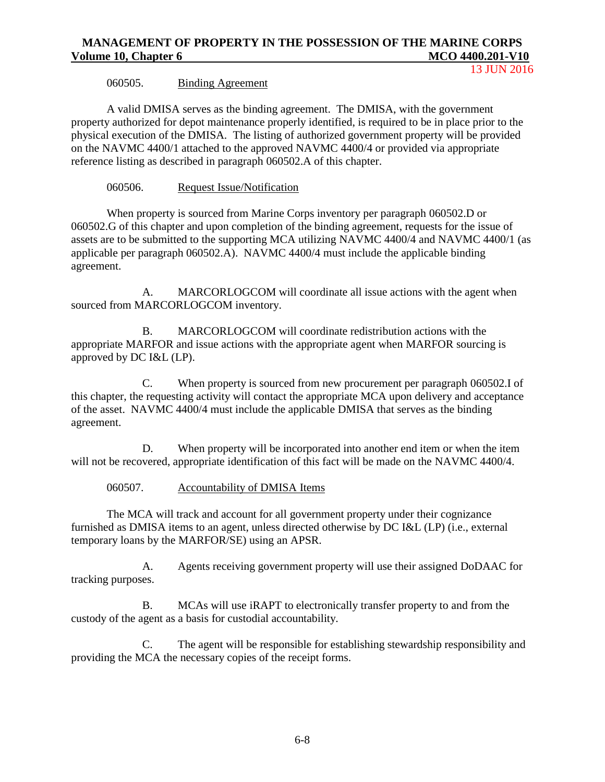#### 060505. Binding Agreement

A valid DMISA serves as the binding agreement. The DMISA, with the government property authorized for depot maintenance properly identified, is required to be in place prior to the physical execution of the DMISA. The listing of authorized government property will be provided on the NAVMC 4400/1 attached to the approved NAVMC 4400/4 or provided via appropriate reference listing as described in paragraph 060502.A of this chapter.

#### 060506. Request Issue/Notification

When property is sourced from Marine Corps inventory per paragraph 060502.D or 060502.G of this chapter and upon completion of the binding agreement, requests for the issue of assets are to be submitted to the supporting MCA utilizing NAVMC 4400/4 and NAVMC 4400/1 (as applicable per paragraph 060502.A). NAVMC 4400/4 must include the applicable binding agreement.

A. MARCORLOGCOM will coordinate all issue actions with the agent when sourced from MARCORLOGCOM inventory.

B. MARCORLOGCOM will coordinate redistribution actions with the appropriate MARFOR and issue actions with the appropriate agent when MARFOR sourcing is approved by DC I&L (LP).

C. When property is sourced from new procurement per paragraph 060502.I of this chapter, the requesting activity will contact the appropriate MCA upon delivery and acceptance of the asset. NAVMC 4400/4 must include the applicable DMISA that serves as the binding agreement.

D. When property will be incorporated into another end item or when the item will not be recovered, appropriate identification of this fact will be made on the NAVMC 4400/4.

#### 060507. Accountability of DMISA Items

The MCA will track and account for all government property under their cognizance furnished as DMISA items to an agent, unless directed otherwise by DC I&L (LP) (i.e., external temporary loans by the MARFOR/SE) using an APSR.

A. Agents receiving government property will use their assigned DoDAAC for tracking purposes.

B. MCAs will use iRAPT to electronically transfer property to and from the custody of the agent as a basis for custodial accountability.

C. The agent will be responsible for establishing stewardship responsibility and providing the MCA the necessary copies of the receipt forms.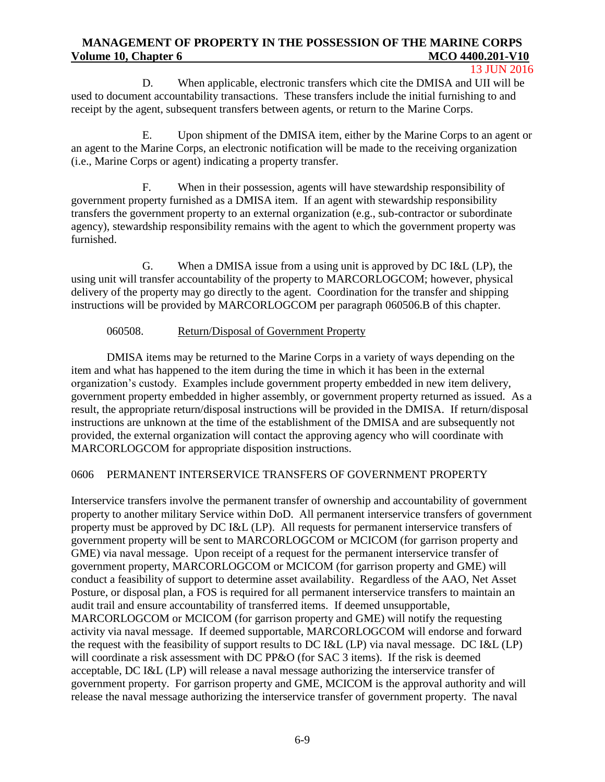#### 13 JUN 2016

D. When applicable, electronic transfers which cite the DMISA and UII will be used to document accountability transactions. These transfers include the initial furnishing to and receipt by the agent, subsequent transfers between agents, or return to the Marine Corps.

E. Upon shipment of the DMISA item, either by the Marine Corps to an agent or an agent to the Marine Corps, an electronic notification will be made to the receiving organization (i.e., Marine Corps or agent) indicating a property transfer.

F. When in their possession, agents will have stewardship responsibility of government property furnished as a DMISA item. If an agent with stewardship responsibility transfers the government property to an external organization (e.g., sub-contractor or subordinate agency), stewardship responsibility remains with the agent to which the government property was furnished.

G. When a DMISA issue from a using unit is approved by DC I&L (LP), the using unit will transfer accountability of the property to MARCORLOGCOM; however, physical delivery of the property may go directly to the agent. Coordination for the transfer and shipping instructions will be provided by MARCORLOGCOM per paragraph 060506.B of this chapter.

#### 060508. Return/Disposal of Government Property

DMISA items may be returned to the Marine Corps in a variety of ways depending on the item and what has happened to the item during the time in which it has been in the external organization's custody. Examples include government property embedded in new item delivery, government property embedded in higher assembly, or government property returned as issued. As a result, the appropriate return/disposal instructions will be provided in the DMISA. If return/disposal instructions are unknown at the time of the establishment of the DMISA and are subsequently not provided, the external organization will contact the approving agency who will coordinate with MARCORLOGCOM for appropriate disposition instructions.

### 0606 PERMANENT INTERSERVICE TRANSFERS OF GOVERNMENT PROPERTY

Interservice transfers involve the permanent transfer of ownership and accountability of government property to another military Service within DoD. All permanent interservice transfers of government property must be approved by DC I&L (LP). All requests for permanent interservice transfers of government property will be sent to MARCORLOGCOM or MCICOM (for garrison property and GME) via naval message. Upon receipt of a request for the permanent interservice transfer of government property, MARCORLOGCOM or MCICOM (for garrison property and GME) will conduct a feasibility of support to determine asset availability. Regardless of the AAO, Net Asset Posture, or disposal plan, a FOS is required for all permanent interservice transfers to maintain an audit trail and ensure accountability of transferred items. If deemed unsupportable, MARCORLOGCOM or MCICOM (for garrison property and GME) will notify the requesting activity via naval message. If deemed supportable, MARCORLOGCOM will endorse and forward the request with the feasibility of support results to DC I&L (LP) via naval message. DC I&L (LP) will coordinate a risk assessment with DC PP&O (for SAC 3 items). If the risk is deemed acceptable, DC I&L (LP) will release a naval message authorizing the interservice transfer of government property. For garrison property and GME, MCICOM is the approval authority and will release the naval message authorizing the interservice transfer of government property. The naval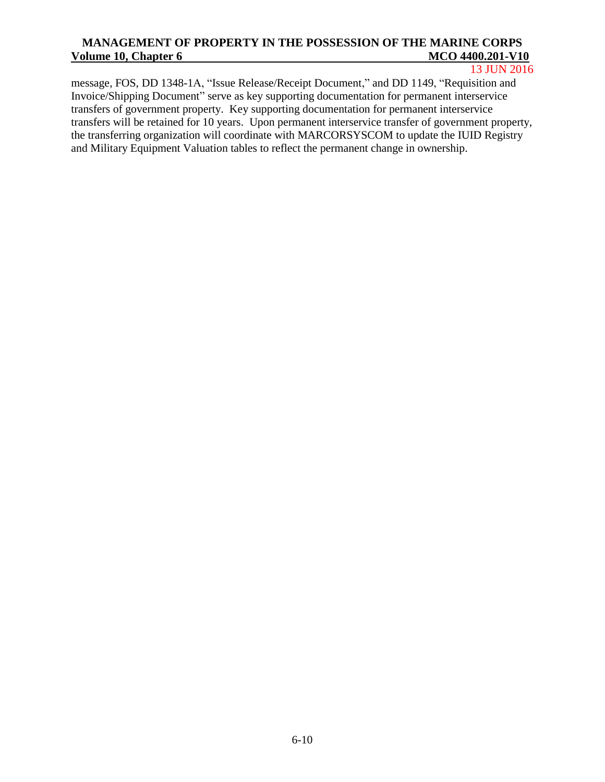13 JUN 2016

message, FOS, DD 1348-1A, "Issue Release/Receipt Document," and DD 1149, "Requisition and Invoice/Shipping Document" serve as key supporting documentation for permanent interservice transfers of government property. Key supporting documentation for permanent interservice transfers will be retained for 10 years. Upon permanent interservice transfer of government property, the transferring organization will coordinate with MARCORSYSCOM to update the IUID Registry and Military Equipment Valuation tables to reflect the permanent change in ownership.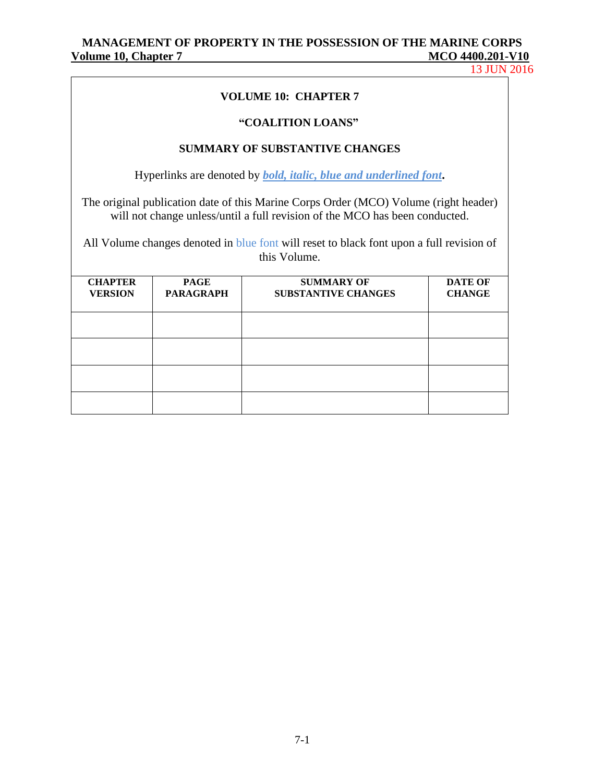13 JUN 2016

#### **VOLUME 10: CHAPTER 7**

#### **"COALITION LOANS"**

## **SUMMARY OF SUBSTANTIVE CHANGES**

Hyperlinks are denoted by *bold, italic, blue and underlined font***.**

The original publication date of this Marine Corps Order (MCO) Volume (right header) will not change unless/until a full revision of the MCO has been conducted.

All Volume changes denoted in blue font will reset to black font upon a full revision of this Volume.

| <b>CHAPTER</b><br><b>VERSION</b> | <b>PAGE</b><br><b>PARAGRAPH</b> | <b>SUMMARY OF</b><br><b>SUBSTANTIVE CHANGES</b> | <b>DATE OF</b><br><b>CHANGE</b> |
|----------------------------------|---------------------------------|-------------------------------------------------|---------------------------------|
|                                  |                                 |                                                 |                                 |
|                                  |                                 |                                                 |                                 |
|                                  |                                 |                                                 |                                 |
|                                  |                                 |                                                 |                                 |
|                                  |                                 |                                                 |                                 |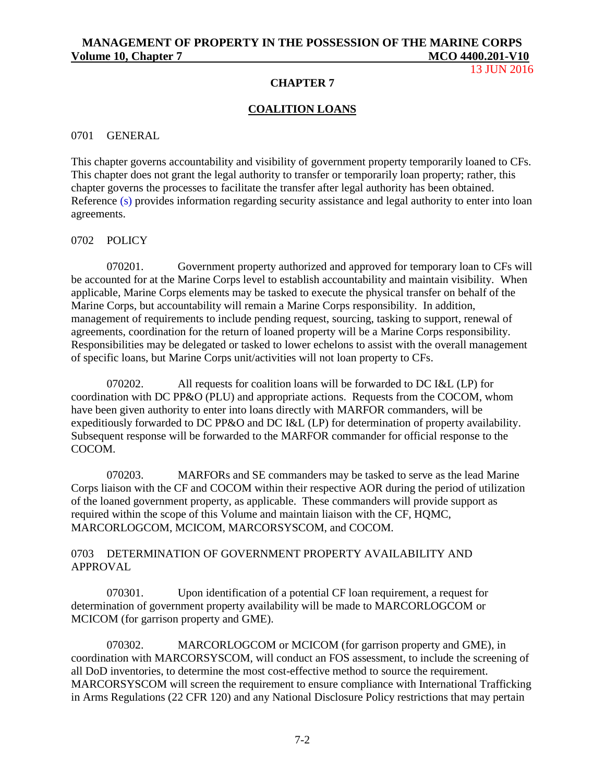13 JUN 2016

#### **CHAPTER 7**

### **COALITION LOANS**

#### 0701 GENERAL

This chapter governs accountability and visibility of government property temporarily loaned to CFs. This chapter does not grant the legal authority to transfer or temporarily loan property; rather, this chapter governs the processes to facilitate the transfer after legal authority has been obtained. Reference (s) provides information regarding security assistance and legal authority to enter into loan agreements.

#### 0702 POLICY

070201. Government property authorized and approved for temporary loan to CFs will be accounted for at the Marine Corps level to establish accountability and maintain visibility. When applicable, Marine Corps elements may be tasked to execute the physical transfer on behalf of the Marine Corps, but accountability will remain a Marine Corps responsibility. In addition, management of requirements to include pending request, sourcing, tasking to support, renewal of agreements, coordination for the return of loaned property will be a Marine Corps responsibility. Responsibilities may be delegated or tasked to lower echelons to assist with the overall management of specific loans, but Marine Corps unit/activities will not loan property to CFs.

070202. All requests for coalition loans will be forwarded to DC I&L (LP) for coordination with DC PP&O (PLU) and appropriate actions. Requests from the COCOM, whom have been given authority to enter into loans directly with MARFOR commanders, will be expeditiously forwarded to DC PP&O and DC I&L (LP) for determination of property availability. Subsequent response will be forwarded to the MARFOR commander for official response to the COCOM.

070203. MARFORs and SE commanders may be tasked to serve as the lead Marine Corps liaison with the CF and COCOM within their respective AOR during the period of utilization of the loaned government property, as applicable. These commanders will provide support as required within the scope of this Volume and maintain liaison with the CF, HQMC, MARCORLOGCOM, MCICOM, MARCORSYSCOM, and COCOM.

### 0703 DETERMINATION OF GOVERNMENT PROPERTY AVAILABILITY AND APPROVAL

070301. Upon identification of a potential CF loan requirement, a request for determination of government property availability will be made to MARCORLOGCOM or MCICOM (for garrison property and GME).

070302. MARCORLOGCOM or MCICOM (for garrison property and GME), in coordination with MARCORSYSCOM, will conduct an FOS assessment, to include the screening of all DoD inventories, to determine the most cost-effective method to source the requirement. MARCORSYSCOM will screen the requirement to ensure compliance with International Trafficking in Arms Regulations (22 CFR 120) and any National Disclosure Policy restrictions that may pertain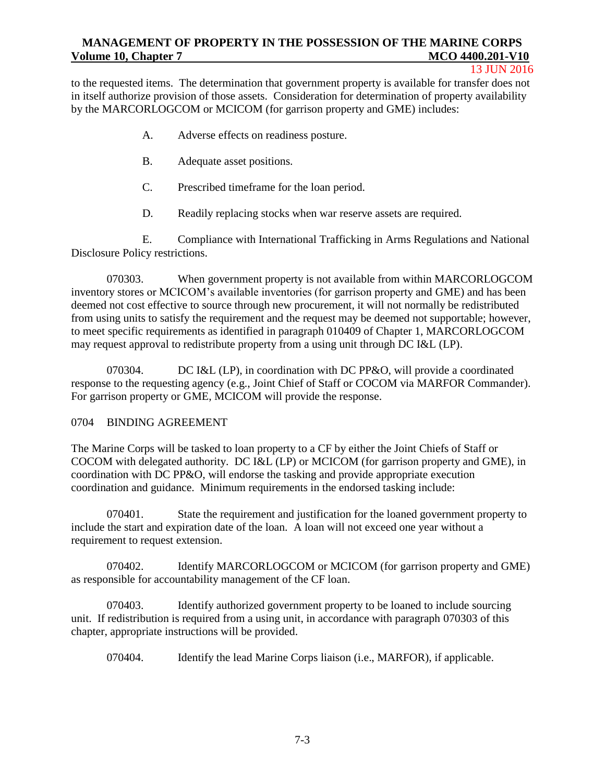#### 13 JUN 2016

to the requested items. The determination that government property is available for transfer does not in itself authorize provision of those assets. Consideration for determination of property availability by the MARCORLOGCOM or MCICOM (for garrison property and GME) includes:

- A. Adverse effects on readiness posture.
- B. Adequate asset positions.
- C. Prescribed timeframe for the loan period.
- D. Readily replacing stocks when war reserve assets are required.

E. Compliance with International Trafficking in Arms Regulations and National Disclosure Policy restrictions.

070303. When government property is not available from within MARCORLOGCOM inventory stores or MCICOM's available inventories (for garrison property and GME) and has been deemed not cost effective to source through new procurement, it will not normally be redistributed from using units to satisfy the requirement and the request may be deemed not supportable; however, to meet specific requirements as identified in paragraph 010409 of Chapter 1, MARCORLOGCOM may request approval to redistribute property from a using unit through DC I&L (LP).

070304. DC I&L (LP), in coordination with DC PP&O, will provide a coordinated response to the requesting agency (e.g., Joint Chief of Staff or COCOM via MARFOR Commander). For garrison property or GME, MCICOM will provide the response.

### 0704 BINDING AGREEMENT

The Marine Corps will be tasked to loan property to a CF by either the Joint Chiefs of Staff or COCOM with delegated authority. DC I&L (LP) or MCICOM (for garrison property and GME), in coordination with DC PP&O, will endorse the tasking and provide appropriate execution coordination and guidance. Minimum requirements in the endorsed tasking include:

070401. State the requirement and justification for the loaned government property to include the start and expiration date of the loan. A loan will not exceed one year without a requirement to request extension.

070402. Identify MARCORLOGCOM or MCICOM (for garrison property and GME) as responsible for accountability management of the CF loan.

070403. Identify authorized government property to be loaned to include sourcing unit. If redistribution is required from a using unit, in accordance with paragraph 070303 of this chapter, appropriate instructions will be provided.

070404. Identify the lead Marine Corps liaison (i.e., MARFOR), if applicable.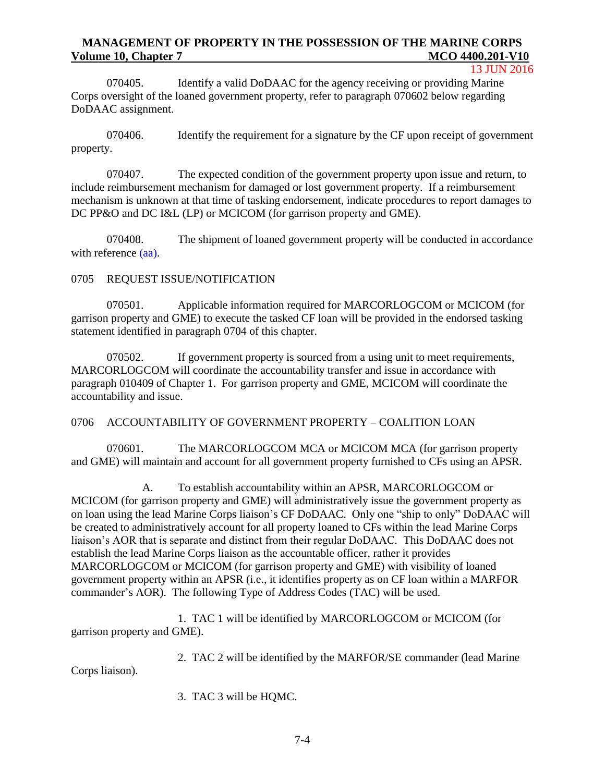13 JUN 2016

070405. Identify a valid DoDAAC for the agency receiving or providing Marine Corps oversight of the loaned government property, refer to paragraph 070602 below regarding DoDAAC assignment.

070406. Identify the requirement for a signature by the CF upon receipt of government property.

070407. The expected condition of the government property upon issue and return, to include reimbursement mechanism for damaged or lost government property. If a reimbursement mechanism is unknown at that time of tasking endorsement, indicate procedures to report damages to DC PP&O and DC I&L (LP) or MCICOM (for garrison property and GME).

070408. The shipment of loaned government property will be conducted in accordance with reference (aa).

# 0705 REQUEST ISSUE/NOTIFICATION

070501. Applicable information required for MARCORLOGCOM or MCICOM (for garrison property and GME) to execute the tasked CF loan will be provided in the endorsed tasking statement identified in paragraph 0704 of this chapter.

070502. If government property is sourced from a using unit to meet requirements, MARCORLOGCOM will coordinate the accountability transfer and issue in accordance with paragraph 010409 of Chapter 1. For garrison property and GME, MCICOM will coordinate the accountability and issue.

0706 ACCOUNTABILITY OF GOVERNMENT PROPERTY – COALITION LOAN

070601. The MARCORLOGCOM MCA or MCICOM MCA (for garrison property and GME) will maintain and account for all government property furnished to CFs using an APSR.

A. To establish accountability within an APSR, MARCORLOGCOM or MCICOM (for garrison property and GME) will administratively issue the government property as on loan using the lead Marine Corps liaison's CF DoDAAC. Only one "ship to only" DoDAAC will be created to administratively account for all property loaned to CFs within the lead Marine Corps liaison's AOR that is separate and distinct from their regular DoDAAC. This DoDAAC does not establish the lead Marine Corps liaison as the accountable officer, rather it provides MARCORLOGCOM or MCICOM (for garrison property and GME) with visibility of loaned government property within an APSR (i.e., it identifies property as on CF loan within a MARFOR commander's AOR). The following Type of Address Codes (TAC) will be used.

1. TAC 1 will be identified by MARCORLOGCOM or MCICOM (for garrison property and GME).

2. TAC 2 will be identified by the MARFOR/SE commander (lead Marine

Corps liaison).

3. TAC 3 will be HQMC.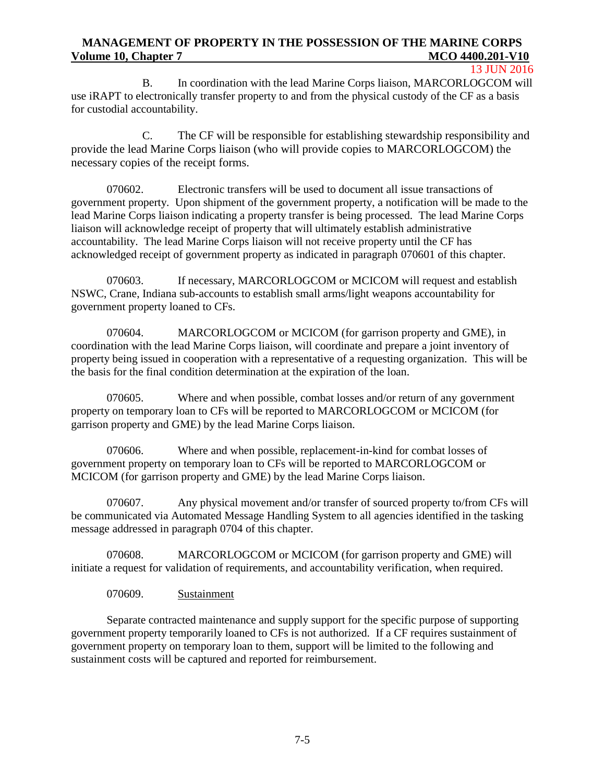#### 13 JUN 2016

B. In coordination with the lead Marine Corps liaison, MARCORLOGCOM will use iRAPT to electronically transfer property to and from the physical custody of the CF as a basis for custodial accountability.

C. The CF will be responsible for establishing stewardship responsibility and provide the lead Marine Corps liaison (who will provide copies to MARCORLOGCOM) the necessary copies of the receipt forms.

070602. Electronic transfers will be used to document all issue transactions of government property. Upon shipment of the government property, a notification will be made to the lead Marine Corps liaison indicating a property transfer is being processed. The lead Marine Corps liaison will acknowledge receipt of property that will ultimately establish administrative accountability. The lead Marine Corps liaison will not receive property until the CF has acknowledged receipt of government property as indicated in paragraph 070601 of this chapter.

070603. If necessary, MARCORLOGCOM or MCICOM will request and establish NSWC, Crane, Indiana sub-accounts to establish small arms/light weapons accountability for government property loaned to CFs.

070604. MARCORLOGCOM or MCICOM (for garrison property and GME), in coordination with the lead Marine Corps liaison, will coordinate and prepare a joint inventory of property being issued in cooperation with a representative of a requesting organization. This will be the basis for the final condition determination at the expiration of the loan.

070605. Where and when possible, combat losses and/or return of any government property on temporary loan to CFs will be reported to MARCORLOGCOM or MCICOM (for garrison property and GME) by the lead Marine Corps liaison.

070606. Where and when possible, replacement-in-kind for combat losses of government property on temporary loan to CFs will be reported to MARCORLOGCOM or MCICOM (for garrison property and GME) by the lead Marine Corps liaison.

070607. Any physical movement and/or transfer of sourced property to/from CFs will be communicated via Automated Message Handling System to all agencies identified in the tasking message addressed in paragraph 0704 of this chapter.

070608. MARCORLOGCOM or MCICOM (for garrison property and GME) will initiate a request for validation of requirements, and accountability verification, when required.

### 070609. Sustainment

Separate contracted maintenance and supply support for the specific purpose of supporting government property temporarily loaned to CFs is not authorized. If a CF requires sustainment of government property on temporary loan to them, support will be limited to the following and sustainment costs will be captured and reported for reimbursement.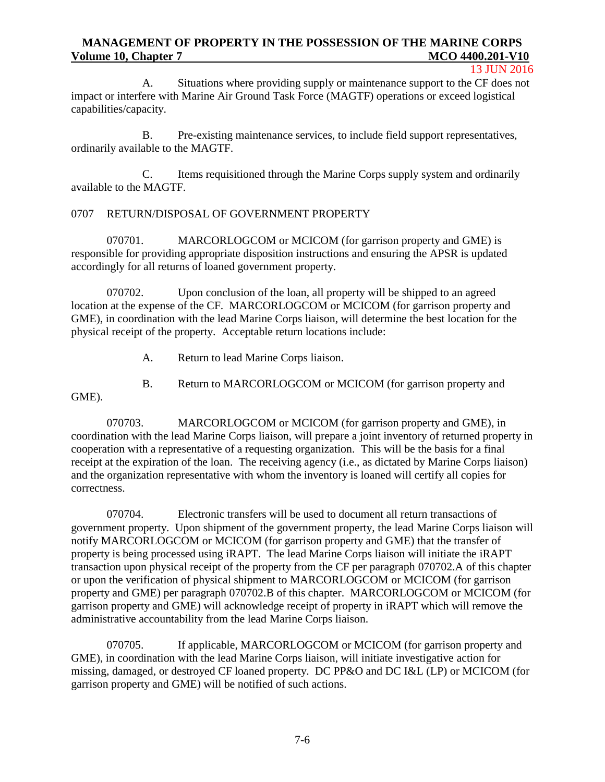#### 13 JUN 2016

A. Situations where providing supply or maintenance support to the CF does not impact or interfere with Marine Air Ground Task Force (MAGTF) operations or exceed logistical capabilities/capacity.

B. Pre-existing maintenance services, to include field support representatives, ordinarily available to the MAGTF.

C. Items requisitioned through the Marine Corps supply system and ordinarily available to the MAGTF.

## 0707 RETURN/DISPOSAL OF GOVERNMENT PROPERTY

070701. MARCORLOGCOM or MCICOM (for garrison property and GME) is responsible for providing appropriate disposition instructions and ensuring the APSR is updated accordingly for all returns of loaned government property.

070702. Upon conclusion of the loan, all property will be shipped to an agreed location at the expense of the CF. MARCORLOGCOM or MCICOM (for garrison property and GME), in coordination with the lead Marine Corps liaison, will determine the best location for the physical receipt of the property. Acceptable return locations include:

- A. Return to lead Marine Corps liaison.
- B. Return to MARCORLOGCOM or MCICOM (for garrison property and

GME).

070703. MARCORLOGCOM or MCICOM (for garrison property and GME), in coordination with the lead Marine Corps liaison, will prepare a joint inventory of returned property in cooperation with a representative of a requesting organization. This will be the basis for a final receipt at the expiration of the loan. The receiving agency (i.e., as dictated by Marine Corps liaison) and the organization representative with whom the inventory is loaned will certify all copies for correctness.

070704. Electronic transfers will be used to document all return transactions of government property. Upon shipment of the government property, the lead Marine Corps liaison will notify MARCORLOGCOM or MCICOM (for garrison property and GME) that the transfer of property is being processed using iRAPT. The lead Marine Corps liaison will initiate the iRAPT transaction upon physical receipt of the property from the CF per paragraph 070702.A of this chapter or upon the verification of physical shipment to MARCORLOGCOM or MCICOM (for garrison property and GME) per paragraph 070702.B of this chapter. MARCORLOGCOM or MCICOM (for garrison property and GME) will acknowledge receipt of property in iRAPT which will remove the administrative accountability from the lead Marine Corps liaison.

070705. If applicable, MARCORLOGCOM or MCICOM (for garrison property and GME), in coordination with the lead Marine Corps liaison, will initiate investigative action for missing, damaged, or destroyed CF loaned property. DC PP&O and DC I&L (LP) or MCICOM (for garrison property and GME) will be notified of such actions.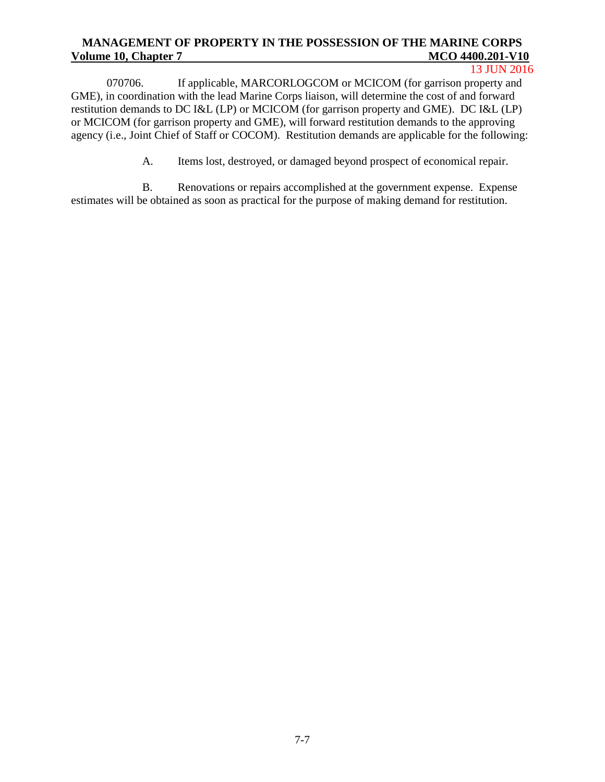13 JUN 2016

070706. If applicable, MARCORLOGCOM or MCICOM (for garrison property and GME), in coordination with the lead Marine Corps liaison, will determine the cost of and forward restitution demands to DC I&L (LP) or MCICOM (for garrison property and GME). DC I&L (LP) or MCICOM (for garrison property and GME), will forward restitution demands to the approving agency (i.e., Joint Chief of Staff or COCOM). Restitution demands are applicable for the following:

A. Items lost, destroyed, or damaged beyond prospect of economical repair.

B. Renovations or repairs accomplished at the government expense. Expense estimates will be obtained as soon as practical for the purpose of making demand for restitution.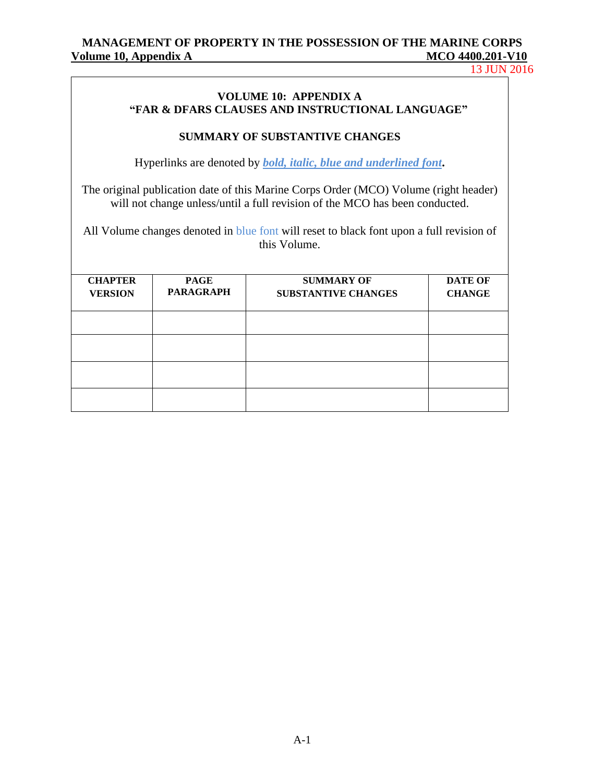13 JUN 2016

### **VOLUME 10: APPENDIX A "FAR & DFARS CLAUSES AND INSTRUCTIONAL LANGUAGE"**

## **SUMMARY OF SUBSTANTIVE CHANGES**

Hyperlinks are denoted by *bold, italic, blue and underlined font***.**

The original publication date of this Marine Corps Order (MCO) Volume (right header) will not change unless/until a full revision of the MCO has been conducted.

All Volume changes denoted in blue font will reset to black font upon a full revision of this Volume.

| <b>CHAPTER</b><br><b>VERSION</b> | <b>PAGE</b><br><b>PARAGRAPH</b> | <b>SUMMARY OF</b><br><b>SUBSTANTIVE CHANGES</b> | <b>DATE OF</b><br><b>CHANGE</b> |
|----------------------------------|---------------------------------|-------------------------------------------------|---------------------------------|
|                                  |                                 |                                                 |                                 |
|                                  |                                 |                                                 |                                 |
|                                  |                                 |                                                 |                                 |
|                                  |                                 |                                                 |                                 |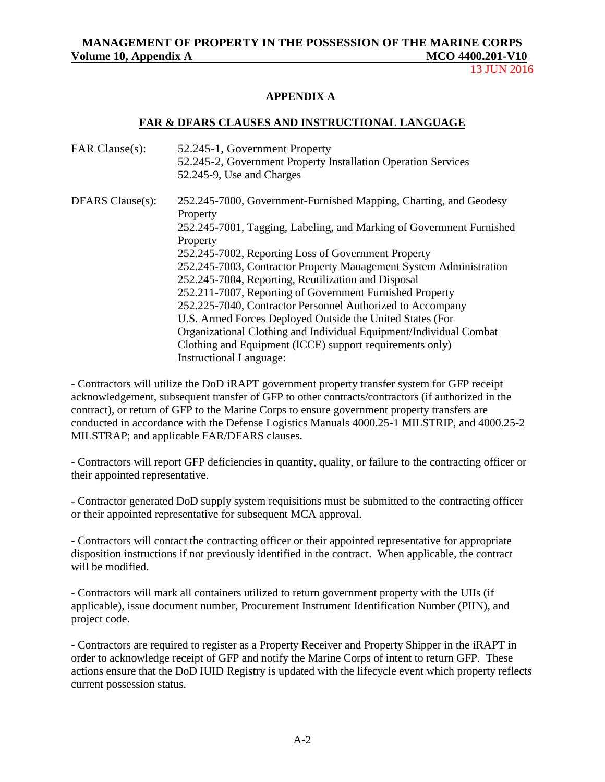13 JUN 2016

#### **APPENDIX A**

#### **FAR & DFARS CLAUSES AND INSTRUCTIONAL LANGUAGE**

| FAR Clause(s):   | 52.245-1, Government Property<br>52.245-2, Government Property Installation Operation Services<br>52.245-9, Use and Charges |
|------------------|-----------------------------------------------------------------------------------------------------------------------------|
|                  |                                                                                                                             |
| DFARS Clause(s): | 252.245-7000, Government-Furnished Mapping, Charting, and Geodesy<br>Property                                               |
|                  | 252.245-7001, Tagging, Labeling, and Marking of Government Furnished<br>Property                                            |
|                  | 252.245-7002, Reporting Loss of Government Property                                                                         |
|                  | 252.245-7003, Contractor Property Management System Administration                                                          |
|                  | 252.245-7004, Reporting, Reutilization and Disposal                                                                         |
|                  | 252.211-7007, Reporting of Government Furnished Property                                                                    |
|                  | 252.225-7040, Contractor Personnel Authorized to Accompany                                                                  |
|                  | U.S. Armed Forces Deployed Outside the United States (For                                                                   |
|                  | Organizational Clothing and Individual Equipment/Individual Combat                                                          |
|                  | Clothing and Equipment (ICCE) support requirements only)                                                                    |
|                  | <b>Instructional Language:</b>                                                                                              |

- Contractors will utilize the DoD iRAPT government property transfer system for GFP receipt acknowledgement, subsequent transfer of GFP to other contracts/contractors (if authorized in the contract), or return of GFP to the Marine Corps to ensure government property transfers are conducted in accordance with the Defense Logistics Manuals 4000.25-1 MILSTRIP, and 4000.25-2 MILSTRAP; and applicable FAR/DFARS clauses.

- Contractors will report GFP deficiencies in quantity, quality, or failure to the contracting officer or their appointed representative.

- Contractor generated DoD supply system requisitions must be submitted to the contracting officer or their appointed representative for subsequent MCA approval.

- Contractors will contact the contracting officer or their appointed representative for appropriate disposition instructions if not previously identified in the contract. When applicable, the contract will be modified.

- Contractors will mark all containers utilized to return government property with the UIIs (if applicable), issue document number, Procurement Instrument Identification Number (PIIN), and project code.

- Contractors are required to register as a Property Receiver and Property Shipper in the iRAPT in order to acknowledge receipt of GFP and notify the Marine Corps of intent to return GFP. These actions ensure that the DoD IUID Registry is updated with the lifecycle event which property reflects current possession status.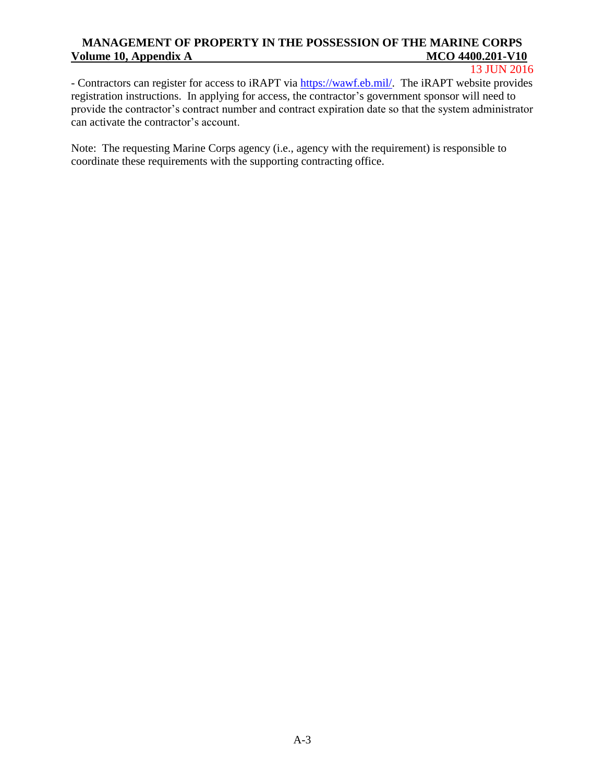#### 13 JUN 2016

- Contractors can register for access to iRAPT via [https://wawf.eb.mil/.](https://wawf.eb.mil/) The iRAPT website provides registration instructions. In applying for access, the contractor's government sponsor will need to provide the contractor's contract number and contract expiration date so that the system administrator can activate the contractor's account.

Note: The requesting Marine Corps agency (i.e., agency with the requirement) is responsible to coordinate these requirements with the supporting contracting office.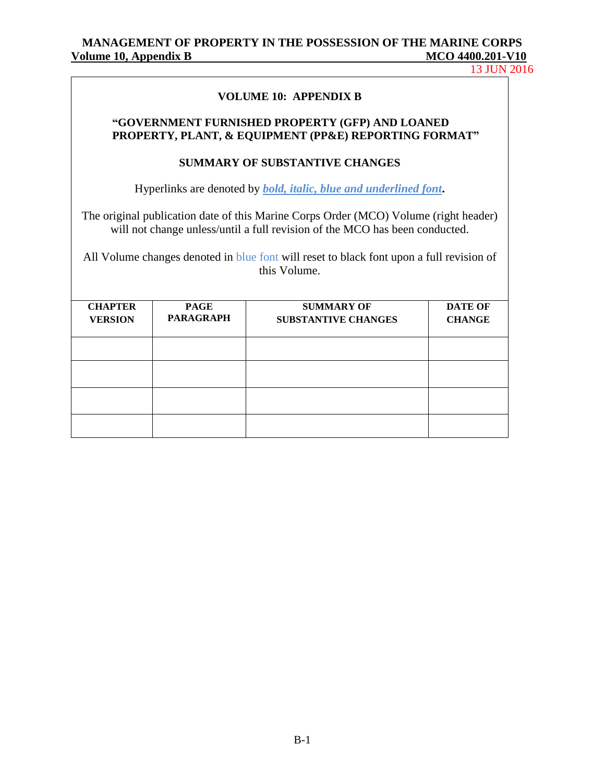13 JUN 2016

#### **VOLUME 10: APPENDIX B**

#### **"GOVERNMENT FURNISHED PROPERTY (GFP) AND LOANED PROPERTY, PLANT, & EQUIPMENT (PP&E) REPORTING FORMAT"**

#### **SUMMARY OF SUBSTANTIVE CHANGES**

Hyperlinks are denoted by *bold, italic, blue and underlined font***.**

The original publication date of this Marine Corps Order (MCO) Volume (right header) will not change unless/until a full revision of the MCO has been conducted.

All Volume changes denoted in blue font will reset to black font upon a full revision of this Volume.

| <b>CHAPTER</b><br><b>VERSION</b> | <b>PAGE</b><br><b>PARAGRAPH</b> | <b>SUMMARY OF</b><br><b>SUBSTANTIVE CHANGES</b> | <b>DATE OF</b><br><b>CHANGE</b> |
|----------------------------------|---------------------------------|-------------------------------------------------|---------------------------------|
|                                  |                                 |                                                 |                                 |
|                                  |                                 |                                                 |                                 |
|                                  |                                 |                                                 |                                 |
|                                  |                                 |                                                 |                                 |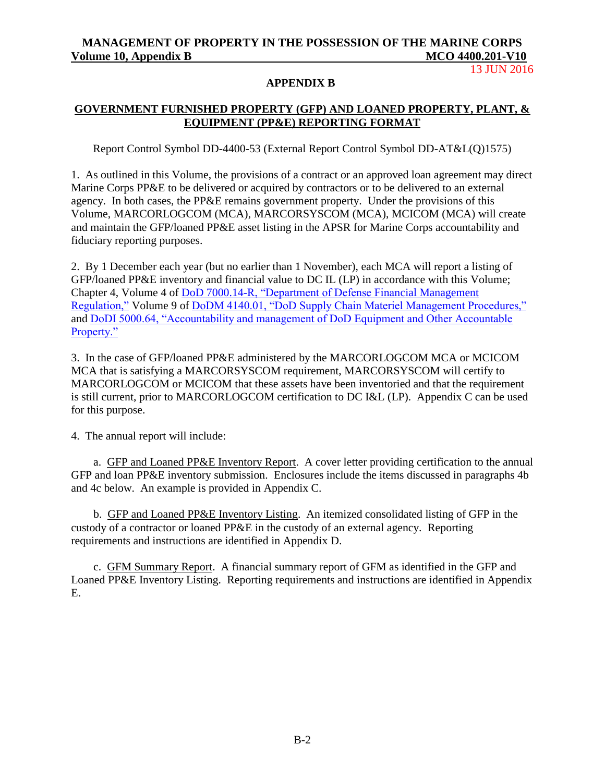13 JUN 2016

#### **APPENDIX B**

## **GOVERNMENT FURNISHED PROPERTY (GFP) AND LOANED PROPERTY, PLANT, & EQUIPMENT (PP&E) REPORTING FORMAT**

Report Control Symbol DD-4400-53 (External Report Control Symbol DD-AT&L(Q)1575)

1. As outlined in this Volume, the provisions of a contract or an approved loan agreement may direct Marine Corps PP&E to be delivered or acquired by contractors or to be delivered to an external agency. In both cases, the PP&E remains government property. Under the provisions of this Volume, MARCORLOGCOM (MCA), MARCORSYSCOM (MCA), MCICOM (MCA) will create and maintain the GFP/loaned PP&E asset listing in the APSR for Marine Corps accountability and fiduciary reporting purposes.

2. By 1 December each year (but no earlier than 1 November), each MCA will report a listing of GFP/loaned PP&E inventory and financial value to DC IL (LP) in accordance with this Volume; Chapter 4, Volume 4 of [DoD 7000.14-R, "Department of Defense Financial Management](http://comptroller.defense.gov/fmr.aspx)  [Regulation,"](http://comptroller.defense.gov/fmr.aspx) Volume 9 of [DoDM 4140.01, "DoD Supply Chain Materiel Management Procedures,"](https://dap.dau.mil/career/log/blogs/archive/2014/02/12/new-multi-volume-dod-manual-414001-dod-supply-chain-materiel-management-procedures.aspx) and [DoDI 5000.64, "Accountability and management of DoD Equipment and Other Accountable](https://dap.dau.mil/policy/Lists/Policy%20Documents/DispForm.aspx?ID=1643)  [Property."](https://dap.dau.mil/policy/Lists/Policy%20Documents/DispForm.aspx?ID=1643)

3. In the case of GFP/loaned PP&E administered by the MARCORLOGCOM MCA or MCICOM MCA that is satisfying a MARCORSYSCOM requirement, MARCORSYSCOM will certify to MARCORLOGCOM or MCICOM that these assets have been inventoried and that the requirement is still current, prior to MARCORLOGCOM certification to DC I&L (LP). Appendix C can be used for this purpose.

4. The annual report will include:

a. GFP and Loaned PP&E Inventory Report. A cover letter providing certification to the annual GFP and loan PP&E inventory submission. Enclosures include the items discussed in paragraphs 4b and 4c below. An example is provided in Appendix C.

b. GFP and Loaned PP&E Inventory Listing. An itemized consolidated listing of GFP in the custody of a contractor or loaned PP&E in the custody of an external agency. Reporting requirements and instructions are identified in Appendix D.

c. GFM Summary Report. A financial summary report of GFM as identified in the GFP and Loaned PP&E Inventory Listing. Reporting requirements and instructions are identified in Appendix E.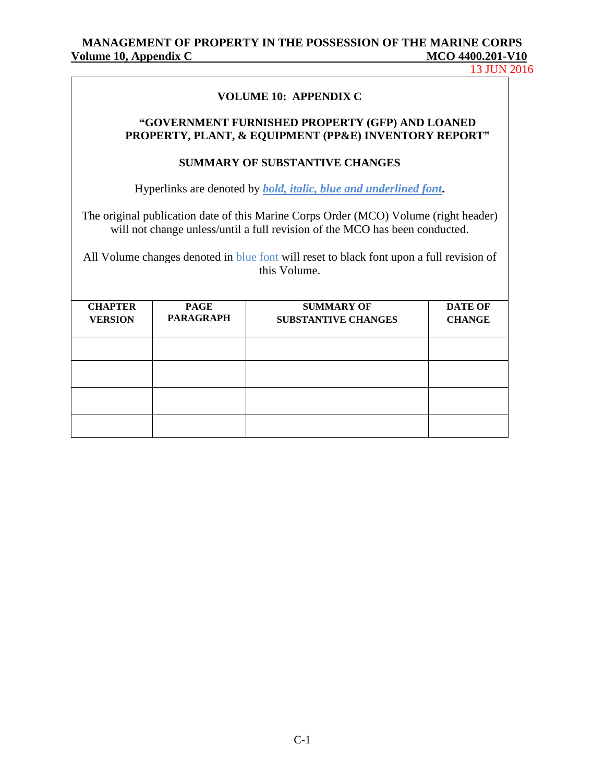13 JUN 2016

## **VOLUME 10: APPENDIX C**

## **"GOVERNMENT FURNISHED PROPERTY (GFP) AND LOANED PROPERTY, PLANT, & EQUIPMENT (PP&E) INVENTORY REPORT"**

## **SUMMARY OF SUBSTANTIVE CHANGES**

Hyperlinks are denoted by *bold, italic, blue and underlined font***.**

The original publication date of this Marine Corps Order (MCO) Volume (right header) will not change unless/until a full revision of the MCO has been conducted.

All Volume changes denoted in blue font will reset to black font upon a full revision of this Volume.

| <b>CHAPTER</b><br><b>VERSION</b> | <b>PAGE</b><br><b>PARAGRAPH</b> | <b>SUMMARY OF</b><br><b>SUBSTANTIVE CHANGES</b> | <b>DATE OF</b><br><b>CHANGE</b> |
|----------------------------------|---------------------------------|-------------------------------------------------|---------------------------------|
|                                  |                                 |                                                 |                                 |
|                                  |                                 |                                                 |                                 |
|                                  |                                 |                                                 |                                 |
|                                  |                                 |                                                 |                                 |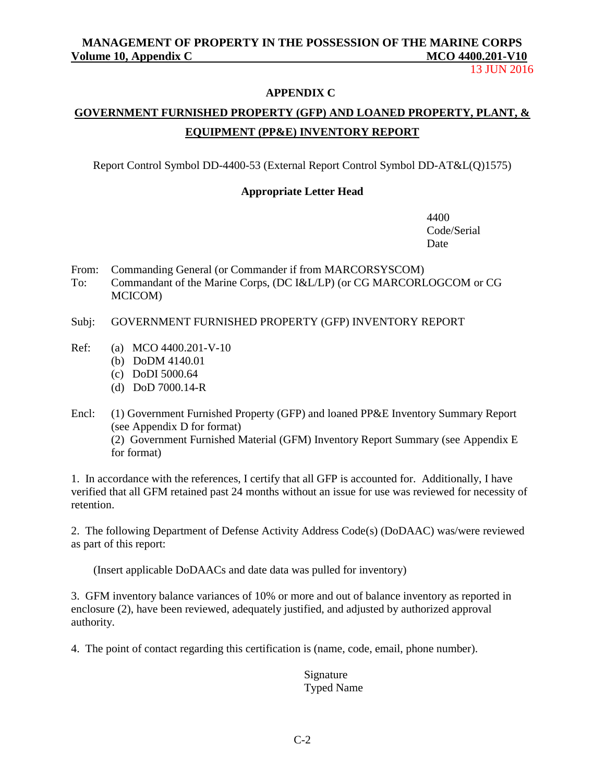13 JUN 2016

#### **APPENDIX C**

# **GOVERNMENT FURNISHED PROPERTY (GFP) AND LOANED PROPERTY, PLANT, & EQUIPMENT (PP&E) INVENTORY REPORT**

Report Control Symbol DD-4400-53 (External Report Control Symbol DD-AT&L(Q)1575)

## **Appropriate Letter Head**

4400 Code/Serial Date

- From: Commanding General (or Commander if from MARCORSYSCOM)
- To: Commandant of the Marine Corps, (DC I&L/LP) (or CG MARCORLOGCOM or CG MCICOM)
- Subj: GOVERNMENT FURNISHED PROPERTY (GFP) INVENTORY REPORT
- Ref: (a) MCO 4400.201-V-10
	- (b) DoDM 4140.01
	- (c) DoDI 5000.64
	- (d) DoD 7000.14-R
- Encl: (1) Government Furnished Property (GFP) and loaned PP&E Inventory Summary Report (see Appendix D for format) (2) Government Furnished Material (GFM) Inventory Report Summary (see Appendix E for format)

1. In accordance with the references, I certify that all GFP is accounted for. Additionally, I have verified that all GFM retained past 24 months without an issue for use was reviewed for necessity of retention.

2. The following Department of Defense Activity Address Code(s) (DoDAAC) was/were reviewed as part of this report:

(Insert applicable DoDAACs and date data was pulled for inventory)

3. GFM inventory balance variances of 10% or more and out of balance inventory as reported in enclosure (2), have been reviewed, adequately justified, and adjusted by authorized approval authority.

4. The point of contact regarding this certification is (name, code, email, phone number).

 Signature Typed Name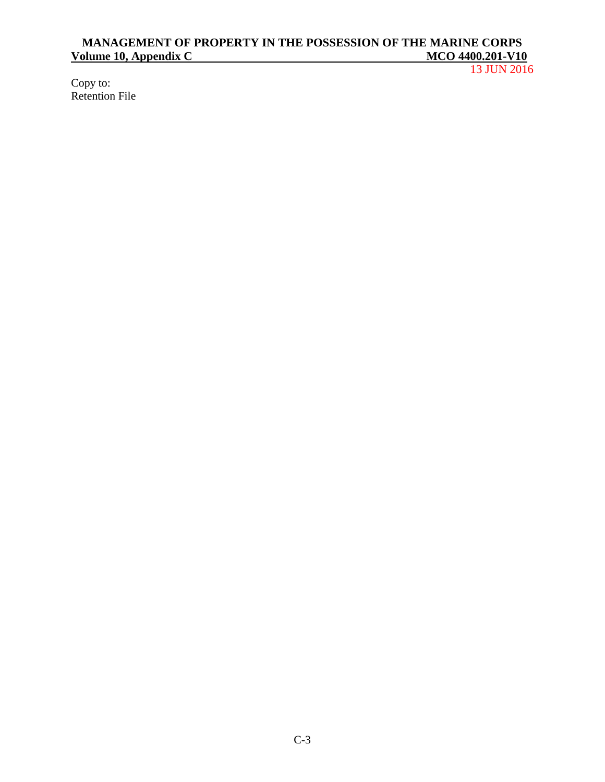13 JUN 2016

Copy to: Retention File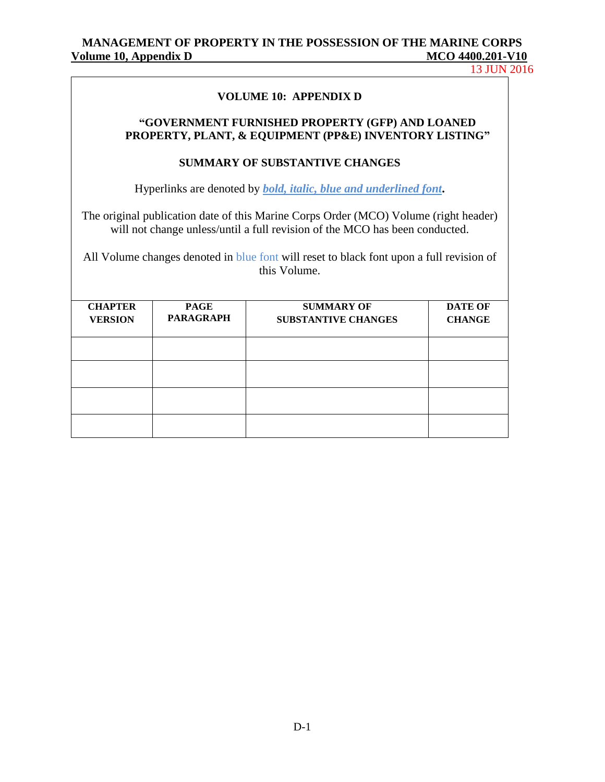13 JUN 2016

## **VOLUME 10: APPENDIX D**

## **"GOVERNMENT FURNISHED PROPERTY (GFP) AND LOANED PROPERTY, PLANT, & EQUIPMENT (PP&E) INVENTORY LISTING"**

#### **SUMMARY OF SUBSTANTIVE CHANGES**

Hyperlinks are denoted by *bold, italic, blue and underlined font***.**

The original publication date of this Marine Corps Order (MCO) Volume (right header) will not change unless/until a full revision of the MCO has been conducted.

All Volume changes denoted in blue font will reset to black font upon a full revision of this Volume.

| <b>CHAPTER</b><br><b>VERSION</b> | <b>PAGE</b><br><b>PARAGRAPH</b> | <b>SUMMARY OF</b><br><b>SUBSTANTIVE CHANGES</b> | <b>DATE OF</b><br><b>CHANGE</b> |
|----------------------------------|---------------------------------|-------------------------------------------------|---------------------------------|
|                                  |                                 |                                                 |                                 |
|                                  |                                 |                                                 |                                 |
|                                  |                                 |                                                 |                                 |
|                                  |                                 |                                                 |                                 |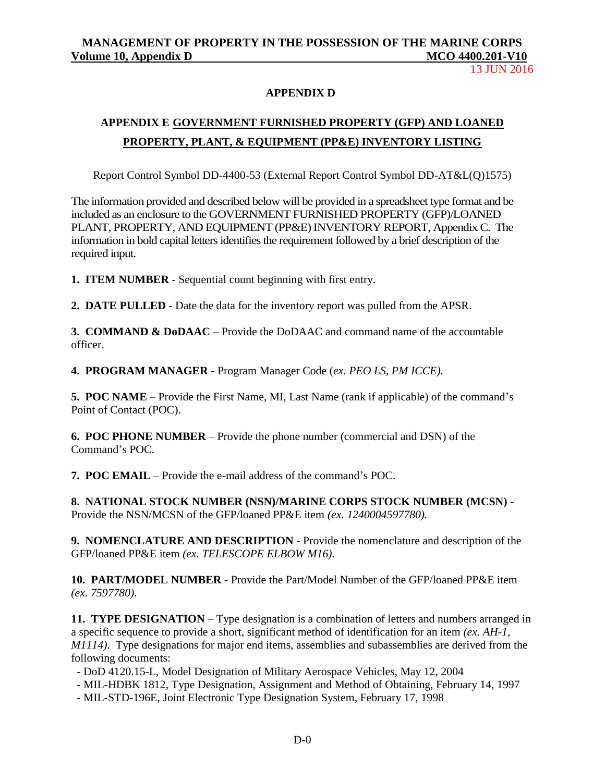13 JUN 2016

## **APPENDIX D**

# **APPENDIX E GOVERNMENT FURNISHED PROPERTY (GFP) AND LOANED PROPERTY, PLANT, & EQUIPMENT (PP&E) INVENTORY LISTING**

Report Control Symbol DD-4400-53 (External Report Control Symbol DD-AT&L(Q)1575)

The information provided and described below will be provided in a spreadsheet type format and be included as an enclosure to the GOVERNMENT FURNISHED PROPERTY (GFP)/LOANED PLANT, PROPERTY, AND EQUIPMENT (PP&E) INVENTORY REPORT, Appendix C. The information in bold capital letters identifies the requirement followed by a brief description of the required input.

**1. ITEM NUMBER** - Sequential count beginning with first entry.

**2. DATE PULLED** - Date the data for the inventory report was pulled from the APSR.

**3. COMMAND & DoDAAC** – Provide the DoDAAC and command name of the accountable officer.

**4. PROGRAM MANAGER** - Program Manager Code (*ex. PEO LS, PM ICCE).*

**5. POC NAME** – Provide the First Name, MI, Last Name (rank if applicable) of the command's Point of Contact (POC).

**6. POC PHONE NUMBER** – Provide the phone number (commercial and DSN) of the Command's POC.

**7. POC EMAIL** – Provide the e-mail address of the command's POC.

**8. NATIONAL STOCK NUMBER (NSN)/MARINE CORPS STOCK NUMBER (MCSN)** - Provide the NSN/MCSN of the GFP/loaned PP&E item *(ex. 1240004597780).*

**9. NOMENCLATURE AND DESCRIPTION** - Provide the nomenclature and description of the GFP/loaned PP&E item *(ex. TELESCOPE ELBOW M16).*

**10. PART/MODEL NUMBER** - Provide the Part/Model Number of the GFP/loaned PP&E item *(ex. 7597780).*

**11. TYPE DESIGNATION** – Type designation is a combination of letters and numbers arranged in a specific sequence to provide a short, significant method of identification for an item *(ex. AH-1, M1114)*. Type designations for major end items, assemblies and subassemblies are derived from the following documents:

- DoD 4120.15-L, Model Designation of Military Aerospace Vehicles, May 12, 2004
- MIL-HDBK 1812, Type Designation, Assignment and Method of Obtaining, February 14, 1997
- MIL-STD-196E, Joint Electronic Type Designation System, February 17, 1998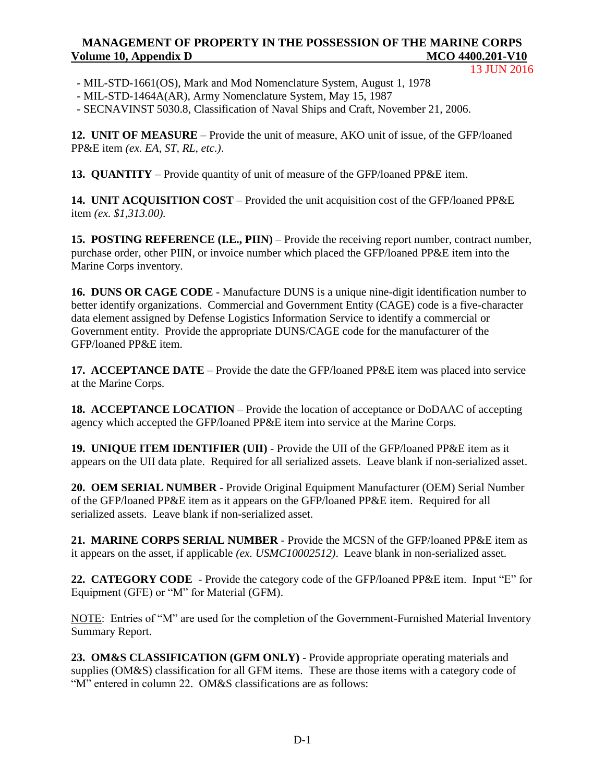13 JUN 2016

- MIL-STD-1661(OS), Mark and Mod Nomenclature System, August 1, 1978
- MIL-STD-1464A(AR), Army Nomenclature System, May 15, 1987
- SECNAVINST 5030.8, Classification of Naval Ships and Craft, November 21, 2006.

**12. UNIT OF MEASURE** – Provide the unit of measure, AKO unit of issue, of the GFP/loaned PP&E item *(ex. EA, ST, RL, etc.)*.

**13. QUANTITY** – Provide quantity of unit of measure of the GFP/loaned PP&E item.

**14. UNIT ACQUISITION COST** – Provided the unit acquisition cost of the GFP/loaned PP&E item *(ex. \$1,313.00).*

**15. POSTING REFERENCE (I.E., PIIN)** – Provide the receiving report number, contract number, purchase order, other PIIN, or invoice number which placed the GFP/loaned PP&E item into the Marine Corps inventory.

**16. DUNS OR CAGE CODE** - Manufacture DUNS is a unique nine-digit identification number to better identify organizations. Commercial and Government Entity (CAGE) code is a five-character data element assigned by Defense Logistics Information Service to identify a commercial or Government entity. Provide the appropriate DUNS/CAGE code for the manufacturer of the GFP/loaned PP&E item.

**17. ACCEPTANCE DATE** – Provide the date the GFP/loaned PP&E item was placed into service at the Marine Corps*.*

**18. ACCEPTANCE LOCATION** – Provide the location of acceptance or DoDAAC of accepting agency which accepted the GFP/loaned PP&E item into service at the Marine Corps.

**19. UNIQUE ITEM IDENTIFIER (UII)** - Provide the UII of the GFP/loaned PP&E item as it appears on the UII data plate. Required for all serialized assets. Leave blank if non-serialized asset.

**20. OEM SERIAL NUMBER** - Provide Original Equipment Manufacturer (OEM) Serial Number of the GFP/loaned PP&E item as it appears on the GFP/loaned PP&E item. Required for all serialized assets. Leave blank if non-serialized asset.

**21. MARINE CORPS SERIAL NUMBER** - Provide the MCSN of the GFP/loaned PP&E item as it appears on the asset, if applicable *(ex. USMC10002512)*. Leave blank in non-serialized asset.

**22. CATEGORY CODE** - Provide the category code of the GFP/loaned PP&E item. Input "E" for Equipment (GFE) or "M" for Material (GFM).

NOTE: Entries of "M" are used for the completion of the Government-Furnished Material Inventory Summary Report.

**23. OM&S CLASSIFICATION (GFM ONLY)** - Provide appropriate operating materials and supplies (OM&S) classification for all GFM items. These are those items with a category code of "M" entered in column 22. OM&S classifications are as follows: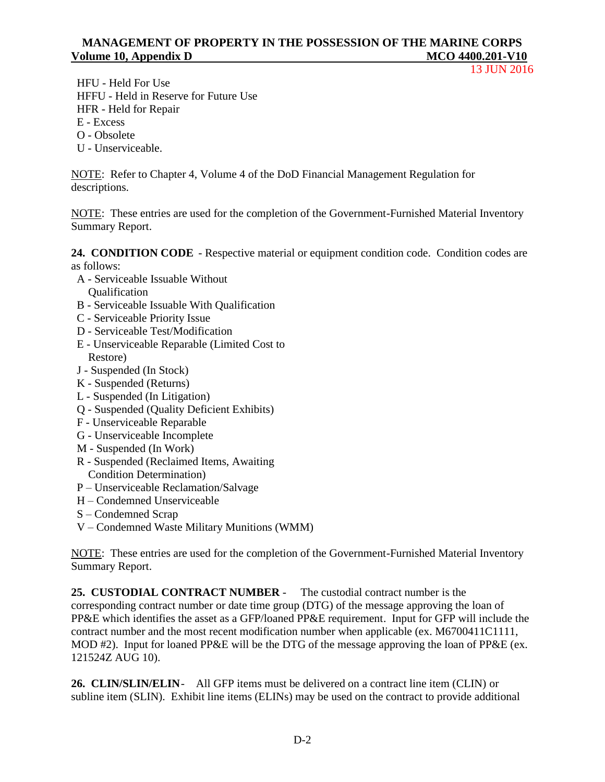13 JUN 2016

 HFU - Held For Use HFFU - Held in Reserve for Future Use HFR - Held for Repair E - Excess

- O Obsolete
- U Unserviceable.

NOTE: Refer to Chapter 4, Volume 4 of the DoD Financial Management Regulation for descriptions.

NOTE: These entries are used for the completion of the Government-Furnished Material Inventory Summary Report.

**24. CONDITION CODE** - Respective material or equipment condition code. Condition codes are as follows:

- A Serviceable Issuable Without
	- Qualification
- B Serviceable Issuable With Qualification
- C Serviceable Priority Issue
- D Serviceable Test/Modification
- E Unserviceable Reparable (Limited Cost to Restore)
- J Suspended (In Stock)
- K Suspended (Returns)
- L Suspended (In Litigation)
- Q Suspended (Quality Deficient Exhibits)
- F Unserviceable Reparable
- G Unserviceable Incomplete
- M Suspended (In Work)
- R Suspended (Reclaimed Items, Awaiting Condition Determination)
- P Unserviceable Reclamation/Salvage
- H Condemned Unserviceable
- S Condemned Scrap
- V Condemned Waste Military Munitions (WMM)

NOTE: These entries are used for the completion of the Government-Furnished Material Inventory Summary Report.

**25. CUSTODIAL CONTRACT NUMBER** -The custodial contract number is the corresponding contract number or date time group (DTG) of the message approving the loan of PP&E which identifies the asset as a GFP/loaned PP&E requirement. Input for GFP will include the contract number and the most recent modification number when applicable (ex. M6700411C1111, MOD #2). Input for loaned PP&E will be the DTG of the message approving the loan of PP&E (ex. 121524Z AUG 10).

**26. CLIN/SLIN/ELIN**-All GFP items must be delivered on a contract line item (CLIN) or subline item (SLIN). Exhibit line items (ELINs) may be used on the contract to provide additional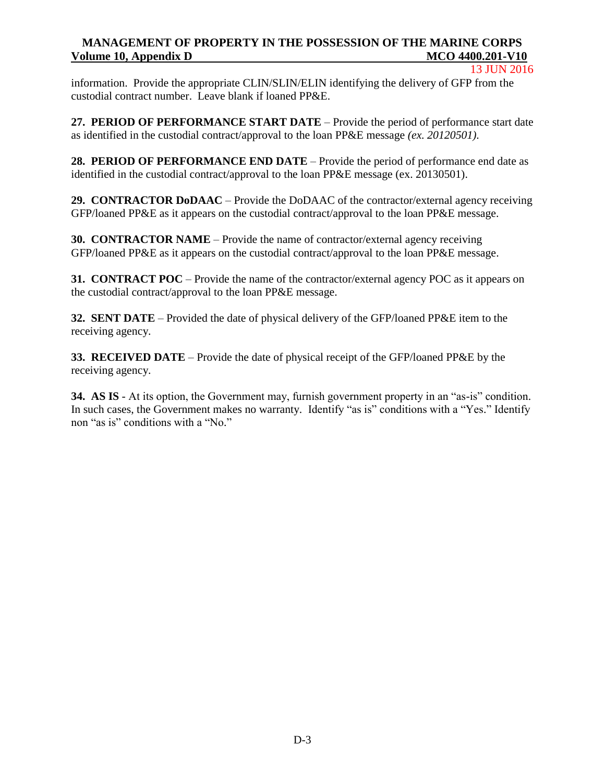13 JUN 2016

information. Provide the appropriate CLIN/SLIN/ELIN identifying the delivery of GFP from the custodial contract number. Leave blank if loaned PP&E.

**27. PERIOD OF PERFORMANCE START DATE** – Provide the period of performance start date as identified in the custodial contract/approval to the loan PP&E message *(ex. 20120501).*

**28. PERIOD OF PERFORMANCE END DATE** – Provide the period of performance end date as identified in the custodial contract/approval to the loan PP&E message (ex. 20130501).

**29. CONTRACTOR DoDAAC** – Provide the DoDAAC of the contractor/external agency receiving GFP/loaned PP&E as it appears on the custodial contract/approval to the loan PP&E message.

**30. CONTRACTOR NAME** – Provide the name of contractor/external agency receiving GFP/loaned PP&E as it appears on the custodial contract/approval to the loan PP&E message.

**31. CONTRACT POC** – Provide the name of the contractor/external agency POC as it appears on the custodial contract/approval to the loan PP&E message.

**32. SENT DATE** – Provided the date of physical delivery of the GFP/loaned PP&E item to the receiving agency.

**33. RECEIVED DATE** – Provide the date of physical receipt of the GFP/loaned PP&E by the receiving agency.

**34. AS IS** - At its option, the Government may, furnish government property in an "as-is" condition. In such cases, the Government makes no warranty. Identify "as is" conditions with a "Yes." Identify non "as is" conditions with a "No."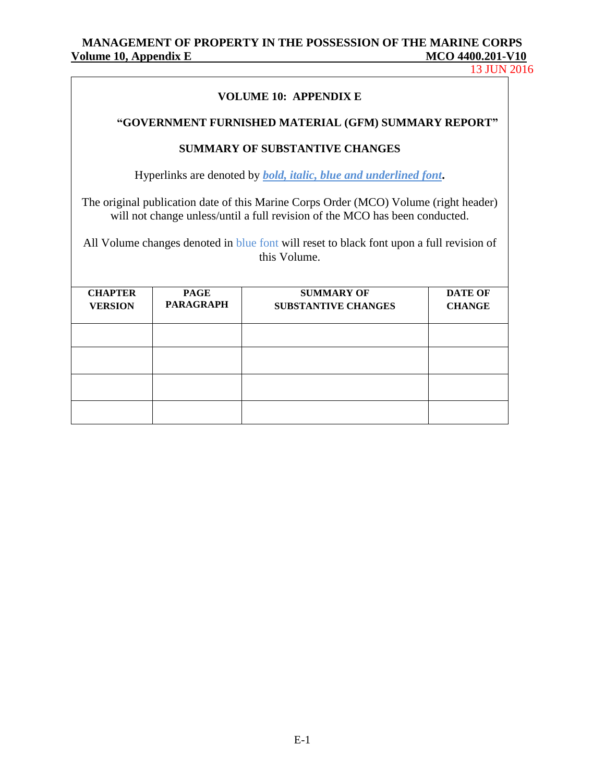13 JUN 2016

| <b>VOLUME 10: APPENDIX E</b>                                                                                                                                                                                                                                                    |                                 |                                                 |                                 |  |  |  |
|---------------------------------------------------------------------------------------------------------------------------------------------------------------------------------------------------------------------------------------------------------------------------------|---------------------------------|-------------------------------------------------|---------------------------------|--|--|--|
| "GOVERNMENT FURNISHED MATERIAL (GFM) SUMMARY REPORT"                                                                                                                                                                                                                            |                                 |                                                 |                                 |  |  |  |
| <b>SUMMARY OF SUBSTANTIVE CHANGES</b>                                                                                                                                                                                                                                           |                                 |                                                 |                                 |  |  |  |
| Hyperlinks are denoted by <i>bold, italic, blue and underlined font.</i>                                                                                                                                                                                                        |                                 |                                                 |                                 |  |  |  |
| The original publication date of this Marine Corps Order (MCO) Volume (right header)<br>will not change unless/until a full revision of the MCO has been conducted.<br>All Volume changes denoted in blue font will reset to black font upon a full revision of<br>this Volume. |                                 |                                                 |                                 |  |  |  |
| <b>CHAPTER</b><br><b>VERSION</b>                                                                                                                                                                                                                                                | <b>PAGE</b><br><b>PARAGRAPH</b> | <b>SUMMARY OF</b><br><b>SUBSTANTIVE CHANGES</b> | <b>DATE OF</b><br><b>CHANGE</b> |  |  |  |
|                                                                                                                                                                                                                                                                                 |                                 |                                                 |                                 |  |  |  |
|                                                                                                                                                                                                                                                                                 |                                 |                                                 |                                 |  |  |  |
|                                                                                                                                                                                                                                                                                 |                                 |                                                 |                                 |  |  |  |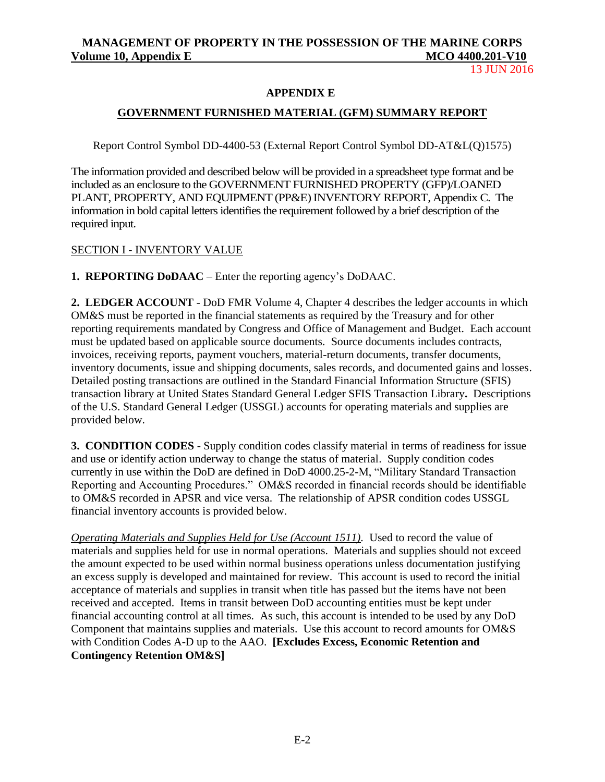13 JUN 2016

## **APPENDIX E**

## **GOVERNMENT FURNISHED MATERIAL (GFM) SUMMARY REPORT**

Report Control Symbol DD-4400-53 (External Report Control Symbol DD-AT&L(Q)1575)

The information provided and described below will be provided in a spreadsheet type format and be included as an enclosure to the GOVERNMENT FURNISHED PROPERTY (GFP)/LOANED PLANT, PROPERTY, AND EQUIPMENT (PP&E) INVENTORY REPORT, Appendix C. The information in bold capital letters identifies the requirement followed by a brief description of the required input.

## SECTION I - INVENTORY VALUE

**1. REPORTING DoDAAC** – Enter the reporting agency's DoDAAC.

**2. LEDGER ACCOUNT** - DoD FMR Volume 4, Chapter 4 describes the ledger accounts in which OM&S must be reported in the financial statements as required by the Treasury and for other reporting requirements mandated by Congress and Office of Management and Budget. Each account must be updated based on applicable source documents. Source documents includes contracts, invoices, receiving reports, payment vouchers, material-return documents, transfer documents, inventory documents, issue and shipping documents, sales records, and documented gains and losses. Detailed posting transactions are outlined in the Standard Financial Information Structure (SFIS) transaction library at United States Standard General Ledger SFIS Transaction Library**.** Descriptions of the U.S. Standard General Ledger (USSGL) accounts for operating materials and supplies are provided below.

**3. CONDITION CODES** - Supply condition codes classify material in terms of readiness for issue and use or identify action underway to change the status of material. Supply condition codes currently in use within the DoD are defined in DoD 4000.25-2-M, "Military Standard Transaction Reporting and Accounting Procedures." OM&S recorded in financial records should be identifiable to OM&S recorded in APSR and vice versa. The relationship of APSR condition codes USSGL financial inventory accounts is provided below.

*Operating Materials and Supplies Held for Use (Account 1511).* Used to record the value of materials and supplies held for use in normal operations. Materials and supplies should not exceed the amount expected to be used within normal business operations unless documentation justifying an excess supply is developed and maintained for review. This account is used to record the initial acceptance of materials and supplies in transit when title has passed but the items have not been received and accepted. Items in transit between DoD accounting entities must be kept under financial accounting control at all times. As such, this account is intended to be used by any DoD Component that maintains supplies and materials. Use this account to record amounts for OM&S with Condition Codes A-D up to the AAO. **[Excludes Excess, Economic Retention and Contingency Retention OM&S]**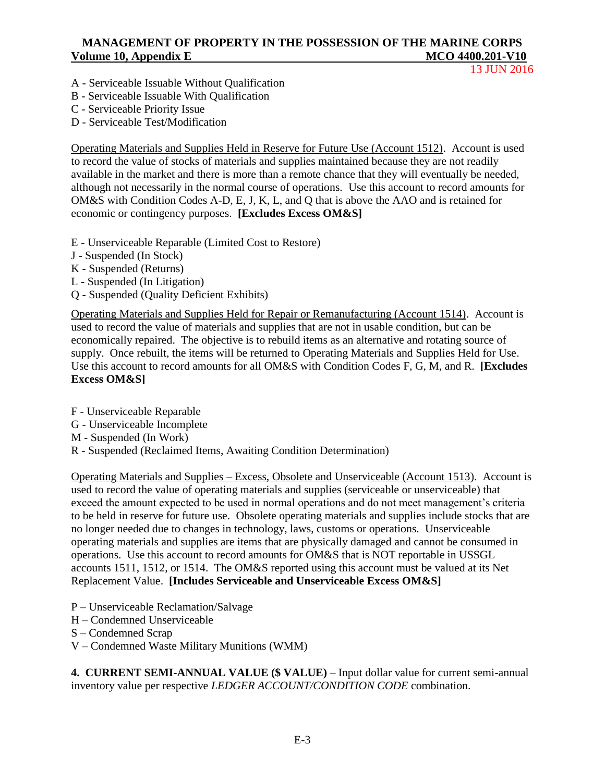13 JUN 2016

- A Serviceable Issuable Without Qualification
- B Serviceable Issuable With Qualification
- C Serviceable Priority Issue
- D Serviceable Test/Modification

Operating Materials and Supplies Held in Reserve for Future Use (Account 1512). Account is used to record the value of stocks of materials and supplies maintained because they are not readily available in the market and there is more than a remote chance that they will eventually be needed, although not necessarily in the normal course of operations. Use this account to record amounts for OM&S with Condition Codes A-D, E, J, K, L, and Q that is above the AAO and is retained for economic or contingency purposes. **[Excludes Excess OM&S]** 

- E Unserviceable Reparable (Limited Cost to Restore)
- J Suspended (In Stock)
- K Suspended (Returns)
- L Suspended (In Litigation)
- Q Suspended (Quality Deficient Exhibits)

Operating Materials and Supplies Held for Repair or Remanufacturing (Account 1514). Account is used to record the value of materials and supplies that are not in usable condition, but can be economically repaired. The objective is to rebuild items as an alternative and rotating source of supply. Once rebuilt, the items will be returned to Operating Materials and Supplies Held for Use. Use this account to record amounts for all OM&S with Condition Codes F, G, M, and R. **[Excludes Excess OM&S]** 

- F Unserviceable Reparable
- G Unserviceable Incomplete
- M Suspended (In Work)
- R Suspended (Reclaimed Items, Awaiting Condition Determination)

Operating Materials and Supplies – Excess, Obsolete and Unserviceable (Account 1513). Account is used to record the value of operating materials and supplies (serviceable or unserviceable) that exceed the amount expected to be used in normal operations and do not meet management's criteria to be held in reserve for future use. Obsolete operating materials and supplies include stocks that are no longer needed due to changes in technology, laws, customs or operations. Unserviceable operating materials and supplies are items that are physically damaged and cannot be consumed in operations. Use this account to record amounts for OM&S that is NOT reportable in USSGL accounts 1511, 1512, or 1514. The OM&S reported using this account must be valued at its Net Replacement Value. **[Includes Serviceable and Unserviceable Excess OM&S]** 

- P Unserviceable Reclamation/Salvage
- H Condemned Unserviceable
- S Condemned Scrap
- V Condemned Waste Military Munitions (WMM)

**4. CURRENT SEMI-ANNUAL VALUE (\$ VALUE)** – Input dollar value for current semi-annual inventory value per respective *LEDGER ACCOUNT/CONDITION CODE* combination.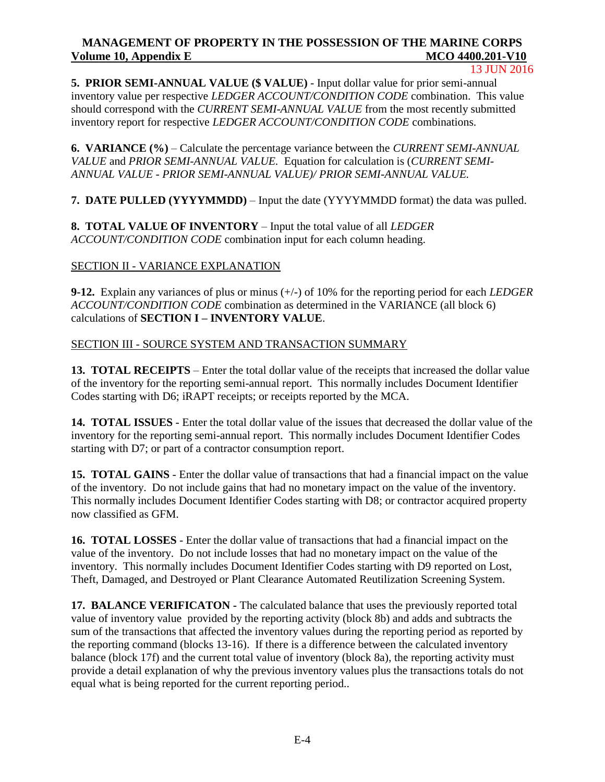#### 13 JUN 2016

**5. PRIOR SEMI-ANNUAL VALUE (\$ VALUE)** - Input dollar value for prior semi-annual inventory value per respective *LEDGER ACCOUNT/CONDITION CODE* combination. This value should correspond with the *CURRENT SEMI-ANNUAL VALUE* from the most recently submitted inventory report for respective *LEDGER ACCOUNT/CONDITION CODE* combinations.

**6. VARIANCE (%)** – Calculate the percentage variance between the *CURRENT SEMI-ANNUAL VALUE* and *PRIOR SEMI-ANNUAL VALUE.* Equation for calculation is (*CURRENT SEMI-ANNUAL VALUE - PRIOR SEMI-ANNUAL VALUE)/ PRIOR SEMI-ANNUAL VALUE.*

**7. DATE PULLED (YYYYMMDD)** – Input the date (YYYYMMDD format) the data was pulled.

**8. TOTAL VALUE OF INVENTORY** – Input the total value of all *LEDGER ACCOUNT/CONDITION CODE* combination input for each column heading.

# SECTION II - VARIANCE EXPLANATION

**9-12.** Explain any variances of plus or minus (+/-) of 10% for the reporting period for each *LEDGER ACCOUNT/CONDITION CODE* combination as determined in the VARIANCE (all block 6) calculations of **SECTION I – INVENTORY VALUE**.

SECTION III - SOURCE SYSTEM AND TRANSACTION SUMMARY

**13. TOTAL RECEIPTS** – Enter the total dollar value of the receipts that increased the dollar value of the inventory for the reporting semi-annual report. This normally includes Document Identifier Codes starting with D6; iRAPT receipts; or receipts reported by the MCA.

**14. TOTAL ISSUES** - Enter the total dollar value of the issues that decreased the dollar value of the inventory for the reporting semi-annual report. This normally includes Document Identifier Codes starting with D7; or part of a contractor consumption report.

**15. TOTAL GAINS** - Enter the dollar value of transactions that had a financial impact on the value of the inventory. Do not include gains that had no monetary impact on the value of the inventory. This normally includes Document Identifier Codes starting with D8; or contractor acquired property now classified as GFM.

**16. TOTAL LOSSES** - Enter the dollar value of transactions that had a financial impact on the value of the inventory. Do not include losses that had no monetary impact on the value of the inventory. This normally includes Document Identifier Codes starting with D9 reported on Lost, Theft, Damaged, and Destroyed or Plant Clearance Automated Reutilization Screening System.

**17. BALANCE VERIFICATON -** The calculated balance that uses the previously reported total value of inventory value provided by the reporting activity (block 8b) and adds and subtracts the sum of the transactions that affected the inventory values during the reporting period as reported by the reporting command (blocks 13-16). If there is a difference between the calculated inventory balance (block 17f) and the current total value of inventory (block 8a), the reporting activity must provide a detail explanation of why the previous inventory values plus the transactions totals do not equal what is being reported for the current reporting period..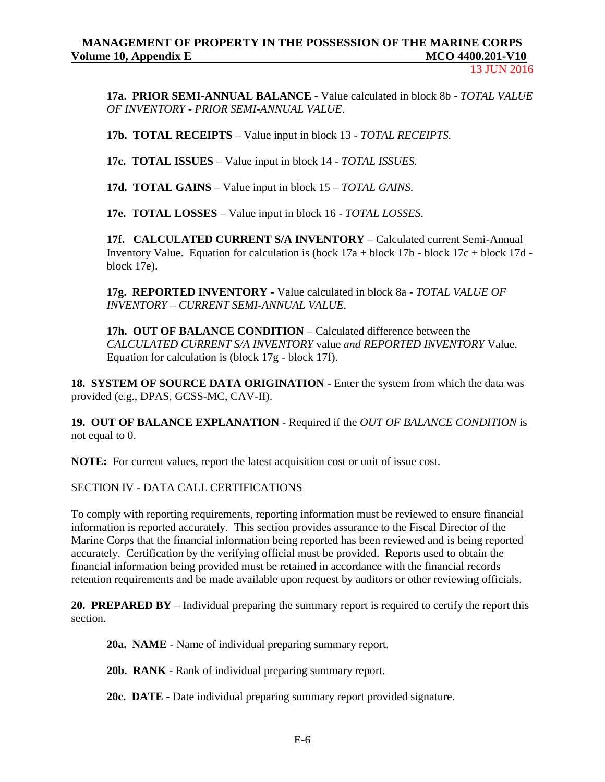13 JUN 2016

**17a. PRIOR SEMI-ANNUAL BALANCE** - Value calculated in block 8b - *TOTAL VALUE OF INVENTORY - PRIOR SEMI-ANNUAL VALUE*.

**17b. TOTAL RECEIPTS** – Value input in block 13 - *TOTAL RECEIPTS.*

**17c. TOTAL ISSUES** – Value input in block 14 - *TOTAL ISSUES.*

**17d. TOTAL GAINS** – Value input in block 15 – *TOTAL GAINS.*

**17e. TOTAL LOSSES** – Value input in block 16 - *TOTAL LOSSES*.

**17f. CALCULATED CURRENT S/A INVENTORY** – Calculated current Semi-Annual Inventory Value. Equation for calculation is (bock  $17a + block 17b - block 17c + block 17d$ block 17e).

**17g. REPORTED INVENTORY -** Value calculated in block 8a - *TOTAL VALUE OF INVENTORY – CURRENT SEMI-ANNUAL VALUE*.

**17h. OUT OF BALANCE CONDITION** – Calculated difference between the *CALCULATED CURRENT S/A INVENTORY* value *and REPORTED INVENTORY* Value. Equation for calculation is (block 17g - block 17f).

**18. SYSTEM OF SOURCE DATA ORIGINATION -** Enter the system from which the data was provided (e.g., DPAS, GCSS-MC, CAV-II).

**19. OUT OF BALANCE EXPLANATION** - Required if the *OUT OF BALANCE CONDITION* is not equal to 0.

**NOTE:** For current values, report the latest acquisition cost or unit of issue cost.

SECTION IV - DATA CALL CERTIFICATIONS

To comply with reporting requirements, reporting information must be reviewed to ensure financial information is reported accurately. This section provides assurance to the Fiscal Director of the Marine Corps that the financial information being reported has been reviewed and is being reported accurately. Certification by the verifying official must be provided. Reports used to obtain the financial information being provided must be retained in accordance with the financial records retention requirements and be made available upon request by auditors or other reviewing officials.

**20. PREPARED BY** – Individual preparing the summary report is required to certify the report this section.

**20a. NAME** - Name of individual preparing summary report.

**20b. RANK** - Rank of individual preparing summary report.

**20c. DATE** - Date individual preparing summary report provided signature.